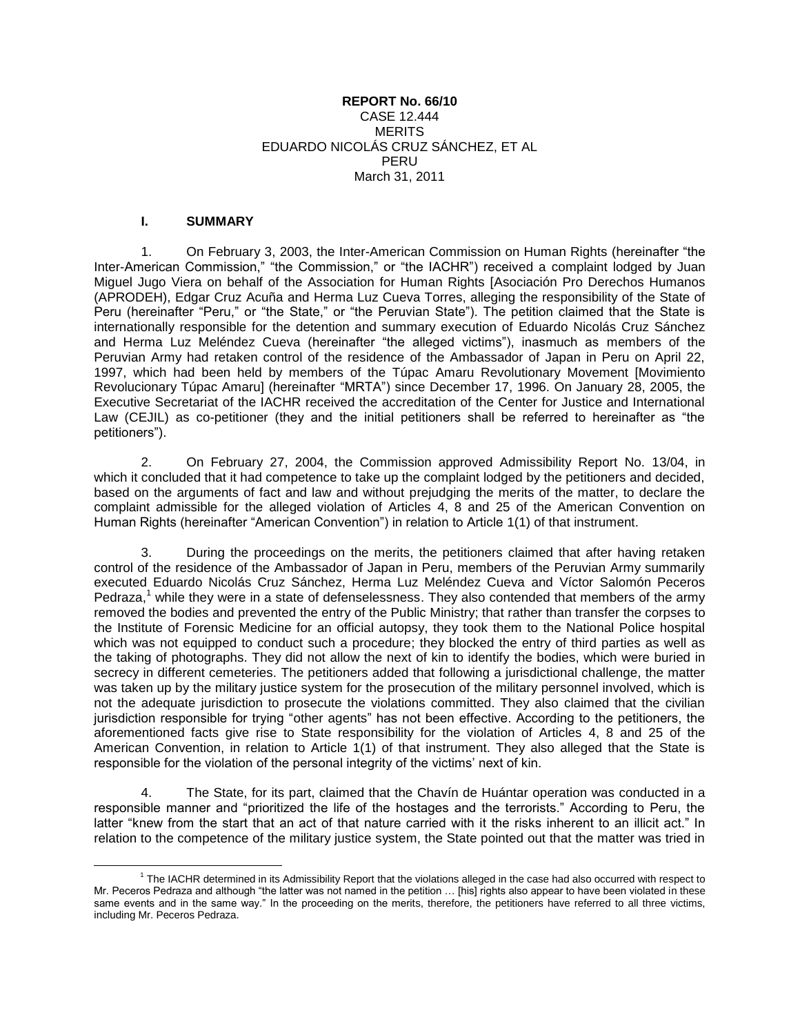## **REPORT No. 66/10** CASE 12.444 **MERITS** EDUARDO NICOLÁS CRUZ SÁNCHEZ, ET AL PERU March 31, 2011

## **I. SUMMARY**

 $\overline{a}$ 

1. On February 3, 2003, the Inter-American Commission on Human Rights (hereinafter "the Inter-American Commission," "the Commission," or "the IACHR") received a complaint lodged by Juan Miguel Jugo Viera on behalf of the Association for Human Rights [Asociación Pro Derechos Humanos (APRODEH), Edgar Cruz Acuña and Herma Luz Cueva Torres, alleging the responsibility of the State of Peru (hereinafter "Peru," or "the State," or "the Peruvian State"). The petition claimed that the State is internationally responsible for the detention and summary execution of Eduardo Nicolás Cruz Sánchez and Herma Luz Meléndez Cueva (hereinafter "the alleged victims"), inasmuch as members of the Peruvian Army had retaken control of the residence of the Ambassador of Japan in Peru on April 22, 1997, which had been held by members of the Túpac Amaru Revolutionary Movement [Movimiento Revolucionary Túpac Amaru] (hereinafter "MRTA") since December 17, 1996. On January 28, 2005, the Executive Secretariat of the IACHR received the accreditation of the Center for Justice and International Law (CEJIL) as co-petitioner (they and the initial petitioners shall be referred to hereinafter as "the petitioners").

2. On February 27, 2004, the Commission approved Admissibility Report No. 13/04, in which it concluded that it had competence to take up the complaint lodged by the petitioners and decided, based on the arguments of fact and law and without prejudging the merits of the matter, to declare the complaint admissible for the alleged violation of Articles 4, 8 and 25 of the American Convention on Human Rights (hereinafter "American Convention") in relation to Article 1(1) of that instrument.

3. During the proceedings on the merits, the petitioners claimed that after having retaken control of the residence of the Ambassador of Japan in Peru, members of the Peruvian Army summarily executed Eduardo Nicolás Cruz Sánchez, Herma Luz Meléndez Cueva and Víctor Salomón Peceros Pedraza,<sup>1</sup> while they were in a state of defenselessness. They also contended that members of the army removed the bodies and prevented the entry of the Public Ministry; that rather than transfer the corpses to the Institute of Forensic Medicine for an official autopsy, they took them to the National Police hospital which was not equipped to conduct such a procedure; they blocked the entry of third parties as well as the taking of photographs. They did not allow the next of kin to identify the bodies, which were buried in secrecy in different cemeteries. The petitioners added that following a jurisdictional challenge, the matter was taken up by the military justice system for the prosecution of the military personnel involved, which is not the adequate jurisdiction to prosecute the violations committed. They also claimed that the civilian jurisdiction responsible for trying "other agents" has not been effective. According to the petitioners, the aforementioned facts give rise to State responsibility for the violation of Articles 4, 8 and 25 of the American Convention, in relation to Article 1(1) of that instrument. They also alleged that the State is responsible for the violation of the personal integrity of the victims' next of kin.

4. The State, for its part, claimed that the Chavín de Huántar operation was conducted in a responsible manner and "prioritized the life of the hostages and the terrorists." According to Peru, the latter "knew from the start that an act of that nature carried with it the risks inherent to an illicit act." In relation to the competence of the military justice system, the State pointed out that the matter was tried in

<sup>&</sup>lt;sup>1</sup> The IACHR determined in its Admissibility Report that the violations alleged in the case had also occurred with respect to Mr. Peceros Pedraza and although "the latter was not named in the petition … [his] rights also appear to have been violated in these same events and in the same way." In the proceeding on the merits, therefore, the petitioners have referred to all three victims, including Mr. Peceros Pedraza.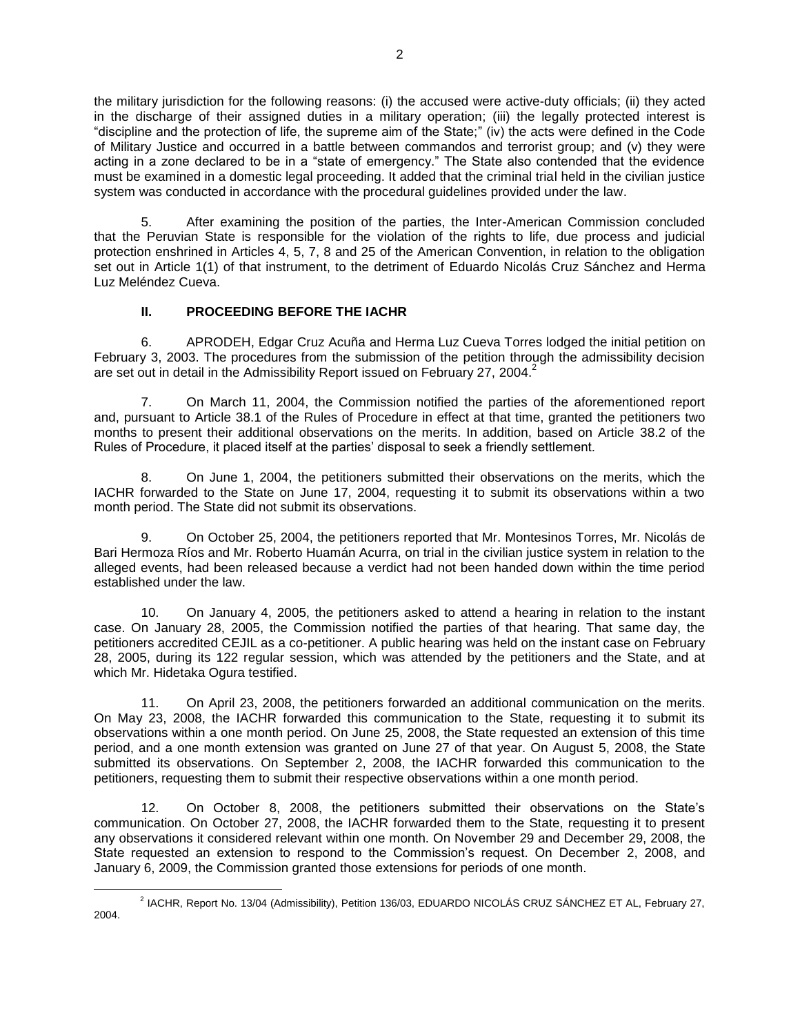the military jurisdiction for the following reasons: (i) the accused were active-duty officials; (ii) they acted in the discharge of their assigned duties in a military operation; (iii) the legally protected interest is "discipline and the protection of life, the supreme aim of the State;" (iv) the acts were defined in the Code of Military Justice and occurred in a battle between commandos and terrorist group; and (v) they were acting in a zone declared to be in a "state of emergency." The State also contended that the evidence must be examined in a domestic legal proceeding. It added that the criminal trial held in the civilian justice system was conducted in accordance with the procedural guidelines provided under the law.

5. After examining the position of the parties, the Inter-American Commission concluded that the Peruvian State is responsible for the violation of the rights to life, due process and judicial protection enshrined in Articles 4, 5, 7, 8 and 25 of the American Convention, in relation to the obligation set out in Article 1(1) of that instrument, to the detriment of Eduardo Nicolás Cruz Sánchez and Herma Luz Meléndez Cueva.

# **II. PROCEEDING BEFORE THE IACHR**

6. APRODEH, Edgar Cruz Acuña and Herma Luz Cueva Torres lodged the initial petition on February 3, 2003. The procedures from the submission of the petition through the admissibility decision are set out in detail in the Admissibility Report issued on February 27, 2004.<sup>2</sup>

7. On March 11, 2004, the Commission notified the parties of the aforementioned report and, pursuant to Article 38.1 of the Rules of Procedure in effect at that time, granted the petitioners two months to present their additional observations on the merits. In addition, based on Article 38.2 of the Rules of Procedure, it placed itself at the parties' disposal to seek a friendly settlement.

8. On June 1, 2004, the petitioners submitted their observations on the merits, which the IACHR forwarded to the State on June 17, 2004, requesting it to submit its observations within a two month period. The State did not submit its observations.

9. On October 25, 2004, the petitioners reported that Mr. Montesinos Torres, Mr. Nicolás de Bari Hermoza Ríos and Mr. Roberto Huamán Acurra, on trial in the civilian justice system in relation to the alleged events, had been released because a verdict had not been handed down within the time period established under the law.

10. On January 4, 2005, the petitioners asked to attend a hearing in relation to the instant case. On January 28, 2005, the Commission notified the parties of that hearing. That same day, the petitioners accredited CEJIL as a co-petitioner. A public hearing was held on the instant case on February 28, 2005, during its 122 regular session, which was attended by the petitioners and the State, and at which Mr. Hidetaka Ogura testified.

11. On April 23, 2008, the petitioners forwarded an additional communication on the merits. On May 23, 2008, the IACHR forwarded this communication to the State, requesting it to submit its observations within a one month period. On June 25, 2008, the State requested an extension of this time period, and a one month extension was granted on June 27 of that year. On August 5, 2008, the State submitted its observations. On September 2, 2008, the IACHR forwarded this communication to the petitioners, requesting them to submit their respective observations within a one month period.

12. On October 8, 2008, the petitioners submitted their observations on the State's communication. On October 27, 2008, the IACHR forwarded them to the State, requesting it to present any observations it considered relevant within one month. On November 29 and December 29, 2008, the State requested an extension to respond to the Commission's request. On December 2, 2008, and January 6, 2009, the Commission granted those extensions for periods of one month.

 $\overline{a}$ 2 IACHR, Report No. 13/04 (Admissibility), Petition 136/03, EDUARDO NICOLÁS CRUZ SÁNCHEZ ET AL, February 27, 2004.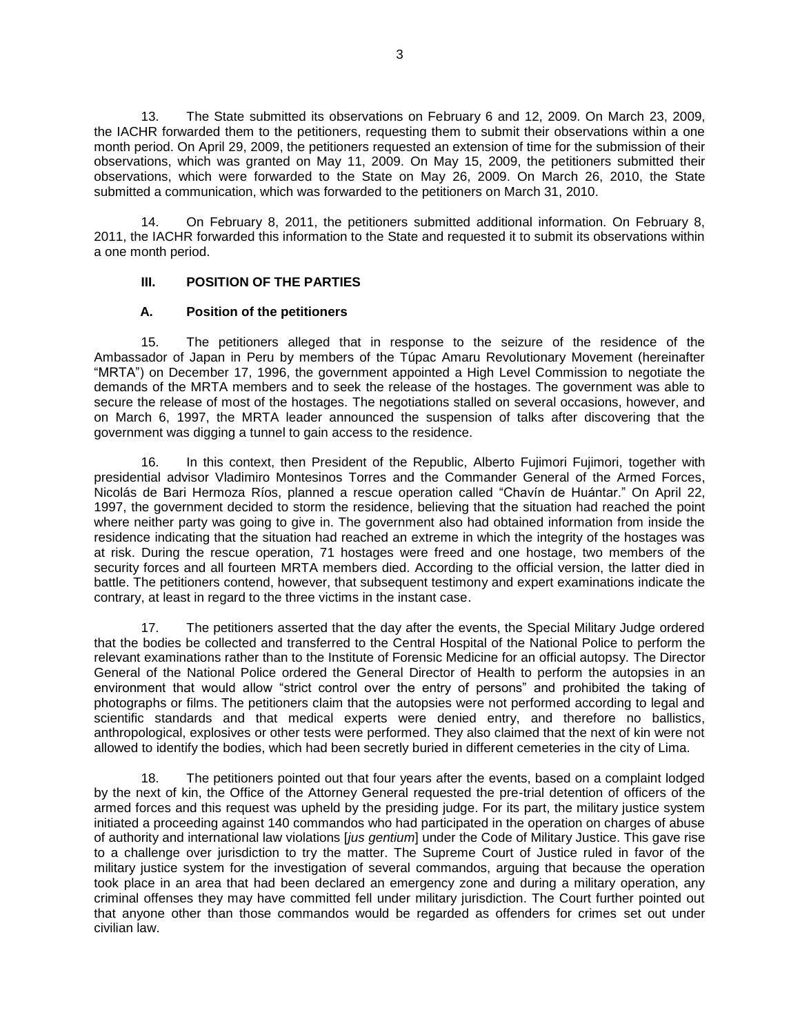13. The State submitted its observations on February 6 and 12, 2009. On March 23, 2009, the IACHR forwarded them to the petitioners, requesting them to submit their observations within a one month period. On April 29, 2009, the petitioners requested an extension of time for the submission of their observations, which was granted on May 11, 2009. On May 15, 2009, the petitioners submitted their observations, which were forwarded to the State on May 26, 2009. On March 26, 2010, the State submitted a communication, which was forwarded to the petitioners on March 31, 2010.

14. On February 8, 2011, the petitioners submitted additional information. On February 8, 2011, the IACHR forwarded this information to the State and requested it to submit its observations within a one month period.

## **III. POSITION OF THE PARTIES**

## **A. Position of the petitioners**

15. The petitioners alleged that in response to the seizure of the residence of the Ambassador of Japan in Peru by members of the Túpac Amaru Revolutionary Movement (hereinafter "MRTA") on December 17, 1996, the government appointed a High Level Commission to negotiate the demands of the MRTA members and to seek the release of the hostages. The government was able to secure the release of most of the hostages. The negotiations stalled on several occasions, however, and on March 6, 1997, the MRTA leader announced the suspension of talks after discovering that the government was digging a tunnel to gain access to the residence.

16. In this context, then President of the Republic, Alberto Fujimori Fujimori, together with presidential advisor Vladimiro Montesinos Torres and the Commander General of the Armed Forces, Nicolás de Bari Hermoza Ríos, planned a rescue operation called "Chavín de Huántar." On April 22, 1997, the government decided to storm the residence, believing that the situation had reached the point where neither party was going to give in. The government also had obtained information from inside the residence indicating that the situation had reached an extreme in which the integrity of the hostages was at risk. During the rescue operation, 71 hostages were freed and one hostage, two members of the security forces and all fourteen MRTA members died. According to the official version, the latter died in battle. The petitioners contend, however, that subsequent testimony and expert examinations indicate the contrary, at least in regard to the three victims in the instant case.

17. The petitioners asserted that the day after the events, the Special Military Judge ordered that the bodies be collected and transferred to the Central Hospital of the National Police to perform the relevant examinations rather than to the Institute of Forensic Medicine for an official autopsy. The Director General of the National Police ordered the General Director of Health to perform the autopsies in an environment that would allow "strict control over the entry of persons" and prohibited the taking of photographs or films. The petitioners claim that the autopsies were not performed according to legal and scientific standards and that medical experts were denied entry, and therefore no ballistics, anthropological, explosives or other tests were performed. They also claimed that the next of kin were not allowed to identify the bodies, which had been secretly buried in different cemeteries in the city of Lima.

18. The petitioners pointed out that four years after the events, based on a complaint lodged by the next of kin, the Office of the Attorney General requested the pre-trial detention of officers of the armed forces and this request was upheld by the presiding judge. For its part, the military justice system initiated a proceeding against 140 commandos who had participated in the operation on charges of abuse of authority and international law violations [*jus gentium*] under the Code of Military Justice. This gave rise to a challenge over jurisdiction to try the matter. The Supreme Court of Justice ruled in favor of the military justice system for the investigation of several commandos, arguing that because the operation took place in an area that had been declared an emergency zone and during a military operation, any criminal offenses they may have committed fell under military jurisdiction. The Court further pointed out that anyone other than those commandos would be regarded as offenders for crimes set out under civilian law.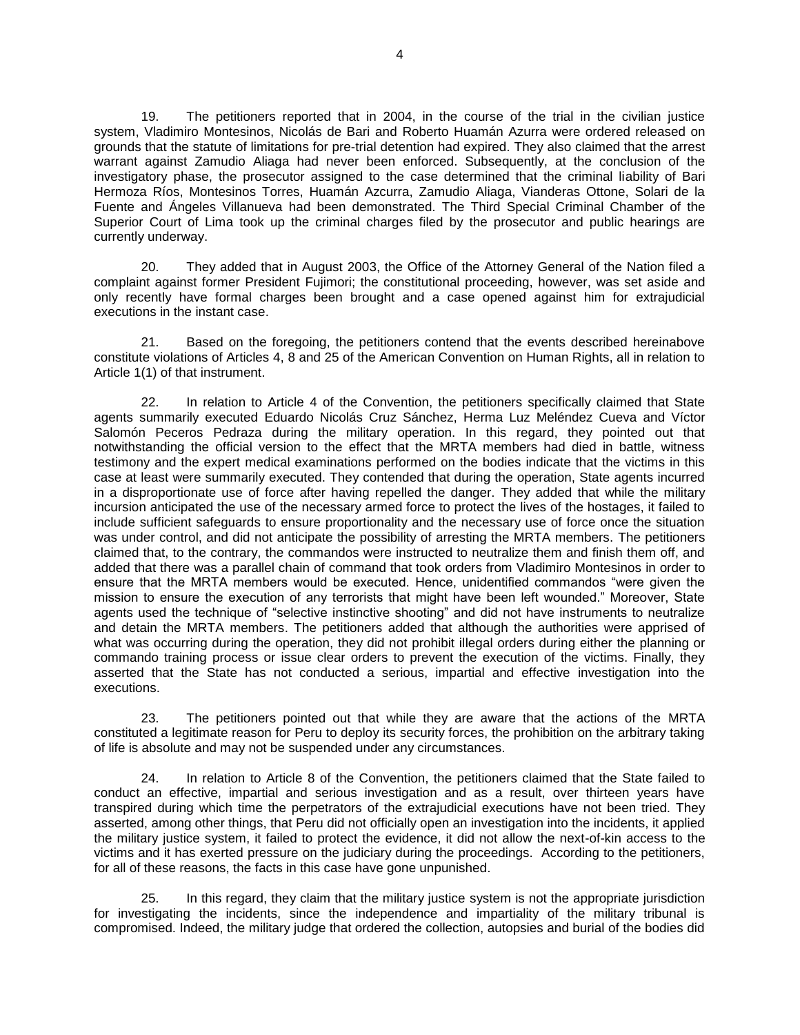19. The petitioners reported that in 2004, in the course of the trial in the civilian justice system, Vladimiro Montesinos, Nicolás de Bari and Roberto Huamán Azurra were ordered released on grounds that the statute of limitations for pre-trial detention had expired. They also claimed that the arrest warrant against Zamudio Aliaga had never been enforced. Subsequently, at the conclusion of the investigatory phase, the prosecutor assigned to the case determined that the criminal liability of Bari Hermoza Ríos, Montesinos Torres, Huamán Azcurra, Zamudio Aliaga, Vianderas Ottone, Solari de la Fuente and Ángeles Villanueva had been demonstrated. The Third Special Criminal Chamber of the Superior Court of Lima took up the criminal charges filed by the prosecutor and public hearings are currently underway.

20. They added that in August 2003, the Office of the Attorney General of the Nation filed a complaint against former President Fujimori; the constitutional proceeding, however, was set aside and only recently have formal charges been brought and a case opened against him for extrajudicial executions in the instant case.

21. Based on the foregoing, the petitioners contend that the events described hereinabove constitute violations of Articles 4, 8 and 25 of the American Convention on Human Rights, all in relation to Article 1(1) of that instrument.

22. In relation to Article 4 of the Convention, the petitioners specifically claimed that State agents summarily executed Eduardo Nicolás Cruz Sánchez, Herma Luz Meléndez Cueva and Víctor Salomón Peceros Pedraza during the military operation. In this regard, they pointed out that notwithstanding the official version to the effect that the MRTA members had died in battle, witness testimony and the expert medical examinations performed on the bodies indicate that the victims in this case at least were summarily executed. They contended that during the operation, State agents incurred in a disproportionate use of force after having repelled the danger. They added that while the military incursion anticipated the use of the necessary armed force to protect the lives of the hostages, it failed to include sufficient safeguards to ensure proportionality and the necessary use of force once the situation was under control, and did not anticipate the possibility of arresting the MRTA members. The petitioners claimed that, to the contrary, the commandos were instructed to neutralize them and finish them off, and added that there was a parallel chain of command that took orders from Vladimiro Montesinos in order to ensure that the MRTA members would be executed. Hence, unidentified commandos "were given the mission to ensure the execution of any terrorists that might have been left wounded." Moreover, State agents used the technique of "selective instinctive shooting" and did not have instruments to neutralize and detain the MRTA members. The petitioners added that although the authorities were apprised of what was occurring during the operation, they did not prohibit illegal orders during either the planning or commando training process or issue clear orders to prevent the execution of the victims. Finally, they asserted that the State has not conducted a serious, impartial and effective investigation into the executions.

23. The petitioners pointed out that while they are aware that the actions of the MRTA constituted a legitimate reason for Peru to deploy its security forces, the prohibition on the arbitrary taking of life is absolute and may not be suspended under any circumstances.

24. In relation to Article 8 of the Convention, the petitioners claimed that the State failed to conduct an effective, impartial and serious investigation and as a result, over thirteen years have transpired during which time the perpetrators of the extrajudicial executions have not been tried. They asserted, among other things, that Peru did not officially open an investigation into the incidents, it applied the military justice system, it failed to protect the evidence, it did not allow the next-of-kin access to the victims and it has exerted pressure on the judiciary during the proceedings. According to the petitioners, for all of these reasons, the facts in this case have gone unpunished.

25. In this regard, they claim that the military justice system is not the appropriate jurisdiction for investigating the incidents, since the independence and impartiality of the military tribunal is compromised. Indeed, the military judge that ordered the collection, autopsies and burial of the bodies did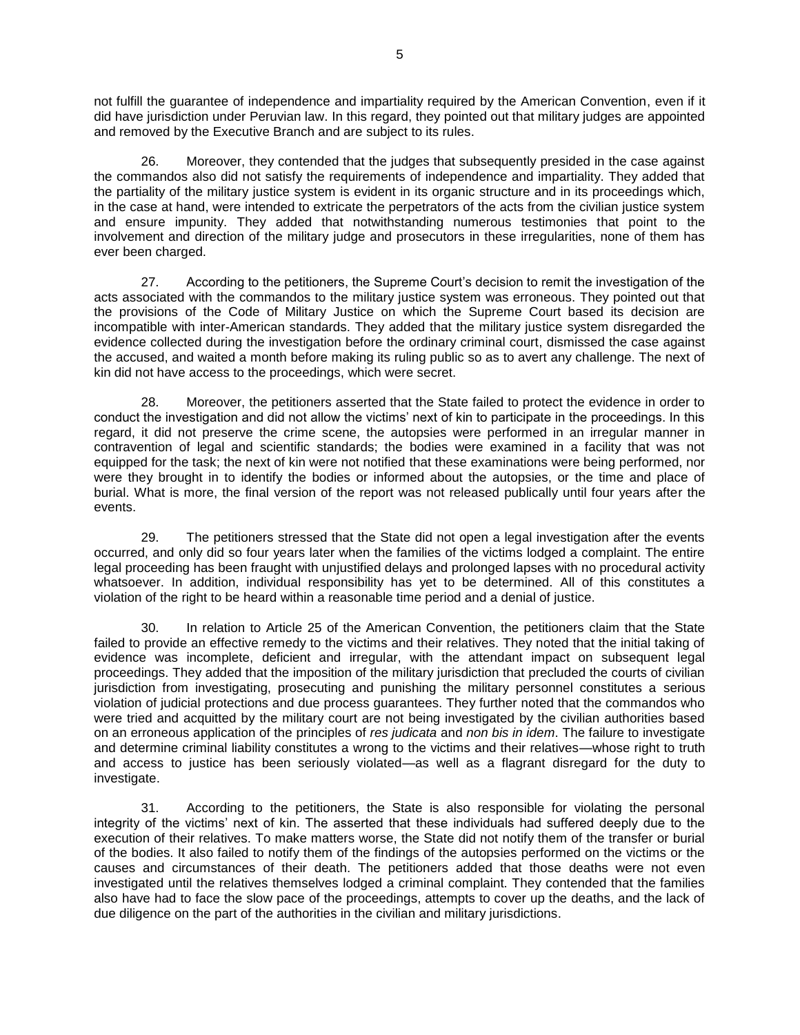not fulfill the guarantee of independence and impartiality required by the American Convention, even if it did have jurisdiction under Peruvian law. In this regard, they pointed out that military judges are appointed and removed by the Executive Branch and are subject to its rules.

26. Moreover, they contended that the judges that subsequently presided in the case against the commandos also did not satisfy the requirements of independence and impartiality. They added that the partiality of the military justice system is evident in its organic structure and in its proceedings which, in the case at hand, were intended to extricate the perpetrators of the acts from the civilian justice system and ensure impunity. They added that notwithstanding numerous testimonies that point to the involvement and direction of the military judge and prosecutors in these irregularities, none of them has ever been charged.

27. According to the petitioners, the Supreme Court's decision to remit the investigation of the acts associated with the commandos to the military justice system was erroneous. They pointed out that the provisions of the Code of Military Justice on which the Supreme Court based its decision are incompatible with inter-American standards. They added that the military justice system disregarded the evidence collected during the investigation before the ordinary criminal court, dismissed the case against the accused, and waited a month before making its ruling public so as to avert any challenge. The next of kin did not have access to the proceedings, which were secret.

28. Moreover, the petitioners asserted that the State failed to protect the evidence in order to conduct the investigation and did not allow the victims' next of kin to participate in the proceedings. In this regard, it did not preserve the crime scene, the autopsies were performed in an irregular manner in contravention of legal and scientific standards; the bodies were examined in a facility that was not equipped for the task; the next of kin were not notified that these examinations were being performed, nor were they brought in to identify the bodies or informed about the autopsies, or the time and place of burial. What is more, the final version of the report was not released publically until four years after the events.

29. The petitioners stressed that the State did not open a legal investigation after the events occurred, and only did so four years later when the families of the victims lodged a complaint. The entire legal proceeding has been fraught with unjustified delays and prolonged lapses with no procedural activity whatsoever. In addition, individual responsibility has yet to be determined. All of this constitutes a violation of the right to be heard within a reasonable time period and a denial of justice.

30. In relation to Article 25 of the American Convention, the petitioners claim that the State failed to provide an effective remedy to the victims and their relatives. They noted that the initial taking of evidence was incomplete, deficient and irregular, with the attendant impact on subsequent legal proceedings. They added that the imposition of the military jurisdiction that precluded the courts of civilian jurisdiction from investigating, prosecuting and punishing the military personnel constitutes a serious violation of judicial protections and due process guarantees. They further noted that the commandos who were tried and acquitted by the military court are not being investigated by the civilian authorities based on an erroneous application of the principles of *res judicata* and *non bis in idem*. The failure to investigate and determine criminal liability constitutes a wrong to the victims and their relatives—whose right to truth and access to justice has been seriously violated—as well as a flagrant disregard for the duty to investigate.

31. According to the petitioners, the State is also responsible for violating the personal integrity of the victims' next of kin. The asserted that these individuals had suffered deeply due to the execution of their relatives. To make matters worse, the State did not notify them of the transfer or burial of the bodies. It also failed to notify them of the findings of the autopsies performed on the victims or the causes and circumstances of their death. The petitioners added that those deaths were not even investigated until the relatives themselves lodged a criminal complaint. They contended that the families also have had to face the slow pace of the proceedings, attempts to cover up the deaths, and the lack of due diligence on the part of the authorities in the civilian and military jurisdictions.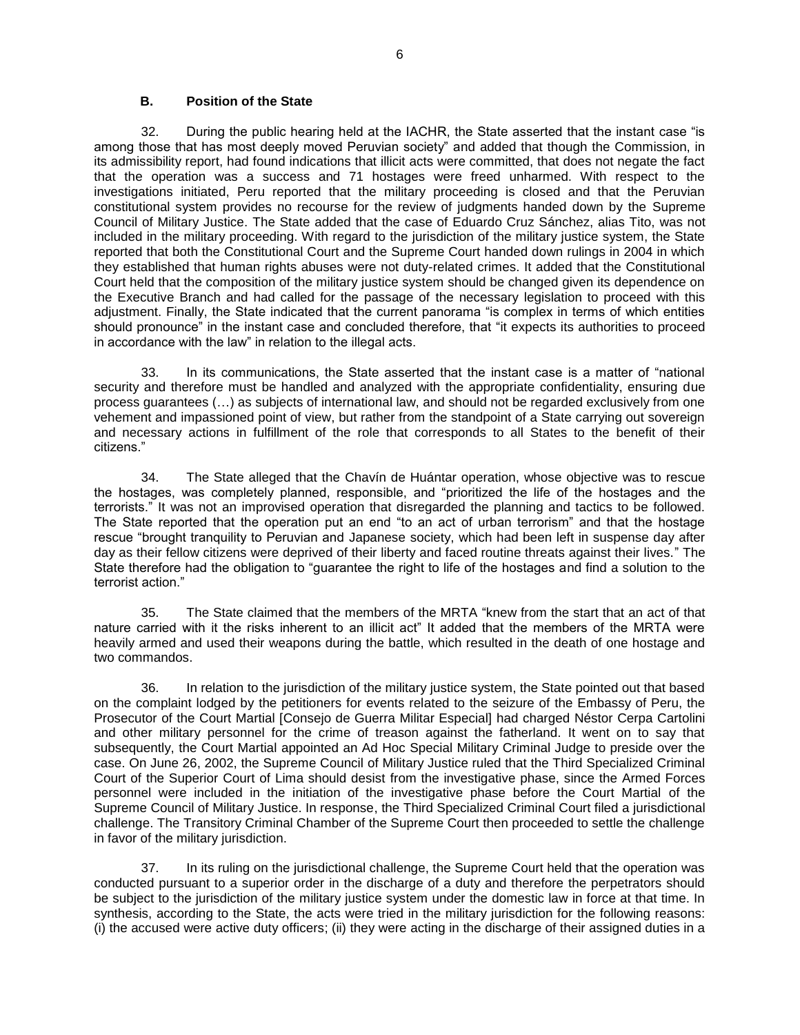## **B. Position of the State**

32. During the public hearing held at the IACHR, the State asserted that the instant case "is among those that has most deeply moved Peruvian society" and added that though the Commission, in its admissibility report, had found indications that illicit acts were committed, that does not negate the fact that the operation was a success and 71 hostages were freed unharmed. With respect to the investigations initiated, Peru reported that the military proceeding is closed and that the Peruvian constitutional system provides no recourse for the review of judgments handed down by the Supreme Council of Military Justice. The State added that the case of Eduardo Cruz Sánchez, alias Tito, was not included in the military proceeding. With regard to the jurisdiction of the military justice system, the State reported that both the Constitutional Court and the Supreme Court handed down rulings in 2004 in which they established that human rights abuses were not duty-related crimes. It added that the Constitutional Court held that the composition of the military justice system should be changed given its dependence on the Executive Branch and had called for the passage of the necessary legislation to proceed with this adjustment. Finally, the State indicated that the current panorama "is complex in terms of which entities should pronounce" in the instant case and concluded therefore, that "it expects its authorities to proceed in accordance with the law" in relation to the illegal acts.

33. In its communications, the State asserted that the instant case is a matter of "national security and therefore must be handled and analyzed with the appropriate confidentiality, ensuring due process guarantees (…) as subjects of international law, and should not be regarded exclusively from one vehement and impassioned point of view, but rather from the standpoint of a State carrying out sovereign and necessary actions in fulfillment of the role that corresponds to all States to the benefit of their citizens."

34. The State alleged that the Chavín de Huántar operation, whose objective was to rescue the hostages, was completely planned, responsible, and "prioritized the life of the hostages and the terrorists." It was not an improvised operation that disregarded the planning and tactics to be followed. The State reported that the operation put an end "to an act of urban terrorism" and that the hostage rescue "brought tranquility to Peruvian and Japanese society, which had been left in suspense day after day as their fellow citizens were deprived of their liberty and faced routine threats against their lives." The State therefore had the obligation to "guarantee the right to life of the hostages and find a solution to the terrorist action."

35. The State claimed that the members of the MRTA "knew from the start that an act of that nature carried with it the risks inherent to an illicit act" It added that the members of the MRTA were heavily armed and used their weapons during the battle, which resulted in the death of one hostage and two commandos.

36. In relation to the jurisdiction of the military justice system, the State pointed out that based on the complaint lodged by the petitioners for events related to the seizure of the Embassy of Peru, the Prosecutor of the Court Martial [Consejo de Guerra Militar Especial] had charged Néstor Cerpa Cartolini and other military personnel for the crime of treason against the fatherland. It went on to say that subsequently, the Court Martial appointed an Ad Hoc Special Military Criminal Judge to preside over the case. On June 26, 2002, the Supreme Council of Military Justice ruled that the Third Specialized Criminal Court of the Superior Court of Lima should desist from the investigative phase, since the Armed Forces personnel were included in the initiation of the investigative phase before the Court Martial of the Supreme Council of Military Justice. In response, the Third Specialized Criminal Court filed a jurisdictional challenge. The Transitory Criminal Chamber of the Supreme Court then proceeded to settle the challenge in favor of the military jurisdiction.

37. In its ruling on the jurisdictional challenge, the Supreme Court held that the operation was conducted pursuant to a superior order in the discharge of a duty and therefore the perpetrators should be subject to the jurisdiction of the military justice system under the domestic law in force at that time. In synthesis, according to the State, the acts were tried in the military jurisdiction for the following reasons: (i) the accused were active duty officers; (ii) they were acting in the discharge of their assigned duties in a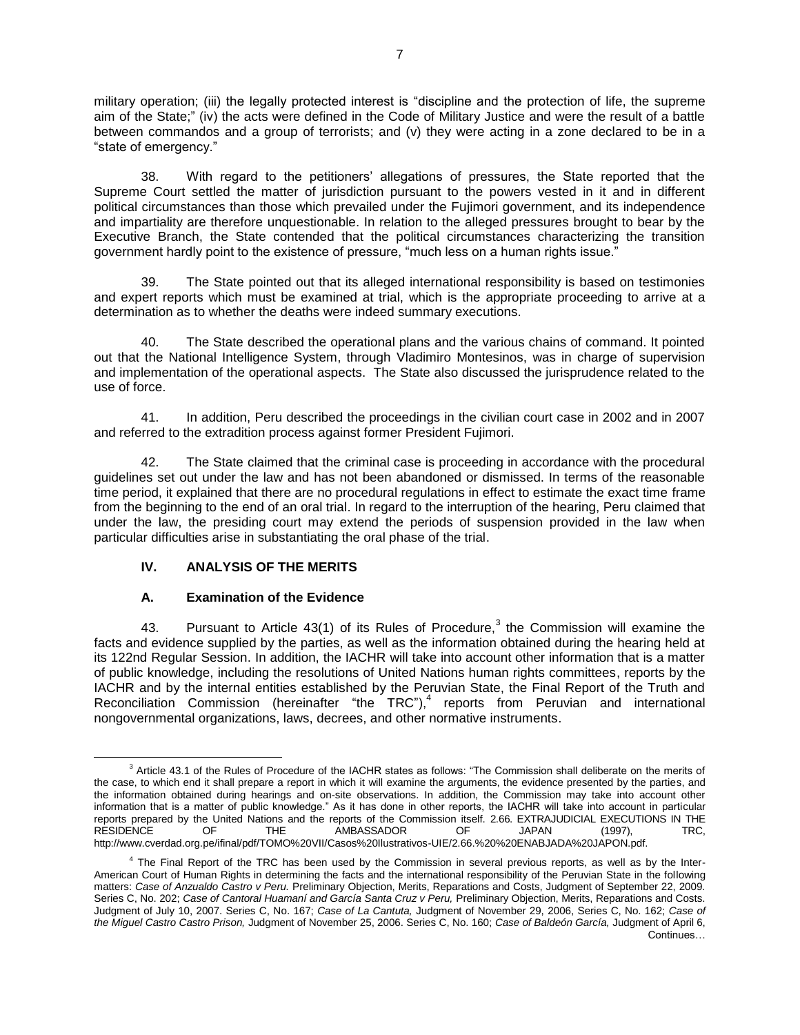military operation; (iii) the legally protected interest is "discipline and the protection of life, the supreme aim of the State;" (iv) the acts were defined in the Code of Military Justice and were the result of a battle between commandos and a group of terrorists; and (v) they were acting in a zone declared to be in a "state of emergency."

38. With regard to the petitioners' allegations of pressures, the State reported that the Supreme Court settled the matter of jurisdiction pursuant to the powers vested in it and in different political circumstances than those which prevailed under the Fujimori government, and its independence and impartiality are therefore unquestionable. In relation to the alleged pressures brought to bear by the Executive Branch, the State contended that the political circumstances characterizing the transition government hardly point to the existence of pressure, "much less on a human rights issue."

39. The State pointed out that its alleged international responsibility is based on testimonies and expert reports which must be examined at trial, which is the appropriate proceeding to arrive at a determination as to whether the deaths were indeed summary executions.

40. The State described the operational plans and the various chains of command. It pointed out that the National Intelligence System, through Vladimiro Montesinos, was in charge of supervision and implementation of the operational aspects. The State also discussed the jurisprudence related to the use of force.

41. In addition, Peru described the proceedings in the civilian court case in 2002 and in 2007 and referred to the extradition process against former President Fujimori.

42. The State claimed that the criminal case is proceeding in accordance with the procedural guidelines set out under the law and has not been abandoned or dismissed. In terms of the reasonable time period, it explained that there are no procedural regulations in effect to estimate the exact time frame from the beginning to the end of an oral trial. In regard to the interruption of the hearing, Peru claimed that under the law, the presiding court may extend the periods of suspension provided in the law when particular difficulties arise in substantiating the oral phase of the trial.

# **IV. ANALYSIS OF THE MERITS**

# **A. Examination of the Evidence**

43. Pursuant to Article 43(1) of its Rules of Procedure,<sup>3</sup> the Commission will examine the facts and evidence supplied by the parties, as well as the information obtained during the hearing held at its 122nd Regular Session. In addition, the IACHR will take into account other information that is a matter of public knowledge, including the resolutions of United Nations human rights committees, reports by the IACHR and by the internal entities established by the Peruvian State, the Final Report of the Truth and Reconciliation Commission (hereinafter "the TRC"),<sup>4</sup> reports from Peruvian and international nongovernmental organizations, laws, decrees, and other normative instruments.

 $\overline{a}$ <sup>3</sup> Article 43.1 of the Rules of Procedure of the IACHR states as follows: "The Commission shall deliberate on the merits of the case, to which end it shall prepare a report in which it will examine the arguments, the evidence presented by the parties, and the information obtained during hearings and on-site observations. In addition, the Commission may take into account other information that is a matter of public knowledge." As it has done in other reports, the IACHR will take into account in particular reports prepared by the United Nations and the reports of the Commission itself. 2.66. EXTRAJUDICIAL EXECUTIONS IN THE RESIDENCE OF THE AMBASSADOR OF JAPAN (1997), TRC, http://www.cverdad.org.pe/ifinal/pdf/TOMO%20VII/Casos%20Ilustrativos-UIE/2.66.%20%20ENABJADA%20JAPON.pdf.

<sup>&</sup>lt;sup>4</sup> The Final Report of the TRC has been used by the Commission in several previous reports, as well as by the Inter-American Court of Human Rights in determining the facts and the international responsibility of the Peruvian State in the following matters: *Case of Anzualdo Castro v Peru.* Preliminary Objection, Merits, Reparations and Costs, Judgment of September 22, 2009. Series C, No. 202; *Case of Cantoral Huamaní and García Santa Cruz v Peru,* Preliminary Objection, Merits, Reparations and Costs. Judgment of July 10, 2007. Series C, No. 167; *Case of La Cantuta,* Judgment of November 29, 2006, Series C, No. 162; *Case of the Miguel Castro Castro Prison,* Judgment of November 25, 2006. Series C, No. 160; *Case of Baldeón García,* Judgment of April 6, Continues…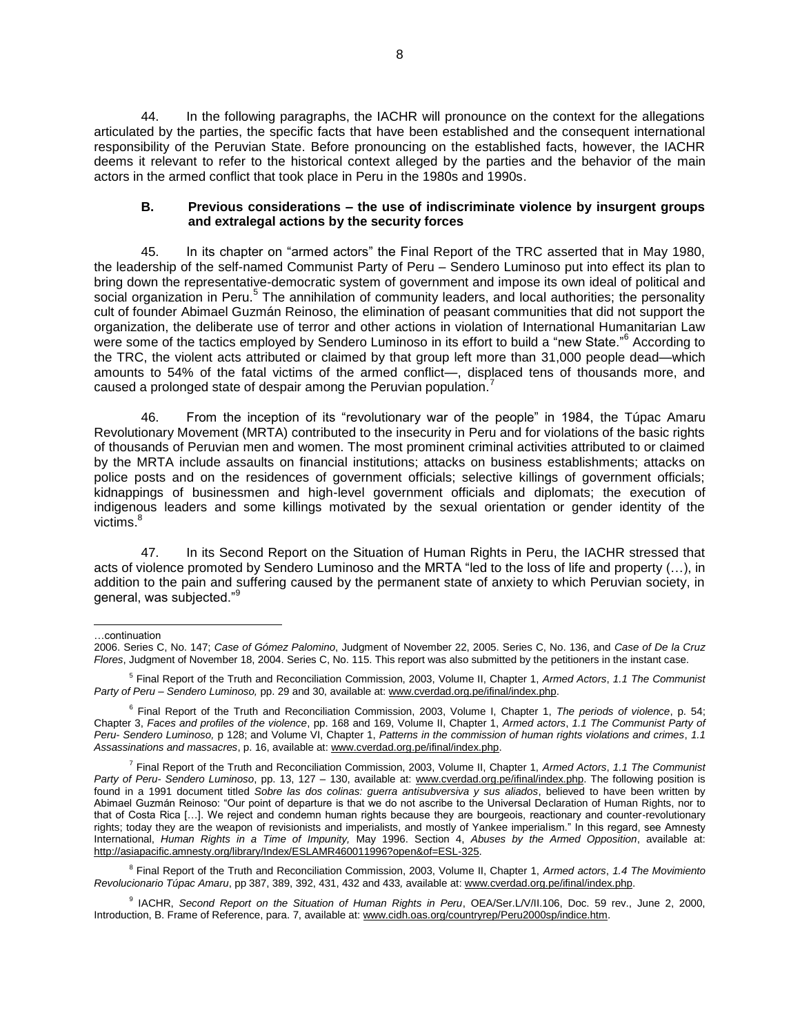44. In the following paragraphs, the IACHR will pronounce on the context for the allegations articulated by the parties, the specific facts that have been established and the consequent international responsibility of the Peruvian State. Before pronouncing on the established facts, however, the IACHR deems it relevant to refer to the historical context alleged by the parties and the behavior of the main actors in the armed conflict that took place in Peru in the 1980s and 1990s.

### **B. Previous considerations – the use of indiscriminate violence by insurgent groups and extralegal actions by the security forces**

45. In its chapter on "armed actors" the Final Report of the TRC asserted that in May 1980, the leadership of the self-named Communist Party of Peru – Sendero Luminoso put into effect its plan to bring down the representative-democratic system of government and impose its own ideal of political and social organization in Peru.<sup>5</sup> The annihilation of community leaders, and local authorities; the personality cult of founder Abimael Guzmán Reinoso, the elimination of peasant communities that did not support the organization, the deliberate use of terror and other actions in violation of International Humanitarian Law were some of the tactics employed by Sendero Luminoso in its effort to build a "new State."<sup>6</sup> According to the TRC, the violent acts attributed or claimed by that group left more than 31,000 people dead—which amounts to 54% of the fatal victims of the armed conflict—, displaced tens of thousands more, and caused a prolonged state of despair among the Peruvian population.<sup>7</sup>

46. From the inception of its "revolutionary war of the people" in 1984, the Túpac Amaru Revolutionary Movement (MRTA) contributed to the insecurity in Peru and for violations of the basic rights of thousands of Peruvian men and women. The most prominent criminal activities attributed to or claimed by the MRTA include assaults on financial institutions; attacks on business establishments; attacks on police posts and on the residences of government officials; selective killings of government officials; kidnappings of businessmen and high-level government officials and diplomats; the execution of indigenous leaders and some killings motivated by the sexual orientation or gender identity of the victims.<sup>8</sup>

47. In its Second Report on the Situation of Human Rights in Peru, the IACHR stressed that acts of violence promoted by Sendero Luminoso and the MRTA "led to the loss of life and property (…), in addition to the pain and suffering caused by the permanent state of anxiety to which Peruvian society, in general, was subjected."<sup>9</sup>

…continuation

l

<sup>2006.</sup> Series C, No. 147; *Case of Gómez Palomino*, Judgment of November 22, 2005. Series C, No. 136, and *Case of De la Cruz Flores*, Judgment of November 18, 2004. Series C, No. 115. This report was also submitted by the petitioners in the instant case.

<sup>5</sup> Final Report of the Truth and Reconciliation Commission, 2003, Volume II, Chapter 1, *Armed Actors*, *1.1 The Communist Party of Peru – Sendero Luminoso,* pp. 29 and 30, available at[: www.cverdad.org.pe/ifinal/index.php.](http://www.cverdad.org.pe/ifinal/index.php)

<sup>6</sup> Final Report of the Truth and Reconciliation Commission, 2003, Volume I, Chapter 1, *The periods of violence*, p. 54; Chapter 3, *Faces and profiles of the violence*, pp. 168 and 169, Volume II, Chapter 1, *Armed actors*, *1.1 The Communist Party of Peru- Sendero Luminoso,* p 128; and Volume VI, Chapter 1, *Patterns in the commission of human rights violations and crimes*, *1.1 Assassinations and massacres*, p. 16, available at[: www.cverdad.org.pe/ifinal/index.php.](http://www.cverdad.org.pe/ifinal/index.php)

<sup>7</sup> Final Report of the Truth and Reconciliation Commission, 2003, Volume II, Chapter 1, *Armed Actors*, *1.1 The Communist Party of Peru- Sendero Luminoso*, pp. 13, 127 – 130, available at: [www.cverdad.org.pe/ifinal/index.php.](http://www.cverdad.org.pe/ifinal/index.php) The following position is found in a 1991 document titled *Sobre las dos colinas: guerra antisubversiva y sus aliados*, believed to have been written by Abimael Guzmán Reinoso: "Our point of departure is that we do not ascribe to the Universal Declaration of Human Rights, nor to that of Costa Rica […]. We reject and condemn human rights because they are bourgeois, reactionary and counter-revolutionary rights; today they are the weapon of revisionists and imperialists, and mostly of Yankee imperialism." In this regard, see Amnesty International, *Human Rights in a Time of Impunity,* May 1996. Section 4, *Abuses by the Armed Opposition*, available at: [http://asiapacific.amnesty.org/library/Index/ESLAMR460011996?open&of=ESL-325.](http://asiapacific.amnesty.org/library/Index/ESLAMR460011996?open&of=ESL-325)

<sup>8</sup> Final Report of the Truth and Reconciliation Commission, 2003, Volume II, Chapter 1, *Armed actors*, *1.4 The Movimiento Revolucionario Túpac Amaru*, pp 387, 389, 392, 431, 432 and 433*,* available at: [www.cverdad.org.pe/ifinal/index.php.](http://www.cverdad.org.pe/ifinal/index.php) 

<sup>9</sup> IACHR, *Second Report on the Situation of Human Rights in Peru*, OEA/Ser.L/V/II.106, Doc. 59 rev., June 2, 2000, Introduction, B. Frame of Reference, para. 7, available at: [www.cidh.oas.org/countryrep/Peru2000sp/indice.htm.](http://www.cidh.oas.org/countryrep/Peru2000sp/indice.htm)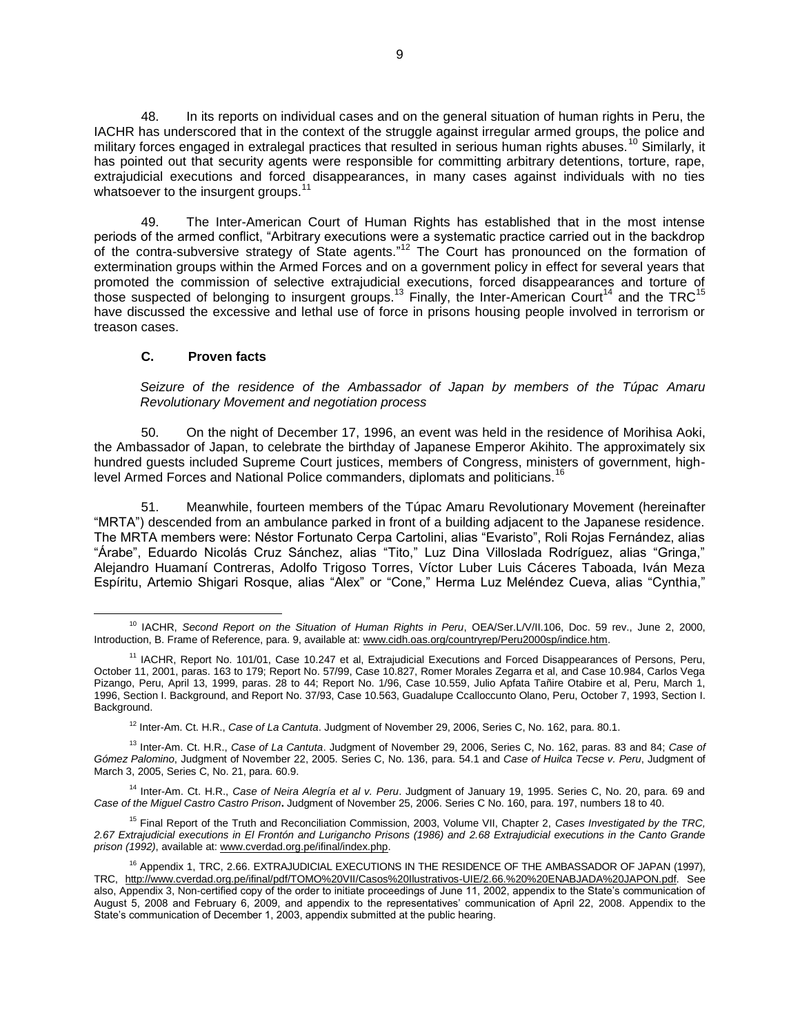48. In its reports on individual cases and on the general situation of human rights in Peru, the IACHR has underscored that in the context of the struggle against irregular armed groups, the police and military forces engaged in extralegal practices that resulted in serious human rights abuses.<sup>10</sup> Similarly, it has pointed out that security agents were responsible for committing arbitrary detentions, torture, rape, extrajudicial executions and forced disappearances, in many cases against individuals with no ties whatsoever to the insurgent groups.<sup>11</sup>

49. The Inter-American Court of Human Rights has established that in the most intense periods of the armed conflict, "Arbitrary executions were a systematic practice carried out in the backdrop of the contra-subversive strategy of State agents."<sup>12</sup> The Court has pronounced on the formation of extermination groups within the Armed Forces and on a government policy in effect for several years that promoted the commission of selective extrajudicial executions, forced disappearances and torture of those suspected of belonging to insurgent groups.<sup>13</sup> Finally, the Inter-American Court<sup>14</sup> and the TRC<sup>15</sup> have discussed the excessive and lethal use of force in prisons housing people involved in terrorism or treason cases.

## **C. Proven facts**

 $\overline{a}$ 

*Seizure of the residence of the Ambassador of Japan by members of the Túpac Amaru Revolutionary Movement and negotiation process*

50. On the night of December 17, 1996, an event was held in the residence of Morihisa Aoki, the Ambassador of Japan, to celebrate the birthday of Japanese Emperor Akihito. The approximately six hundred guests included Supreme Court justices, members of Congress, ministers of government, highlevel Armed Forces and National Police commanders, diplomats and politicians.<sup>16</sup>

51. Meanwhile, fourteen members of the Túpac Amaru Revolutionary Movement (hereinafter "MRTA") descended from an ambulance parked in front of a building adjacent to the Japanese residence. The MRTA members were: Néstor Fortunato Cerpa Cartolini, alias "Evaristo", Roli Rojas Fernández, alias "Árabe", Eduardo Nicolás Cruz Sánchez, alias "Tito," Luz Dina Villoslada Rodríguez, alias "Gringa," Alejandro Huamaní Contreras, Adolfo Trigoso Torres, Víctor Luber Luis Cáceres Taboada, Iván Meza Espíritu, Artemio Shigari Rosque, alias "Alex" or "Cone," Herma Luz Meléndez Cueva, alias "Cynthia,"

<sup>&</sup>lt;sup>10</sup> IACHR, *Second Report on the Situation of Human Rights in Peru*, OEA/Ser.L/V/II.106, Doc. 59 rev., June 2, 2000, Introduction, B. Frame of Reference, para. 9, available at: [www.cidh.oas.org/countryrep/Peru2000sp/indice.htm.](http://www.cidh.oas.org/countryrep/Peru2000sp/indice.htm)

<sup>11</sup> IACHR, Report No. 101/01, Case 10.247 et al, Extrajudicial Executions and Forced Disappearances of Persons, Peru, October 11, 2001, paras. 163 to 179; Report No. 57/99, Case 10.827, Romer Morales Zegarra et al, and Case 10.984, Carlos Vega Pizango, Peru, April 13, 1999, paras. 28 to 44; Report No. 1/96, Case 10.559, Julio Apfata Tañire Otabire et al, Peru, March 1, 1996, Section I. Background, and Report No. 37/93, Case 10.563, Guadalupe Ccalloccunto Olano, Peru, October 7, 1993, Section I. Background.

<sup>12</sup> Inter-Am. Ct. H.R., *Case of La Cantuta*. Judgment of November 29, 2006, Series C, No. 162, para. 80.1.

<sup>13</sup> Inter-Am. Ct. H.R., *Case of La Cantuta*. Judgment of November 29, 2006, Series C, No. 162, paras. 83 and 84; *Case of Gómez Palomino*, Judgment of November 22, 2005. Series C, No. 136, para. 54.1 and *Case of Huilca Tecse v. Peru*, Judgment of March 3, 2005, Series C, No. 21, para. 60.9.

<sup>14</sup> Inter-Am. Ct. H.R., *Case of Neira Alegría et al v. Peru*. Judgment of January 19, 1995. Series C, No. 20, para. 69 and *Case of the Miguel Castro Castro Prison***.** Judgment of November 25, 2006. Series C No. 160, para. 197, numbers 18 to 40.

<sup>15</sup> Final Report of the Truth and Reconciliation Commission, 2003, Volume VII, Chapter 2, *Cases Investigated by the TRC, 2.67 Extrajudicial executions in El Frontón and Lurigancho Prisons (1986) and 2.68 Extrajudicial executions in the Canto Grande prison (1992)*, available at[: www.cverdad.org.pe/ifinal/index.php.](http://www.cverdad.org.pe/ifinal/index.php)

<sup>&</sup>lt;sup>16</sup> Appendix 1, TRC, 2.66. EXTRAJUDICIAL EXECUTIONS IN THE RESIDENCE OF THE AMBASSADOR OF JAPAN (1997), TRC, [http://www.cverdad.org.pe/ifinal/pdf/TOMO%20VII/Casos%20Ilustrativos-UIE/2.66.%20%20ENABJADA%20JAPON.pdf.](http://www.cverdad.org.pe/ifinal/pdf/TOMO%20VII/Casos%20Ilustrativos-UIE/2.66.%20%20ENABJADA%20JAPON.pdf) See also, Appendix 3, Non-certified copy of the order to initiate proceedings of June 11, 2002, appendix to the State's communication of August 5, 2008 and February 6, 2009, and appendix to the representatives' communication of April 22, 2008. Appendix to the State's communication of December 1, 2003, appendix submitted at the public hearing.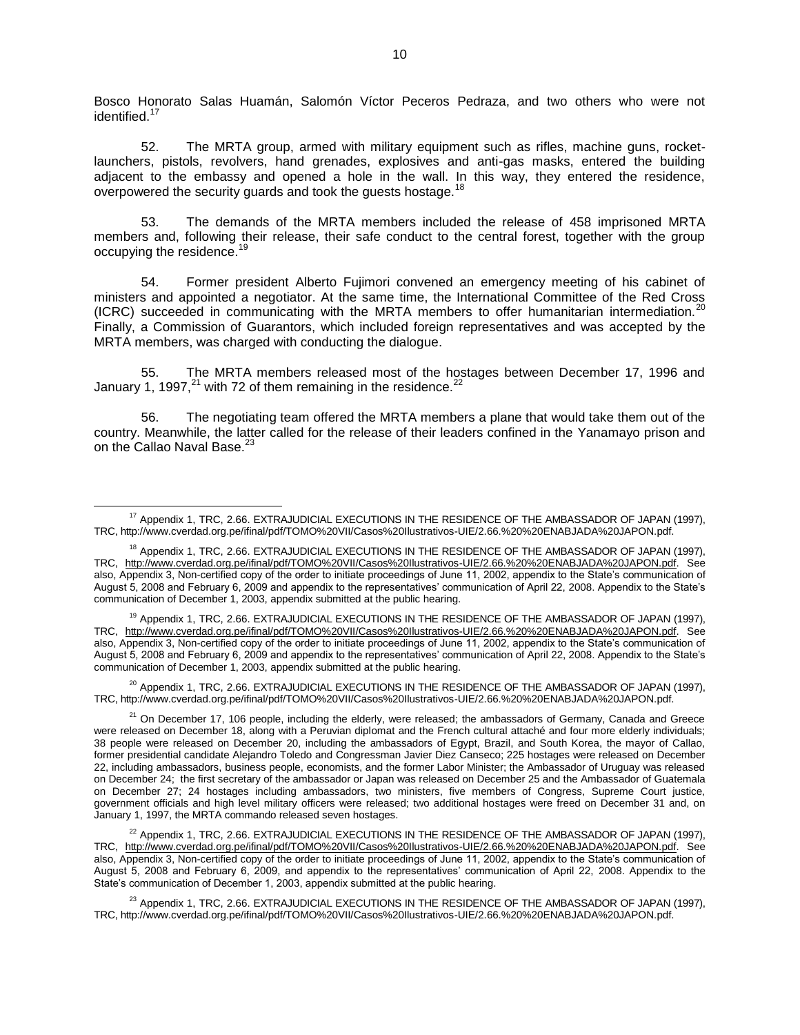Bosco Honorato Salas Huamán, Salomón Víctor Peceros Pedraza, and two others who were not identified.<sup>17</sup>

52. The MRTA group, armed with military equipment such as rifles, machine guns, rocketlaunchers, pistols, revolvers, hand grenades, explosives and anti-gas masks, entered the building adjacent to the embassy and opened a hole in the wall. In this way, they entered the residence, overpowered the security guards and took the guests hostage.<sup>18</sup>

53. The demands of the MRTA members included the release of 458 imprisoned MRTA members and, following their release, their safe conduct to the central forest, together with the group occupying the residence.<sup>19</sup>

54. Former president Alberto Fujimori convened an emergency meeting of his cabinet of ministers and appointed a negotiator. At the same time, the International Committee of the Red Cross (ICRC) succeeded in communicating with the MRTA members to offer humanitarian intermediation.<sup>2</sup> Finally, a Commission of Guarantors, which included foreign representatives and was accepted by the MRTA members, was charged with conducting the dialogue.

55. The MRTA members released most of the hostages between December 17, 1996 and January 1, 1997, $^{21}$  with 72 of them remaining in the residence.<sup>22</sup>

56. The negotiating team offered the MRTA members a plane that would take them out of the country. Meanwhile, the latter called for the release of their leaders confined in the Yanamayo prison and on the Callao Naval Base.<sup>23</sup>

 $\overline{a}$ 

<sup>19</sup> Appendix 1, TRC, 2.66. EXTRAJUDICIAL EXECUTIONS IN THE RESIDENCE OF THE AMBASSADOR OF JAPAN (1997). TRC, [http://www.cverdad.org.pe/ifinal/pdf/TOMO%20VII/Casos%20Ilustrativos-UIE/2.66.%20%20ENABJADA%20JAPON.pdf.](http://www.cverdad.org.pe/ifinal/pdf/TOMO%20VII/Casos%20Ilustrativos-UIE/2.66.%20%20ENABJADA%20JAPON.pdf) See also, Appendix 3, Non-certified copy of the order to initiate proceedings of June 11, 2002, appendix to the State's communication of August 5, 2008 and February 6, 2009 and appendix to the representatives' communication of April 22, 2008. Appendix to the State's communication of December 1, 2003, appendix submitted at the public hearing.

 $^{20}$  Appendix 1, TRC, 2.66. EXTRAJUDICIAL EXECUTIONS IN THE RESIDENCE OF THE AMBASSADOR OF JAPAN (1997), TRC, http://www.cverdad.org.pe/ifinal/pdf/TOMO%20VII/Casos%20Ilustrativos-UIE/2.66.%20%20ENABJADA%20JAPON.pdf.

 $21$  On December 17, 106 people, including the elderly, were released; the ambassadors of Germany, Canada and Greece were released on December 18, along with a Peruvian diplomat and the French cultural attaché and four more elderly individuals; 38 people were released on December 20, including the ambassadors of Egypt, Brazil, and South Korea, the mayor of Callao, former presidential candidate Alejandro Toledo and Congressman Javier Diez Canseco; 225 hostages were released on December 22, including ambassadors, business people, economists, and the former Labor Minister; the Ambassador of Uruguay was released on December 24; the first secretary of the ambassador or Japan was released on December 25 and the Ambassador of Guatemala on December 27; 24 hostages including ambassadors, two ministers, five members of Congress, Supreme Court justice, government officials and high level military officers were released; two additional hostages were freed on December 31 and, on January 1, 1997, the MRTA commando released seven hostages.

 $^{22}$  Appendix 1, TRC, 2.66. EXTRAJUDICIAL EXECUTIONS IN THE RESIDENCE OF THE AMBASSADOR OF JAPAN (1997), TRC, [http://www.cverdad.org.pe/ifinal/pdf/TOMO%20VII/Casos%20Ilustrativos-UIE/2.66.%20%20ENABJADA%20JAPON.pdf.](http://www.cverdad.org.pe/ifinal/pdf/TOMO%20VII/Casos%20Ilustrativos-UIE/2.66.%20%20ENABJADA%20JAPON.pdf) See also, Appendix 3, Non-certified copy of the order to initiate proceedings of June 11, 2002, appendix to the State's communication of August 5, 2008 and February 6, 2009, and appendix to the representatives' communication of April 22, 2008. Appendix to the State's communication of December 1, 2003, appendix submitted at the public hearing.

 $^{23}$  Appendix 1, TRC, 2.66. EXTRAJUDICIAL EXECUTIONS IN THE RESIDENCE OF THE AMBASSADOR OF JAPAN (1997), TRC, http://www.cverdad.org.pe/ifinal/pdf/TOMO%20VII/Casos%20Ilustrativos-UIE/2.66.%20%20ENABJADA%20JAPON.pdf.

<sup>&</sup>lt;sup>17</sup> Appendix 1, TRC, 2.66. EXTRAJUDICIAL EXECUTIONS IN THE RESIDENCE OF THE AMBASSADOR OF JAPAN (1997), TRC, http://www.cverdad.org.pe/ifinal/pdf/TOMO%20VII/Casos%20Ilustrativos-UIE/2.66.%20%20ENABJADA%20JAPON.pdf.

<sup>&</sup>lt;sup>18</sup> Appendix 1, TRC, 2.66. EXTRAJUDICIAL EXECUTIONS IN THE RESIDENCE OF THE AMBASSADOR OF JAPAN (1997), TRC, [http://www.cverdad.org.pe/ifinal/pdf/TOMO%20VII/Casos%20Ilustrativos-UIE/2.66.%20%20ENABJADA%20JAPON.pdf.](http://www.cverdad.org.pe/ifinal/pdf/TOMO%20VII/Casos%20Ilustrativos-UIE/2.66.%20%20ENABJADA%20JAPON.pdf) See also, Appendix 3, Non-certified copy of the order to initiate proceedings of June 11, 2002, appendix to the State's communication of August 5, 2008 and February 6, 2009 and appendix to the representatives' communication of April 22, 2008. Appendix to the State's communication of December 1, 2003, appendix submitted at the public hearing.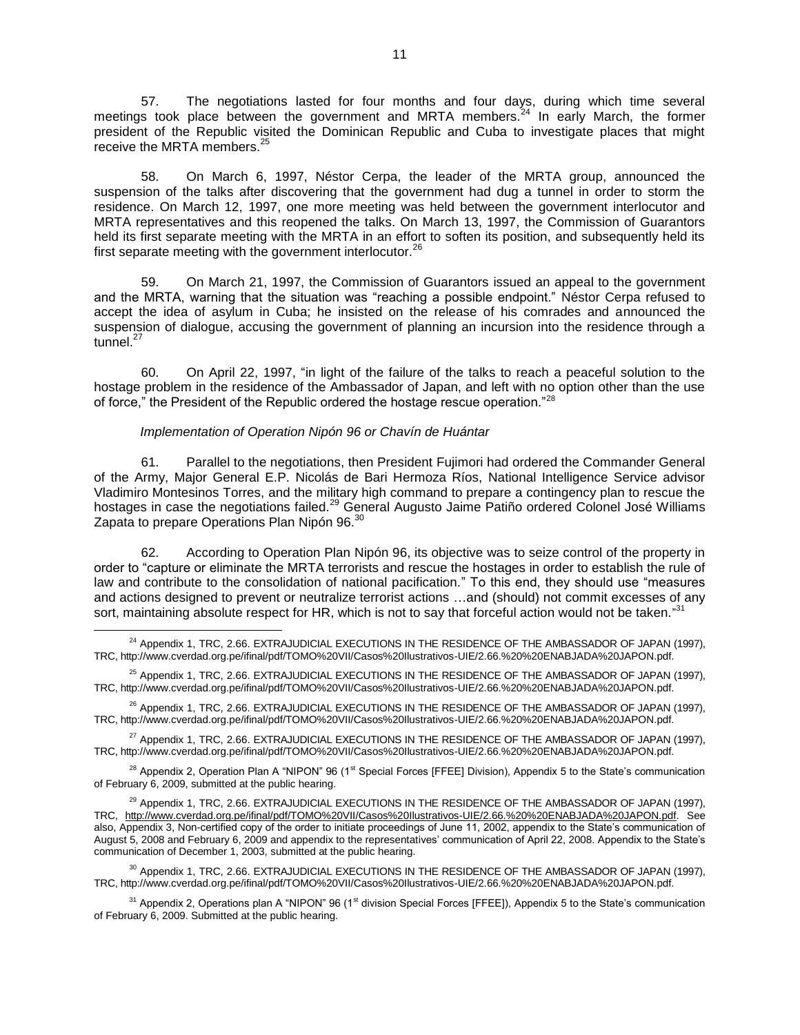57. The negotiations lasted for four months and four days, during which time several meetings took place between the government and MRTA members. $24$  In early March, the former president of the Republic visited the Dominican Republic and Cuba to investigate places that might receive the MRTA members.<sup>25</sup>

58. On March 6, 1997, Néstor Cerpa, the leader of the MRTA group, announced the suspension of the talks after discovering that the government had dug a tunnel in order to storm the residence. On March 12, 1997, one more meeting was held between the government interlocutor and MRTA representatives and this reopened the talks. On March 13, 1997, the Commission of Guarantors held its first separate meeting with the MRTA in an effort to soften its position, and subsequently held its first separate meeting with the government interlocutor.<sup>26</sup>

59. On March 21, 1997, the Commission of Guarantors issued an appeal to the government and the MRTA, warning that the situation was "reaching a possible endpoint." Néstor Cerpa refused to accept the idea of asylum in Cuba; he insisted on the release of his comrades and announced the suspension of dialogue, accusing the government of planning an incursion into the residence through a tunnel.<sup>27</sup>

60. On April 22, 1997, "in light of the failure of the talks to reach a peaceful solution to the hostage problem in the residence of the Ambassador of Japan, and left with no option other than the use of force," the President of the Republic ordered the hostage rescue operation."<sup>28</sup>

#### *Implementation of Operation Nipón 96 or Chavín de Huántar*

61. Parallel to the negotiations, then President Fujimori had ordered the Commander General of the Army, Major General E.P. Nicolás de Bari Hermoza Ríos, National Intelligence Service advisor Vladimiro Montesinos Torres, and the military high command to prepare a contingency plan to rescue the hostages in case the negotiations failed.<sup>29</sup> General Augusto Jaime Patiño ordered Colonel José Williams Zapata to prepare Operations Plan Nipón 96.<sup>30</sup>

62. According to Operation Plan Nipón 96, its objective was to seize control of the property in order to "capture or eliminate the MRTA terrorists and rescue the hostages in order to establish the rule of law and contribute to the consolidation of national pacification." To this end, they should use "measures and actions designed to prevent or neutralize terrorist actions …and (should) not commit excesses of any sort, maintaining absolute respect for HR, which is not to say that forceful action would not be taken."<sup>31</sup>

<sup>26</sup> Appendix 1, TRC, 2.66. EXTRAJUDICIAL EXECUTIONS IN THE RESIDENCE OF THE AMBASSADOR OF JAPAN (1997), TRC, http://www.cverdad.org.pe/ifinal/pdf/TOMO%20VII/Casos%20Ilustrativos-UIE/2.66.%20%20ENABJADA%20JAPON.pdf.

 $^{27}$  Appendix 1, TRC, 2.66. EXTRAJUDICIAL EXECUTIONS IN THE RESIDENCE OF THE AMBASSADOR OF JAPAN (1997), TRC, http://www.cverdad.org.pe/ifinal/pdf/TOMO%20VII/Casos%20Ilustrativos-UIE/2.66.%20%20ENABJADA%20JAPON.pdf.

<sup>28</sup> Appendix 2, Operation Plan A "NIPON" 96 (1<sup>st</sup> Special Forces [FFEE] Division), Appendix 5 to the State's communication of February 6, 2009, submitted at the public hearing.

 $^{29}$  Appendix 1, TRC, 2.66. EXTRAJUDICIAL EXECUTIONS IN THE RESIDENCE OF THE AMBASSADOR OF JAPAN (1997), TRC, [http://www.cverdad.org.pe/ifinal/pdf/TOMO%20VII/Casos%20Ilustrativos-UIE/2.66.%20%20ENABJADA%20JAPON.pdf.](http://www.cverdad.org.pe/ifinal/pdf/TOMO%20VII/Casos%20Ilustrativos-UIE/2.66.%20%20ENABJADA%20JAPON.pdf) See also, Appendix 3, Non-certified copy of the order to initiate proceedings of June 11, 2002, appendix to the State's communication of August 5, 2008 and February 6, 2009 and appendix to the representatives' communication of April 22, 2008. Appendix to the State's communication of December 1, 2003, submitted at the public hearing.

<sup>30</sup> Appendix 1, TRC, 2.66. EXTRAJUDICIAL EXECUTIONS IN THE RESIDENCE OF THE AMBASSADOR OF JAPAN (1997), TRC, http://www.cverdad.org.pe/ifinal/pdf/TOMO%20VII/Casos%20Ilustrativos-UIE/2.66.%20%20ENABJADA%20JAPON.pdf.

 $31$  Appendix 2, Operations plan A "NIPON" 96 (1st division Special Forces [FFEE]), Appendix 5 to the State's communication of February 6, 2009. Submitted at the public hearing.

 $\overline{a}$  $^{24}$  Appendix 1, TRC, 2.66. EXTRAJUDICIAL EXECUTIONS IN THE RESIDENCE OF THE AMBASSADOR OF JAPAN (1997), TRC, http://www.cverdad.org.pe/ifinal/pdf/TOMO%20VII/Casos%20Ilustrativos-UIE/2.66.%20%20ENABJADA%20JAPON.pdf.

<sup>&</sup>lt;sup>25</sup> Appendix 1, TRC, 2.66. EXTRAJUDICIAL EXECUTIONS IN THE RESIDENCE OF THE AMBASSADOR OF JAPAN (1997), TRC, http://www.cverdad.org.pe/ifinal/pdf/TOMO%20VII/Casos%20Ilustrativos-UIE/2.66.%20%20ENABJADA%20JAPON.pdf.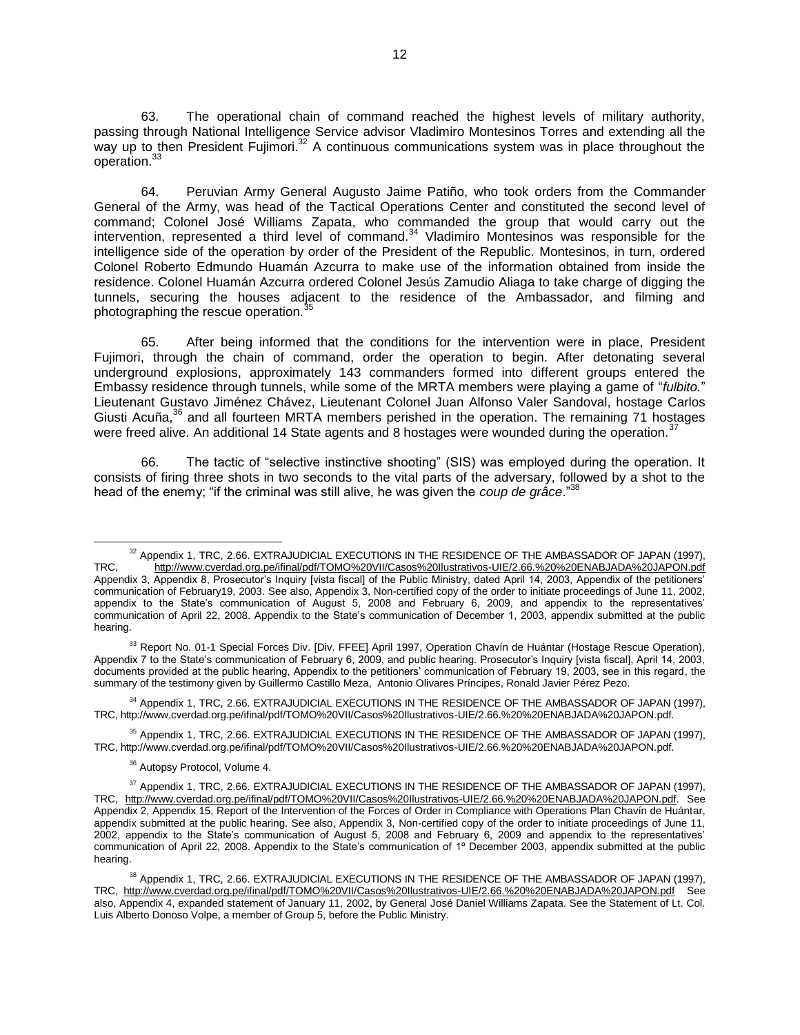63. The operational chain of command reached the highest levels of military authority, passing through National Intelligence Service advisor Vladimiro Montesinos Torres and extending all the way up to then President Fujimori.<sup>32</sup> A continuous communications system was in place throughout the operation.<sup>33</sup>

64. Peruvian Army General Augusto Jaime Patiño, who took orders from the Commander General of the Army, was head of the Tactical Operations Center and constituted the second level of command; Colonel José Williams Zapata, who commanded the group that would carry out the intervention, represented a third level of command. $34$  Vladimiro Montesinos was responsible for the intelligence side of the operation by order of the President of the Republic. Montesinos, in turn, ordered Colonel Roberto Edmundo Huamán Azcurra to make use of the information obtained from inside the residence. Colonel Huamán Azcurra ordered Colonel Jesús Zamudio Aliaga to take charge of digging the tunnels, securing the houses adjacent to the residence of the Ambassador, and filming and photographing the rescue operation.<sup>3</sup>

65. After being informed that the conditions for the intervention were in place, President Fujimori, through the chain of command, order the operation to begin. After detonating several underground explosions, approximately 143 commanders formed into different groups entered the Embassy residence through tunnels, while some of the MRTA members were playing a game of "*fulbito.*" Lieutenant Gustavo Jiménez Chávez, Lieutenant Colonel Juan Alfonso Valer Sandoval, hostage Carlos Giusti Acuña,<sup>36</sup> and all fourteen MRTA members perished in the operation. The remaining 71 hostages were freed alive. An additional 14 State agents and 8 hostages were wounded during the operation.<sup>37</sup>

66. The tactic of "selective instinctive shooting" (SIS) was employed during the operation. It consists of firing three shots in two seconds to the vital parts of the adversary, followed by a shot to the head of the enemy; "if the criminal was still alive, he was given the *coup de grâce*."<sup>3</sup>

 $\overline{a}$ <sup>32</sup> Appendix 1, TRC, 2.66. EXTRAJUDICIAL EXECUTIONS IN THE RESIDENCE OF THE AMBASSADOR OF JAPAN (1997), TRC, <http://www.cverdad.org.pe/ifinal/pdf/TOMO%20VII/Casos%20Ilustrativos-UIE/2.66.%20%20ENABJADA%20JAPON.pdf> Appendix 3, Appendix 8, Prosecutor's Inquiry [vista fiscal] of the Public Ministry, dated April 14, 2003, Appendix of the petitioners' communication of February19, 2003. See also, Appendix 3, Non-certified copy of the order to initiate proceedings of June 11, 2002, appendix to the State's communication of August 5, 2008 and February 6, 2009, and appendix to the representatives' communication of April 22, 2008. Appendix to the State's communication of December 1, 2003, appendix submitted at the public hearing.

<sup>33</sup> Report No. 01-1 Special Forces Div. [Div. FFEE] April 1997, Operation Chavín de Huántar (Hostage Rescue Operation), Appendix 7 to the State's communication of February 6, 2009, and public hearing. Prosecutor's Inquiry [vista fiscal], April 14, 2003, documents provided at the public hearing, Appendix to the petitioners' communication of February 19, 2003, see in this regard, the summary of the testimony given by Guillermo Castillo Meza, Antonio Olivares Príncipes, Ronald Javier Pérez Pezo.

<sup>34</sup> Appendix 1, TRC, 2.66. EXTRAJUDICIAL EXECUTIONS IN THE RESIDENCE OF THE AMBASSADOR OF JAPAN (1997), TRC, http://www.cverdad.org.pe/ifinal/pdf/TOMO%20VII/Casos%20Ilustrativos-UIE/2.66.%20%20ENABJADA%20JAPON.pdf.

<sup>35</sup> Appendix 1, TRC, 2.66. EXTRAJUDICIAL EXECUTIONS IN THE RESIDENCE OF THE AMBASSADOR OF JAPAN (1997), TRC, http://www.cverdad.org.pe/ifinal/pdf/TOMO%20VII/Casos%20Ilustrativos-UIE/2.66.%20%20ENABJADA%20JAPON.pdf.

<sup>36</sup> Autopsy Protocol, Volume 4.

<sup>37</sup> Appendix 1, TRC, 2.66. EXTRAJUDICIAL EXECUTIONS IN THE RESIDENCE OF THE AMBASSADOR OF JAPAN (1997), TRC, [http://www.cverdad.org.pe/ifinal/pdf/TOMO%20VII/Casos%20Ilustrativos-UIE/2.66.%20%20ENABJADA%20JAPON.pdf.](http://www.cverdad.org.pe/ifinal/pdf/TOMO%20VII/Casos%20Ilustrativos-UIE/2.66.%20%20ENABJADA%20JAPON.pdf) See Appendix 2, Appendix 15, Report of the Intervention of the Forces of Order in Compliance with Operations Plan Chavín de Huántar, appendix submitted at the public hearing. See also, Appendix 3, Non-certified copy of the order to initiate proceedings of June 11, 2002, appendix to the State's communication of August 5, 2008 and February 6, 2009 and appendix to the representatives' communication of April 22, 2008. Appendix to the State's communication of 1º December 2003, appendix submitted at the public hearing.

<sup>38</sup> Appendix 1, TRC, 2.66. EXTRAJUDICIAL EXECUTIONS IN THE RESIDENCE OF THE AMBASSADOR OF JAPAN (1997), TRC,<http://www.cverdad.org.pe/ifinal/pdf/TOMO%20VII/Casos%20Ilustrativos-UIE/2.66.%20%20ENABJADA%20JAPON.pdf>See also, Appendix 4, expanded statement of January 11, 2002, by General José Daniel Williams Zapata. See the Statement of Lt. Col. Luis Alberto Donoso Volpe, a member of Group 5, before the Public Ministry.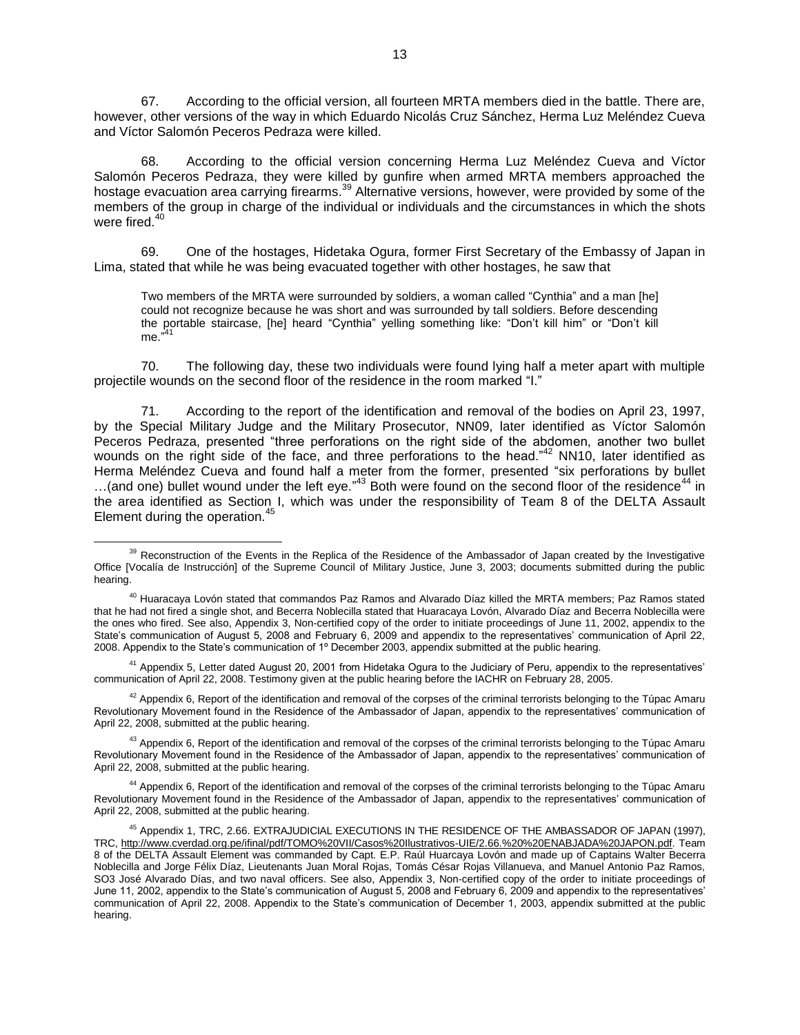67. According to the official version, all fourteen MRTA members died in the battle. There are, however, other versions of the way in which Eduardo Nicolás Cruz Sánchez, Herma Luz Meléndez Cueva and Víctor Salomón Peceros Pedraza were killed.

68. According to the official version concerning Herma Luz Meléndez Cueva and Víctor Salomón Peceros Pedraza, they were killed by gunfire when armed MRTA members approached the hostage evacuation area carrying firearms.<sup>39</sup> Alternative versions, however, were provided by some of the members of the group in charge of the individual or individuals and the circumstances in which the shots were fired.<sup>40</sup>

69. One of the hostages, Hidetaka Ogura, former First Secretary of the Embassy of Japan in Lima, stated that while he was being evacuated together with other hostages, he saw that

Two members of the MRTA were surrounded by soldiers, a woman called "Cynthia" and a man [he] could not recognize because he was short and was surrounded by tall soldiers. Before descending the portable staircase, [he] heard "Cynthia" yelling something like: "Don't kill him" or "Don't kill me." 41

70. The following day, these two individuals were found lying half a meter apart with multiple projectile wounds on the second floor of the residence in the room marked "I."

71. According to the report of the identification and removal of the bodies on April 23, 1997, by the Special Military Judge and the Military Prosecutor, NN09, later identified as Víctor Salomón Peceros Pedraza, presented "three perforations on the right side of the abdomen, another two bullet wounds on the right side of the face, and three perforations to the head."<sup>42</sup> NN10, later identified as Herma Meléndez Cueva and found half a meter from the former, presented "six perforations by bullet ...(and one) bullet wound under the left eye."<sup>43</sup> Both were found on the second floor of the residence<sup>44</sup> in the area identified as Section I, which was under the responsibility of Team 8 of the DELTA Assault Element during the operation.<sup>45</sup>

 $\overline{a}$ 

<sup>41</sup> Appendix 5, Letter dated August 20, 2001 from Hidetaka Ogura to the Judiciary of Peru, appendix to the representatives' communication of April 22, 2008. Testimony given at the public hearing before the IACHR on February 28, 2005.

 $42$  Appendix 6, Report of the identification and removal of the corpses of the criminal terrorists belonging to the Túpac Amaru Revolutionary Movement found in the Residence of the Ambassador of Japan, appendix to the representatives' communication of April 22, 2008, submitted at the public hearing.

 $43$  Appendix 6, Report of the identification and removal of the corpses of the criminal terrorists belonging to the Túpac Amaru Revolutionary Movement found in the Residence of the Ambassador of Japan, appendix to the representatives' communication of April 22, 2008, submitted at the public hearing.

44 Appendix 6, Report of the identification and removal of the corpses of the criminal terrorists belonging to the Túpac Amaru Revolutionary Movement found in the Residence of the Ambassador of Japan, appendix to the representatives' communication of April 22, 2008, submitted at the public hearing.

<sup>&</sup>lt;sup>39</sup> Reconstruction of the Events in the Replica of the Residence of the Ambassador of Japan created by the Investigative Office [Vocalía de Instrucción] of the Supreme Council of Military Justice, June 3, 2003; documents submitted during the public hearing.

<sup>&</sup>lt;sup>40</sup> Huaracaya Lovón stated that commandos Paz Ramos and Alvarado Díaz killed the MRTA members; Paz Ramos stated that he had not fired a single shot, and Becerra Noblecilla stated that Huaracaya Lovón, Alvarado Díaz and Becerra Noblecilla were the ones who fired. See also, Appendix 3, Non-certified copy of the order to initiate proceedings of June 11, 2002, appendix to the State's communication of August 5, 2008 and February 6, 2009 and appendix to the representatives' communication of April 22, 2008. Appendix to the State's communication of 1º December 2003, appendix submitted at the public hearing.

<sup>45</sup> Appendix 1, TRC, 2.66. EXTRAJUDICIAL EXECUTIONS IN THE RESIDENCE OF THE AMBASSADOR OF JAPAN (1997), TRC[, http://www.cverdad.org.pe/ifinal/pdf/TOMO%20VII/Casos%20Ilustrativos-UIE/2.66.%20%20ENABJADA%20JAPON.pdf.](http://www.cverdad.org.pe/ifinal/pdf/TOMO%20VII/Casos%20Ilustrativos-UIE/2.66.%20%20ENABJADA%20JAPON.pdf) Team 8 of the DELTA Assault Element was commanded by Capt. E.P. Raúl Huarcaya Lovón and made up of Captains Walter Becerra Noblecilla and Jorge Félix Díaz, Lieutenants Juan Moral Rojas, Tomás César Rojas Villanueva, and Manuel Antonio Paz Ramos, SO3 José Alvarado Días, and two naval officers. See also, Appendix 3, Non-certified copy of the order to initiate proceedings of June 11, 2002, appendix to the State's communication of August 5, 2008 and February 6, 2009 and appendix to the representatives' communication of April 22, 2008. Appendix to the State's communication of December 1, 2003, appendix submitted at the public hearing.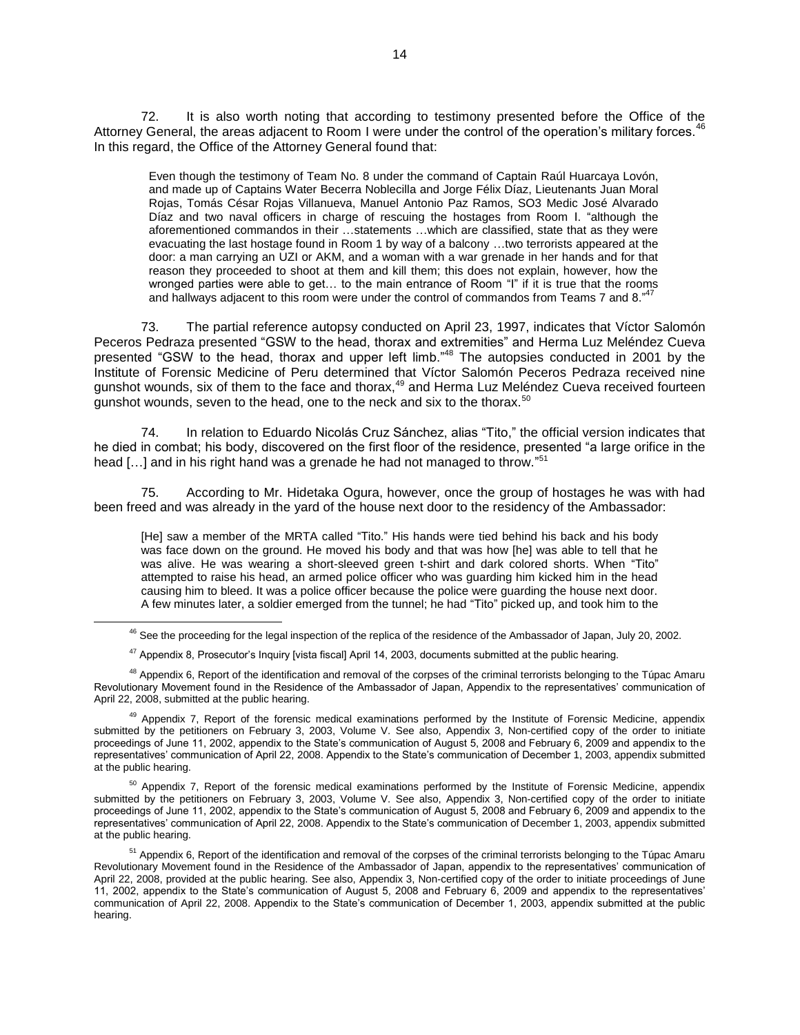72. It is also worth noting that according to testimony presented before the Office of the Attorney General, the areas adiacent to Room I were under the control of the operation's military forces.<sup>4</sup> In this regard, the Office of the Attorney General found that:

Even though the testimony of Team No. 8 under the command of Captain Raúl Huarcaya Lovón, and made up of Captains Water Becerra Noblecilla and Jorge Félix Díaz, Lieutenants Juan Moral Rojas, Tomás César Rojas Villanueva, Manuel Antonio Paz Ramos, SO3 Medic José Alvarado Díaz and two naval officers in charge of rescuing the hostages from Room I. "although the aforementioned commandos in their …statements …which are classified, state that as they were evacuating the last hostage found in Room 1 by way of a balcony …two terrorists appeared at the door: a man carrying an UZI or AKM, and a woman with a war grenade in her hands and for that reason they proceeded to shoot at them and kill them; this does not explain, however, how the wronged parties were able to get… to the main entrance of Room "I" if it is true that the rooms and hallways adjacent to this room were under the control of commandos from Teams 7 and 8.<sup>"4</sup>

73. The partial reference autopsy conducted on April 23, 1997, indicates that Víctor Salomón Peceros Pedraza presented "GSW to the head, thorax and extremities" and Herma Luz Meléndez Cueva presented "GSW to the head, thorax and upper left limb."<sup>48</sup> The autopsies conducted in 2001 by the Institute of Forensic Medicine of Peru determined that Víctor Salomón Peceros Pedraza received nine gunshot wounds, six of them to the face and thorax,<sup>49</sup> and Herma Luz Meléndez Cueva received fourteen gunshot wounds, seven to the head, one to the neck and six to the thorax.<sup>50</sup>

74. In relation to Eduardo Nicolás Cruz Sánchez, alias "Tito," the official version indicates that he died in combat; his body, discovered on the first floor of the residence, presented "a large orifice in the head [...] and in his right hand was a grenade he had not managed to throw."<sup>51</sup>

75. According to Mr. Hidetaka Ogura, however, once the group of hostages he was with had been freed and was already in the yard of the house next door to the residency of the Ambassador:

[He] saw a member of the MRTA called "Tito." His hands were tied behind his back and his body was face down on the ground. He moved his body and that was how [he] was able to tell that he was alive. He was wearing a short-sleeved green t-shirt and dark colored shorts. When "Tito" attempted to raise his head, an armed police officer who was guarding him kicked him in the head causing him to bleed. It was a police officer because the police were guarding the house next door. A few minutes later, a soldier emerged from the tunnel; he had "Tito" picked up, and took him to the

<sup>46</sup> See the proceeding for the legal inspection of the replica of the residence of the Ambassador of Japan, July 20, 2002.

<sup>&</sup>lt;sup>47</sup> Appendix 8, Prosecutor's Inquiry [vista fiscal] April 14, 2003, documents submitted at the public hearing.

<sup>&</sup>lt;sup>48</sup> Appendix 6, Report of the identification and removal of the corpses of the criminal terrorists belonging to the Túpac Amaru Revolutionary Movement found in the Residence of the Ambassador of Japan, Appendix to the representatives' communication of April 22, 2008, submitted at the public hearing.

<sup>&</sup>lt;sup>49</sup> Appendix 7, Report of the forensic medical examinations performed by the Institute of Forensic Medicine, appendix submitted by the petitioners on February 3, 2003, Volume V. See also, Appendix 3, Non-certified copy of the order to initiate proceedings of June 11, 2002, appendix to the State's communication of August 5, 2008 and February 6, 2009 and appendix to the representatives' communication of April 22, 2008. Appendix to the State's communication of December 1, 2003, appendix submitted at the public hearing.

<sup>&</sup>lt;sup>50</sup> Appendix 7, Report of the forensic medical examinations performed by the Institute of Forensic Medicine, appendix submitted by the petitioners on February 3, 2003, Volume V. See also, Appendix 3, Non-certified copy of the order to initiate proceedings of June 11, 2002, appendix to the State's communication of August 5, 2008 and February 6, 2009 and appendix to the representatives' communication of April 22, 2008. Appendix to the State's communication of December 1, 2003, appendix submitted at the public hearing.

<sup>&</sup>lt;sup>51</sup> Appendix 6, Report of the identification and removal of the corpses of the criminal terrorists belonging to the Túpac Amaru Revolutionary Movement found in the Residence of the Ambassador of Japan, appendix to the representatives' communication of April 22, 2008, provided at the public hearing. See also, Appendix 3, Non-certified copy of the order to initiate proceedings of June 11, 2002, appendix to the State's communication of August 5, 2008 and February 6, 2009 and appendix to the representatives' communication of April 22, 2008. Appendix to the State's communication of December 1, 2003, appendix submitted at the public hearing.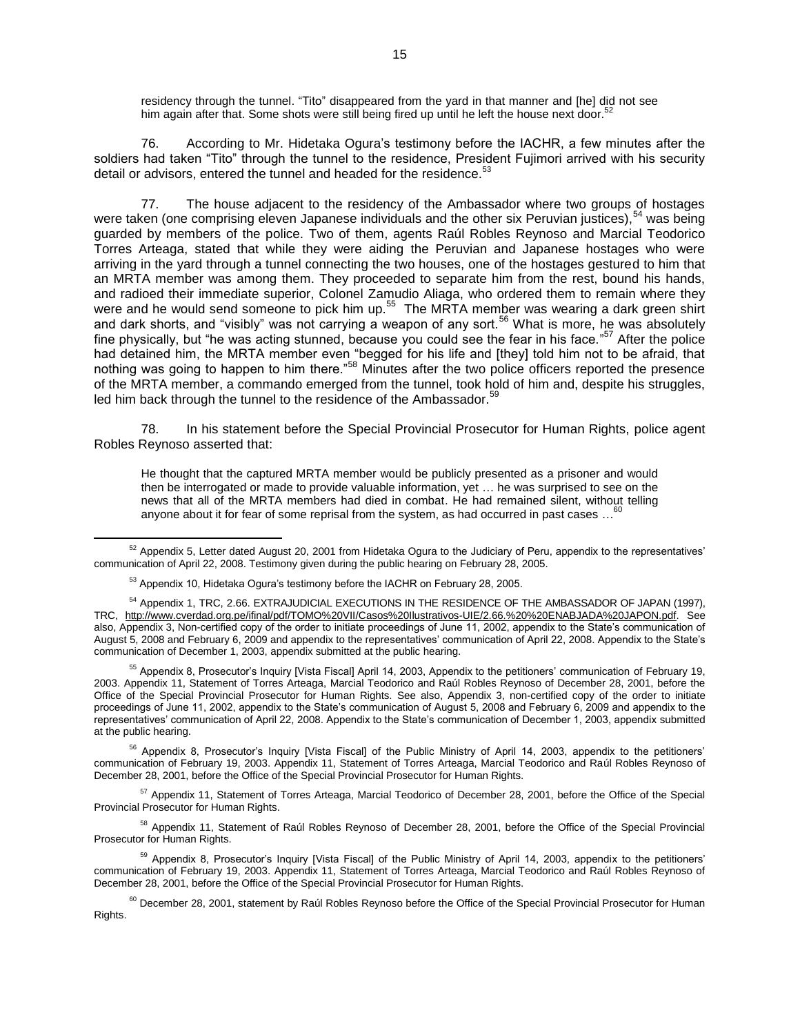residency through the tunnel. "Tito" disappeared from the yard in that manner and [he] did not see him again after that. Some shots were still being fired up until he left the house next door.<sup>52</sup>

76. According to Mr. Hidetaka Ogura's testimony before the IACHR, a few minutes after the soldiers had taken "Tito" through the tunnel to the residence, President Fujimori arrived with his security detail or advisors, entered the tunnel and headed for the residence.<sup>53</sup>

77. The house adjacent to the residency of the Ambassador where two groups of hostages were taken (one comprising eleven Japanese individuals and the other six Peruvian justices),<sup>54</sup> was being guarded by members of the police. Two of them, agents Raúl Robles Reynoso and Marcial Teodorico Torres Arteaga, stated that while they were aiding the Peruvian and Japanese hostages who were arriving in the yard through a tunnel connecting the two houses, one of the hostages gestured to him that an MRTA member was among them. They proceeded to separate him from the rest, bound his hands, and radioed their immediate superior, Colonel Zamudio Aliaga, who ordered them to remain where they were and he would send someone to pick him up.<sup>55</sup> The MRTA member was wearing a dark green shirt and dark shorts, and "visibly" was not carrying a weapon of any sort.<sup>56</sup> What is more, he was absolutely fine physically, but "he was acting stunned, because you could see the fear in his face."<sup>57</sup> After the police had detained him, the MRTA member even "begged for his life and [they] told him not to be afraid, that nothing was going to happen to him there."<sup>58</sup> Minutes after the two police officers reported the presence of the MRTA member, a commando emerged from the tunnel, took hold of him and, despite his struggles, led him back through the tunnel to the residence of the Ambassador.<sup>59</sup>

78. In his statement before the Special Provincial Prosecutor for Human Rights, police agent Robles Reynoso asserted that:

He thought that the captured MRTA member would be publicly presented as a prisoner and would then be interrogated or made to provide valuable information, yet … he was surprised to see on the news that all of the MRTA members had died in combat. He had remained silent, without telling anyone about it for fear of some reprisal from the system, as had occurred in past cases … 60

 $\overline{a}$ 

<sup>55</sup> Appendix 8, Prosecutor's Inquiry [Vista Fiscal] April 14, 2003, Appendix to the petitioners' communication of February 19, 2003. Appendix 11, Statement of Torres Arteaga, Marcial Teodorico and Raúl Robles Reynoso of December 28, 2001, before the Office of the Special Provincial Prosecutor for Human Rights. See also, Appendix 3, non-certified copy of the order to initiate proceedings of June 11, 2002, appendix to the State's communication of August 5, 2008 and February 6, 2009 and appendix to the representatives' communication of April 22, 2008. Appendix to the State's communication of December 1, 2003, appendix submitted at the public hearing.

<sup>56</sup> Appendix 8, Prosecutor's Inquiry [Vista Fiscal] of the Public Ministry of April 14, 2003, appendix to the petitioners' communication of February 19, 2003. Appendix 11, Statement of Torres Arteaga, Marcial Teodorico and Raúl Robles Reynoso of December 28, 2001, before the Office of the Special Provincial Prosecutor for Human Rights.

<sup>57</sup> Appendix 11, Statement of Torres Arteaga, Marcial Teodorico of December 28, 2001, before the Office of the Special Provincial Prosecutor for Human Rights.

<sup>58</sup> Appendix 11, Statement of Raúl Robles Reynoso of December 28, 2001, before the Office of the Special Provincial Prosecutor for Human Rights.

<sup>59</sup> Appendix 8, Prosecutor's Inquiry [Vista Fiscal] of the Public Ministry of April 14, 2003, appendix to the petitioners' communication of February 19, 2003. Appendix 11, Statement of Torres Arteaga, Marcial Teodorico and Raúl Robles Reynoso of December 28, 2001, before the Office of the Special Provincial Prosecutor for Human Rights.

 $60$  December 28, 2001, statement by Raúl Robles Reynoso before the Office of the Special Provincial Prosecutor for Human Rights.

 $52$  Appendix 5, Letter dated August 20, 2001 from Hidetaka Ogura to the Judiciary of Peru, appendix to the representatives' communication of April 22, 2008. Testimony given during the public hearing on February 28, 2005.

<sup>&</sup>lt;sup>53</sup> Appendix 10, Hidetaka Ogura's testimony before the IACHR on February 28, 2005.

<sup>54</sup> Appendix 1, TRC, 2.66. EXTRAJUDICIAL EXECUTIONS IN THE RESIDENCE OF THE AMBASSADOR OF JAPAN (1997), TRC, [http://www.cverdad.org.pe/ifinal/pdf/TOMO%20VII/Casos%20Ilustrativos-UIE/2.66.%20%20ENABJADA%20JAPON.pdf.](http://www.cverdad.org.pe/ifinal/pdf/TOMO%20VII/Casos%20Ilustrativos-UIE/2.66.%20%20ENABJADA%20JAPON.pdf) See also, Appendix 3, Non-certified copy of the order to initiate proceedings of June 11, 2002, appendix to the State's communication of August 5, 2008 and February 6, 2009 and appendix to the representatives' communication of April 22, 2008. Appendix to the State's communication of December 1, 2003, appendix submitted at the public hearing.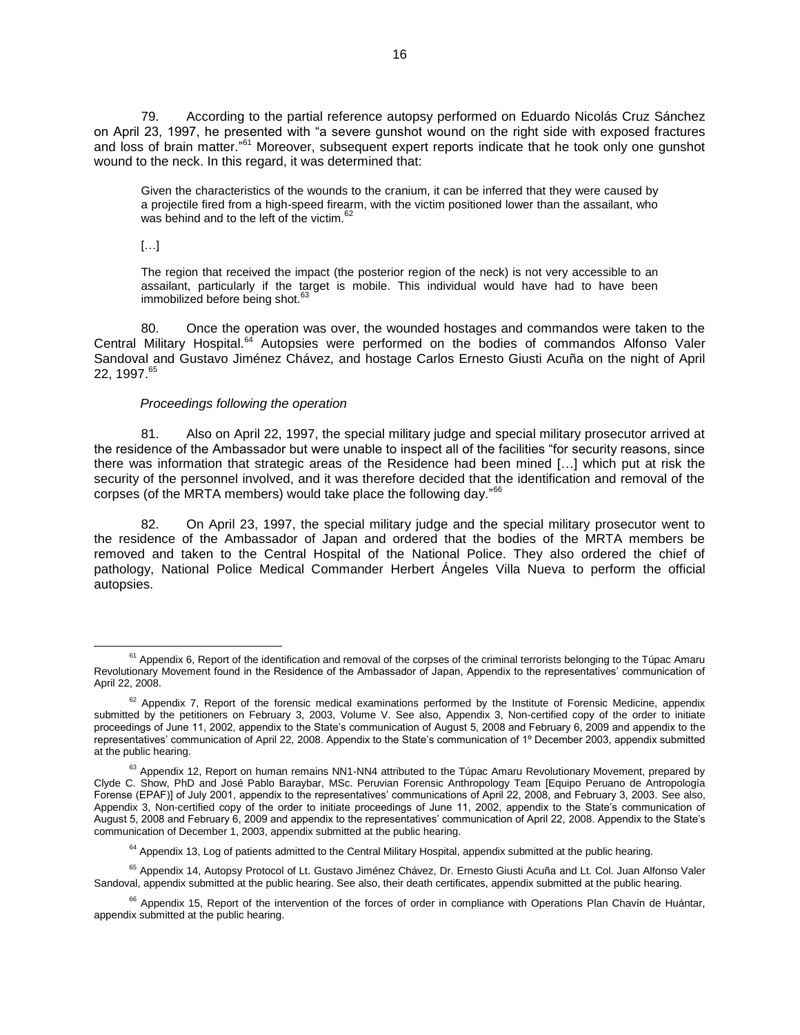79. According to the partial reference autopsy performed on Eduardo Nicolás Cruz Sánchez on April 23, 1997, he presented with "a severe gunshot wound on the right side with exposed fractures and loss of brain matter."<sup>61</sup> Moreover, subsequent expert reports indicate that he took only one gunshot wound to the neck. In this regard, it was determined that:

Given the characteristics of the wounds to the cranium, it can be inferred that they were caused by a projectile fired from a high-speed firearm, with the victim positioned lower than the assailant, who was behind and to the left of the victim.<sup>62</sup>

 $[...]$ 

 $\overline{a}$ 

The region that received the impact (the posterior region of the neck) is not very accessible to an assailant, particularly if the target is mobile. This individual would have had to have been immobilized before being shot.<sup>6</sup>

80. Once the operation was over, the wounded hostages and commandos were taken to the Central Military Hospital.<sup>64</sup> Autopsies were performed on the bodies of commandos Alfonso Valer Sandoval and Gustavo Jiménez Chávez, and hostage Carlos Ernesto Giusti Acuña on the night of April 22, 1997. 65

### *Proceedings following the operation*

81. Also on April 22, 1997, the special military judge and special military prosecutor arrived at the residence of the Ambassador but were unable to inspect all of the facilities "for security reasons, since there was information that strategic areas of the Residence had been mined […] which put at risk the security of the personnel involved, and it was therefore decided that the identification and removal of the corpses (of the MRTA members) would take place the following day."<sup>66</sup>

82. On April 23, 1997, the special military judge and the special military prosecutor went to the residence of the Ambassador of Japan and ordered that the bodies of the MRTA members be removed and taken to the Central Hospital of the National Police. They also ordered the chief of pathology, National Police Medical Commander Herbert Ángeles Villa Nueva to perform the official autopsies.

 $61$  Appendix 6, Report of the identification and removal of the corpses of the criminal terrorists belonging to the Túpac Amaru Revolutionary Movement found in the Residence of the Ambassador of Japan, Appendix to the representatives' communication of April 22, 2008.

 $62$  Appendix 7, Report of the forensic medical examinations performed by the Institute of Forensic Medicine, appendix submitted by the petitioners on February 3, 2003, Volume V. See also, Appendix 3, Non-certified copy of the order to initiate proceedings of June 11, 2002, appendix to the State's communication of August 5, 2008 and February 6, 2009 and appendix to the representatives' communication of April 22, 2008. Appendix to the State's communication of 1º December 2003, appendix submitted at the public hearing.

<sup>&</sup>lt;sup>63</sup> Appendix 12, Report on human remains NN1-NN4 attributed to the Túpac Amaru Revolutionary Movement, prepared by Clyde C. Show, PhD and José Pablo Baraybar, MSc. Peruvian Forensic Anthropology Team [Equipo Peruano de Antropología Forense (EPAF)] of July 2001, appendix to the representatives' communications of April 22, 2008, and February 3, 2003. See also, Appendix 3, Non-certified copy of the order to initiate proceedings of June 11, 2002, appendix to the State's communication of August 5, 2008 and February 6, 2009 and appendix to the representatives' communication of April 22, 2008. Appendix to the State's communication of December 1, 2003, appendix submitted at the public hearing.

 $64$  Appendix 13, Log of patients admitted to the Central Military Hospital, appendix submitted at the public hearing.

<sup>&</sup>lt;sup>65</sup> Appendix 14, Autopsy Protocol of Lt. Gustavo Jiménez Chávez, Dr. Ernesto Giusti Acuña and Lt. Col. Juan Alfonso Valer Sandoval, appendix submitted at the public hearing. See also, their death certificates, appendix submitted at the public hearing.

 $66$  Appendix 15, Report of the intervention of the forces of order in compliance with Operations Plan Chavín de Huántar, appendix submitted at the public hearing.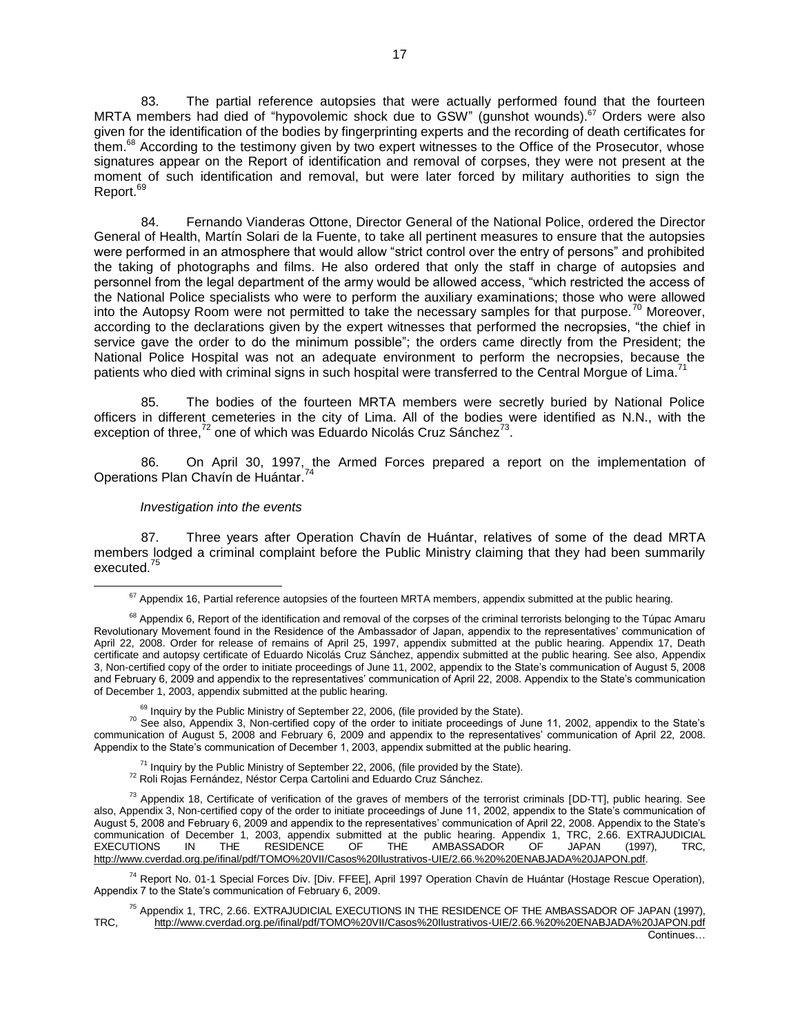83. The partial reference autopsies that were actually performed found that the fourteen MRTA members had died of "hypovolemic shock due to GSW" (gunshot wounds).<sup>67</sup> Orders were also given for the identification of the bodies by fingerprinting experts and the recording of death certificates for them.<sup>68</sup> According to the testimony given by two expert witnesses to the Office of the Prosecutor, whose signatures appear on the Report of identification and removal of corpses, they were not present at the moment of such identification and removal, but were later forced by military authorities to sign the Report.<sup>69</sup>

84. Fernando Vianderas Ottone, Director General of the National Police, ordered the Director General of Health, Martín Solari de la Fuente, to take all pertinent measures to ensure that the autopsies were performed in an atmosphere that would allow "strict control over the entry of persons" and prohibited the taking of photographs and films. He also ordered that only the staff in charge of autopsies and personnel from the legal department of the army would be allowed access, "which restricted the access of the National Police specialists who were to perform the auxiliary examinations; those who were allowed into the Autopsy Room were not permitted to take the necessary samples for that purpose.<sup>70</sup> Moreover, according to the declarations given by the expert witnesses that performed the necropsies, "the chief in service gave the order to do the minimum possible"; the orders came directly from the President; the National Police Hospital was not an adequate environment to perform the necropsies, because the patients who died with criminal signs in such hospital were transferred to the Central Morgue of Lima.<sup>71</sup>

85. The bodies of the fourteen MRTA members were secretly buried by National Police officers in different cemeteries in the city of Lima. All of the bodies were identified as N.N., with the exception of three, $72$  one of which was Eduardo Nicolás Cruz Sánchez $73$ .

86. On April 30, 1997, the Armed Forces prepared a report on the implementation of Operations Plan Chavín de Huántar.<sup>74</sup>

#### *Investigation into the events*

 $\overline{a}$ 

87. Three years after Operation Chavín de Huántar, relatives of some of the dead MRTA members lodged a criminal complaint before the Public Ministry claiming that they had been summarily executed.<sup>75</sup>

- $71$  Inquiry by the Public Ministry of September 22, 2006, (file provided by the State).
- <sup>72</sup> Roli Rojas Fernández, Néstor Cerpa Cartolini and Eduardo Cruz Sánchez.

 $73$  Appendix 18, Certificate of verification of the graves of members of the terrorist criminals [DD-TT], public hearing. See also, Appendix 3, Non-certified copy of the order to initiate proceedings of June 11, 2002, appendix to the State's communication of August 5, 2008 and February 6, 2009 and appendix to the representatives' communication of April 22, 2008. Appendix to the State's communication of December 1, 2003, appendix submitted at the public hearing. Appendix 1, TRC, 2.66. EXTRAJUDICIAL<br>EXECUTIONS IN THE RESIDENCE OF THE AMBASSADOR OF JAPAN (1997), TRC, AMBASSADOR OF JAPAN (1997), TRC, [http://www.cverdad.org.pe/ifinal/pdf/TOMO%20VII/Casos%20Ilustrativos-UIE/2.66.%20%20ENABJADA%20JAPON.pdf.](http://www.cverdad.org.pe/ifinal/pdf/TOMO%20VII/Casos%20Ilustrativos-UIE/2.66.%20%20ENABJADA%20JAPON.pdf)

<sup>74</sup> Report No. 01-1 Special Forces Div. [Div. FFEE], April 1997 Operation Chavín de Huántar (Hostage Rescue Operation), Appendix 7 to the State's communication of February 6, 2009.

<sup>75</sup> Appendix 1, TRC, 2.66. EXTRAJUDICIAL EXECUTIONS IN THE RESIDENCE OF THE AMBASSADOR OF JAPAN (1997), TRC, <http://www.cverdad.org.pe/ifinal/pdf/TOMO%20VII/Casos%20Ilustrativos-UIE/2.66.%20%20ENABJADA%20JAPON.pdf>

 $67$  Appendix 16, Partial reference autopsies of the fourteen MRTA members, appendix submitted at the public hearing.

<sup>&</sup>lt;sup>68</sup> Appendix 6, Report of the identification and removal of the corpses of the criminal terrorists belonging to the Túpac Amaru Revolutionary Movement found in the Residence of the Ambassador of Japan, appendix to the representatives' communication of April 22, 2008. Order for release of remains of April 25, 1997, appendix submitted at the public hearing. Appendix 17, Death certificate and autopsy certificate of Eduardo Nicolás Cruz Sánchez, appendix submitted at the public hearing. See also, Appendix 3, Non-certified copy of the order to initiate proceedings of June 11, 2002, appendix to the State's communication of August 5, 2008 and February 6, 2009 and appendix to the representatives' communication of April 22, 2008. Appendix to the State's communication of December 1, 2003, appendix submitted at the public hearing.

 $69$  Inquiry by the Public Ministry of September 22, 2006, (file provided by the State).

<sup>&</sup>lt;sup>70</sup> See also, Appendix 3, Non-certified copy of the order to initiate proceedings of June 11, 2002, appendix to the State's communication of August 5, 2008 and February 6, 2009 and appendix to the representatives' communication of April 22, 2008. Appendix to the State's communication of December 1, 2003, appendix submitted at the public hearing.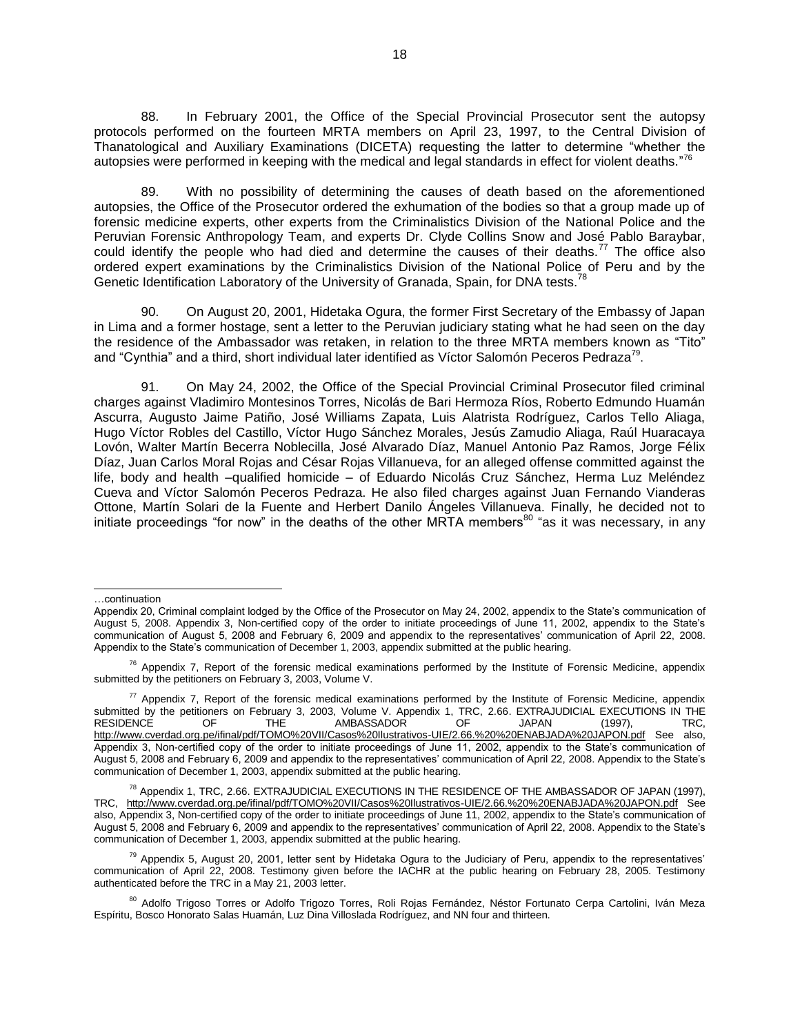88. In February 2001, the Office of the Special Provincial Prosecutor sent the autopsy protocols performed on the fourteen MRTA members on April 23, 1997, to the Central Division of Thanatological and Auxiliary Examinations (DICETA) requesting the latter to determine "whether the autopsies were performed in keeping with the medical and legal standards in effect for violent deaths."<sup>76</sup>

89. With no possibility of determining the causes of death based on the aforementioned autopsies, the Office of the Prosecutor ordered the exhumation of the bodies so that a group made up of forensic medicine experts, other experts from the Criminalistics Division of the National Police and the Peruvian Forensic Anthropology Team, and experts Dr. Clyde Collins Snow and José Pablo Baraybar, could identify the people who had died and determine the causes of their deaths.<sup>77</sup> The office also ordered expert examinations by the Criminalistics Division of the National Police of Peru and by the Genetic Identification Laboratory of the University of Granada, Spain, for DNA tests.<sup>78</sup>

90. On August 20, 2001, Hidetaka Ogura, the former First Secretary of the Embassy of Japan in Lima and a former hostage, sent a letter to the Peruvian judiciary stating what he had seen on the day the residence of the Ambassador was retaken, in relation to the three MRTA members known as "Tito" and "Cynthia" and a third, short individual later identified as Víctor Salomón Peceros Pedraza<sup>79</sup>.

91. On May 24, 2002, the Office of the Special Provincial Criminal Prosecutor filed criminal charges against Vladimiro Montesinos Torres, Nicolás de Bari Hermoza Ríos, Roberto Edmundo Huamán Ascurra, Augusto Jaime Patiño, José Williams Zapata, Luis Alatrista Rodríguez, Carlos Tello Aliaga, Hugo Víctor Robles del Castillo, Víctor Hugo Sánchez Morales, Jesús Zamudio Aliaga, Raúl Huaracaya Lovón, Walter Martín Becerra Noblecilla, José Alvarado Díaz, Manuel Antonio Paz Ramos, Jorge Félix Díaz, Juan Carlos Moral Rojas and César Rojas Villanueva, for an alleged offense committed against the life, body and health –qualified homicide – of Eduardo Nicolás Cruz Sánchez, Herma Luz Meléndez Cueva and Víctor Salomón Peceros Pedraza. He also filed charges against Juan Fernando Vianderas Ottone, Martín Solari de la Fuente and Herbert Danilo Ángeles Villanueva. Finally, he decided not to initiate proceedings "for now" in the deaths of the other MRTA members<sup>80</sup> "as it was necessary, in any

l

<sup>…</sup>continuation

Appendix 20, Criminal complaint lodged by the Office of the Prosecutor on May 24, 2002, appendix to the State's communication of August 5, 2008. Appendix 3, Non-certified copy of the order to initiate proceedings of June 11, 2002, appendix to the State's communication of August 5, 2008 and February 6, 2009 and appendix to the representatives' communication of April 22, 2008. Appendix to the State's communication of December 1, 2003, appendix submitted at the public hearing.

 $76$  Appendix 7, Report of the forensic medical examinations performed by the Institute of Forensic Medicine, appendix submitted by the petitioners on February 3, 2003, Volume V.

<sup>&</sup>lt;sup>77</sup> Appendix 7, Report of the forensic medical examinations performed by the Institute of Forensic Medicine, appendix submitted by the petitioners on February 3, 2003, Volume V. Appendix 1, TRC, 2.66. EXTRAJUDICIAL EXECUTIONS IN THE<br>RESIDENCE OF THE AMBASSADOR OF JAPAN (1997), TRC, RESIDENCE OF THE AMBASSADOR OF JAPAN (1997), TRC, <http://www.cverdad.org.pe/ifinal/pdf/TOMO%20VII/Casos%20Ilustrativos-UIE/2.66.%20%20ENABJADA%20JAPON.pdf> See also, Appendix 3, Non-certified copy of the order to initiate proceedings of June 11, 2002, appendix to the State's communication of August 5, 2008 and February 6, 2009 and appendix to the representatives' communication of April 22, 2008. Appendix to the State's communication of December 1, 2003, appendix submitted at the public hearing.

 $^{78}$  Appendix 1, TRC, 2.66. EXTRAJUDICIAL EXECUTIONS IN THE RESIDENCE OF THE AMBASSADOR OF JAPAN (1997), TRC, <http://www.cverdad.org.pe/ifinal/pdf/TOMO%20VII/Casos%20Ilustrativos-UIE/2.66.%20%20ENABJADA%20JAPON.pdf> See also, Appendix 3, Non-certified copy of the order to initiate proceedings of June 11, 2002, appendix to the State's communication of August 5, 2008 and February 6, 2009 and appendix to the representatives' communication of April 22, 2008. Appendix to the State's communication of December 1, 2003, appendix submitted at the public hearing.

 $^{79}$  Appendix 5, August 20, 2001, letter sent by Hidetaka Ogura to the Judiciary of Peru, appendix to the representatives' communication of April 22, 2008. Testimony given before the IACHR at the public hearing on February 28, 2005. Testimony authenticated before the TRC in a May 21, 2003 letter.

<sup>&</sup>lt;sup>80</sup> Adolfo Trigoso Torres or Adolfo Trigozo Torres, Roli Rojas Fernández, Néstor Fortunato Cerpa Cartolini, Iván Meza Espíritu, Bosco Honorato Salas Huamán, Luz Dina Villoslada Rodríguez, and NN four and thirteen.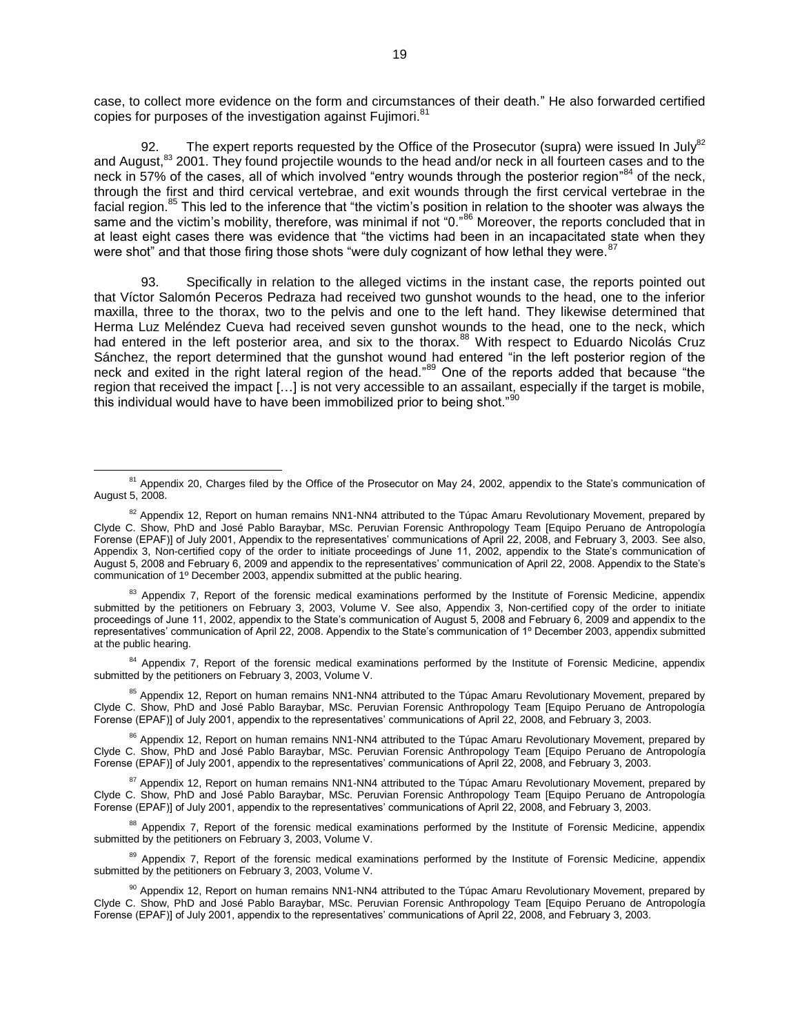case, to collect more evidence on the form and circumstances of their death." He also forwarded certified copies for purposes of the investigation against Fujimori.<sup>81</sup>

92. The expert reports requested by the Office of the Prosecutor (supra) were issued In July<sup>82</sup> and August,<sup>83</sup> 2001. They found projectile wounds to the head and/or neck in all fourteen cases and to the neck in 57% of the cases, all of which involved "entry wounds through the posterior region"<sup>84</sup> of the neck, through the first and third cervical vertebrae, and exit wounds through the first cervical vertebrae in the facial region.<sup>85</sup> This led to the inference that "the victim's position in relation to the shooter was always the same and the victim's mobility, therefore, was minimal if not "0."<sup>86</sup> Moreover, the reports concluded that in at least eight cases there was evidence that "the victims had been in an incapacitated state when they were shot" and that those firing those shots "were duly cognizant of how lethal they were. <sup>87</sup>

93. Specifically in relation to the alleged victims in the instant case, the reports pointed out that Víctor Salomón Peceros Pedraza had received two gunshot wounds to the head, one to the inferior maxilla, three to the thorax, two to the pelvis and one to the left hand. They likewise determined that Herma Luz Meléndez Cueva had received seven gunshot wounds to the head, one to the neck, which had entered in the left posterior area, and six to the thorax.<sup>88</sup> With respect to Eduardo Nicolás Cruz Sánchez, the report determined that the gunshot wound had entered "in the left posterior region of the neck and exited in the right lateral region of the head."<sup>89</sup> One of the reports added that because "the region that received the impact […] is not very accessible to an assailant, especially if the target is mobile, this individual would have to have been immobilized prior to being shot."

 $\overline{a}$ 

<sup>83</sup> Appendix 7, Report of the forensic medical examinations performed by the Institute of Forensic Medicine, appendix submitted by the petitioners on February 3, 2003, Volume V. See also, Appendix 3, Non-certified copy of the order to initiate proceedings of June 11, 2002, appendix to the State's communication of August 5, 2008 and February 6, 2009 and appendix to the representatives' communication of April 22, 2008. Appendix to the State's communication of 1º December 2003, appendix submitted at the public hearing.

<sup>84</sup> Appendix 7, Report of the forensic medical examinations performed by the Institute of Forensic Medicine, appendix submitted by the petitioners on February 3, 2003, Volume V.

<sup>85</sup> Appendix 12, Report on human remains NN1-NN4 attributed to the Túpac Amaru Revolutionary Movement, prepared by Clyde C. Show, PhD and José Pablo Baraybar, MSc. Peruvian Forensic Anthropology Team [Equipo Peruano de Antropología Forense (EPAF)] of July 2001, appendix to the representatives' communications of April 22, 2008, and February 3, 2003.

<sup>86</sup> Appendix 12, Report on human remains NN1-NN4 attributed to the Túpac Amaru Revolutionary Movement, prepared by Clyde C. Show, PhD and José Pablo Baraybar, MSc. Peruvian Forensic Anthropology Team [Equipo Peruano de Antropología Forense (EPAF)] of July 2001, appendix to the representatives' communications of April 22, 2008, and February 3, 2003.

<sup>87</sup> Appendix 12, Report on human remains NN1-NN4 attributed to the Túpac Amaru Revolutionary Movement, prepared by Clyde C. Show, PhD and José Pablo Baraybar, MSc. Peruvian Forensic Anthropology Team [Equipo Peruano de Antropología Forense (EPAF)] of July 2001, appendix to the representatives' communications of April 22, 2008, and February 3, 2003.

88 Appendix 7, Report of the forensic medical examinations performed by the Institute of Forensic Medicine, appendix submitted by the petitioners on February 3, 2003, Volume V.

<sup>89</sup> Appendix 7, Report of the forensic medical examinations performed by the Institute of Forensic Medicine, appendix submitted by the petitioners on February 3, 2003, Volume V.

90 Appendix 12, Report on human remains NN1-NN4 attributed to the Túpac Amaru Revolutionary Movement, prepared by Clyde C. Show, PhD and José Pablo Baraybar, MSc. Peruvian Forensic Anthropology Team [Equipo Peruano de Antropología Forense (EPAF)] of July 2001, appendix to the representatives' communications of April 22, 2008, and February 3, 2003.

<sup>&</sup>lt;sup>81</sup> Appendix 20, Charges filed by the Office of the Prosecutor on May 24, 2002, appendix to the State's communication of August 5, 2008.

<sup>&</sup>lt;sup>82</sup> Appendix 12, Report on human remains NN1-NN4 attributed to the Túpac Amaru Revolutionary Movement, prepared by Clyde C. Show, PhD and José Pablo Baraybar, MSc. Peruvian Forensic Anthropology Team [Equipo Peruano de Antropología Forense (EPAF)] of July 2001, Appendix to the representatives' communications of April 22, 2008, and February 3, 2003. See also, Appendix 3, Non-certified copy of the order to initiate proceedings of June 11, 2002, appendix to the State's communication of August 5, 2008 and February 6, 2009 and appendix to the representatives' communication of April 22, 2008. Appendix to the State's communication of 1º December 2003, appendix submitted at the public hearing.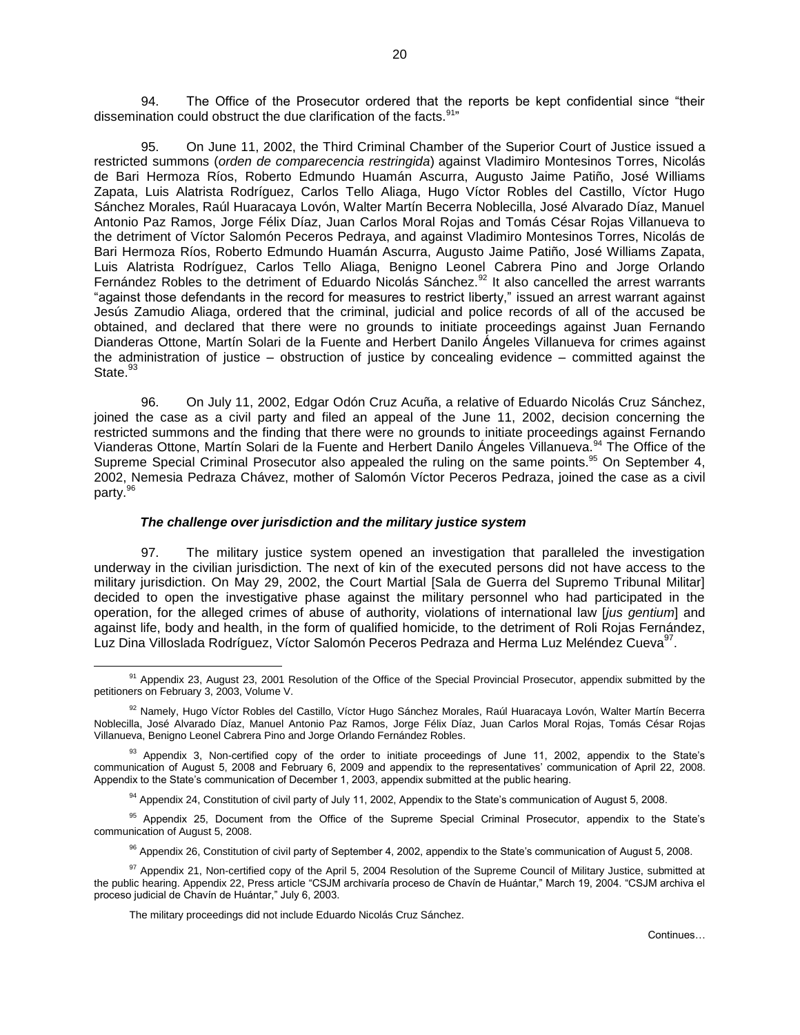94. The Office of the Prosecutor ordered that the reports be kept confidential since "their dissemination could obstruct the due clarification of the facts.<sup>91</sup>"

95. On June 11, 2002, the Third Criminal Chamber of the Superior Court of Justice issued a restricted summons (*orden de comparecencia restringida*) against Vladimiro Montesinos Torres, Nicolás de Bari Hermoza Ríos, Roberto Edmundo Huamán Ascurra, Augusto Jaime Patiño, José Williams Zapata, Luis Alatrista Rodríguez, Carlos Tello Aliaga, Hugo Víctor Robles del Castillo, Víctor Hugo Sánchez Morales, Raúl Huaracaya Lovón, Walter Martín Becerra Noblecilla, José Alvarado Díaz, Manuel Antonio Paz Ramos, Jorge Félix Díaz, Juan Carlos Moral Rojas and Tomás César Rojas Villanueva to the detriment of Víctor Salomón Peceros Pedraya, and against Vladimiro Montesinos Torres, Nicolás de Bari Hermoza Ríos, Roberto Edmundo Huamán Ascurra, Augusto Jaime Patiño, José Williams Zapata, Luis Alatrista Rodríguez, Carlos Tello Aliaga, Benigno Leonel Cabrera Pino and Jorge Orlando Fernández Robles to the detriment of Eduardo Nicolás Sánchez.<sup>92</sup> It also cancelled the arrest warrants "against those defendants in the record for measures to restrict liberty," issued an arrest warrant against Jesús Zamudio Aliaga, ordered that the criminal, judicial and police records of all of the accused be obtained, and declared that there were no grounds to initiate proceedings against Juan Fernando Dianderas Ottone, Martín Solari de la Fuente and Herbert Danilo Ángeles Villanueva for crimes against the administration of justice – obstruction of justice by concealing evidence – committed against the State. $93$ 

96. On July 11, 2002, Edgar Odón Cruz Acuña, a relative of Eduardo Nicolás Cruz Sánchez, joined the case as a civil party and filed an appeal of the June 11, 2002, decision concerning the restricted summons and the finding that there were no grounds to initiate proceedings against Fernando Vianderas Ottone, Martín Solari de la Fuente and Herbert Danilo Ángeles Villanueva.<sup>94</sup> The Office of the Supreme Special Criminal Prosecutor also appealed the ruling on the same points.<sup>95</sup> On September 4, 2002, Nemesia Pedraza Chávez, mother of Salomón Víctor Peceros Pedraza, joined the case as a civil party.<sup>96</sup>

### *The challenge over jurisdiction and the military justice system*

97. The military justice system opened an investigation that paralleled the investigation underway in the civilian jurisdiction. The next of kin of the executed persons did not have access to the military jurisdiction. On May 29, 2002, the Court Martial [Sala de Guerra del Supremo Tribunal Militar] decided to open the investigative phase against the military personnel who had participated in the operation, for the alleged crimes of abuse of authority, violations of international law [*jus gentium*] and against life, body and health, in the form of qualified homicide, to the detriment of Roli Rojas Fernández, Luz Dina Villoslada Rodríguez, Víctor Salomón Peceros Pedraza and Herma Luz Meléndez Cueva<sup>97</sup>.

<sup>94</sup> Appendix 24, Constitution of civil party of July 11, 2002, Appendix to the State's communication of August 5, 2008.

<sup>95</sup> Appendix 25, Document from the Office of the Supreme Special Criminal Prosecutor, appendix to the State's communication of August 5, 2008.

96 Appendix 26, Constitution of civil party of September 4, 2002, appendix to the State's communication of August 5, 2008.

<sup>&</sup>lt;sup>91</sup> Appendix 23, August 23, 2001 Resolution of the Office of the Special Provincial Prosecutor, appendix submitted by the petitioners on February 3, 2003, Volume V.

<sup>&</sup>lt;sup>92</sup> Namely, Hugo Víctor Robles del Castillo, Víctor Hugo Sánchez Morales, Raúl Huaracaya Lovón, Walter Martín Becerra Noblecilla, José Alvarado Díaz, Manuel Antonio Paz Ramos, Jorge Félix Díaz, Juan Carlos Moral Rojas, Tomás César Rojas Villanueva, Benigno Leonel Cabrera Pino and Jorge Orlando Fernández Robles.

<sup>&</sup>lt;sup>93</sup> Appendix 3, Non-certified copy of the order to initiate proceedings of June 11, 2002, appendix to the State's communication of August 5, 2008 and February 6, 2009 and appendix to the representatives' communication of April 22, 2008. Appendix to the State's communication of December 1, 2003, appendix submitted at the public hearing.

<sup>97</sup> Appendix 21, Non-certified copy of the April 5, 2004 Resolution of the Supreme Council of Military Justice, submitted at the public hearing. Appendix 22, Press article "CSJM archivaría proceso de Chavín de Huántar," March 19, 2004. "CSJM archiva el proceso judicial de Chavín de Huántar," July 6, 2003.

The military proceedings did not include Eduardo Nicolás Cruz Sánchez.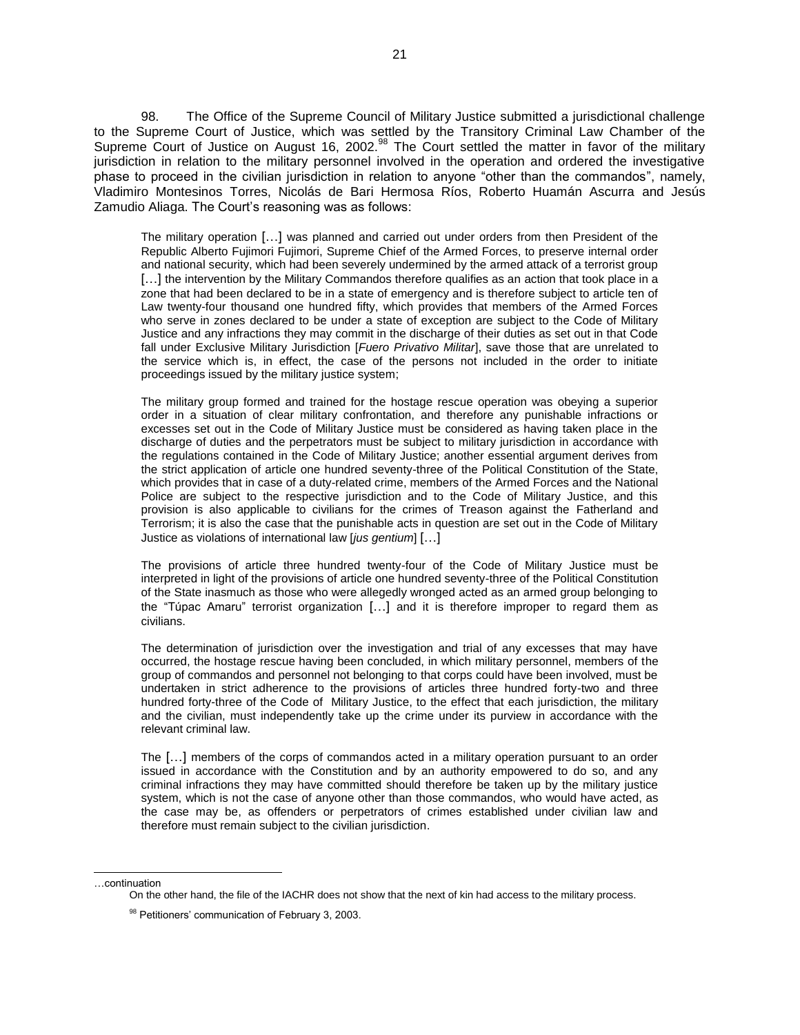98. The Office of the Supreme Council of Military Justice submitted a jurisdictional challenge to the Supreme Court of Justice, which was settled by the Transitory Criminal Law Chamber of the Supreme Court of Justice on August 16, 2002.<sup>98</sup> The Court settled the matter in favor of the military jurisdiction in relation to the military personnel involved in the operation and ordered the investigative phase to proceed in the civilian jurisdiction in relation to anyone "other than the commandos", namely, Vladimiro Montesinos Torres, Nicolás de Bari Hermosa Ríos, Roberto Huamán Ascurra and Jesús Zamudio Aliaga. The Court's reasoning was as follows:

The military operation […] was planned and carried out under orders from then President of the Republic Alberto Fujimori Fujimori, Supreme Chief of the Armed Forces, to preserve internal order and national security, which had been severely undermined by the armed attack of a terrorist group [...] the intervention by the Military Commandos therefore qualifies as an action that took place in a zone that had been declared to be in a state of emergency and is therefore subject to article ten of Law twenty-four thousand one hundred fifty, which provides that members of the Armed Forces who serve in zones declared to be under a state of exception are subject to the Code of Military Justice and any infractions they may commit in the discharge of their duties as set out in that Code fall under Exclusive Military Jurisdiction [*Fuero Privativo Militar*], save those that are unrelated to the service which is, in effect, the case of the persons not included in the order to initiate proceedings issued by the military justice system;

The military group formed and trained for the hostage rescue operation was obeying a superior order in a situation of clear military confrontation, and therefore any punishable infractions or excesses set out in the Code of Military Justice must be considered as having taken place in the discharge of duties and the perpetrators must be subject to military jurisdiction in accordance with the regulations contained in the Code of Military Justice; another essential argument derives from the strict application of article one hundred seventy-three of the Political Constitution of the State, which provides that in case of a duty-related crime, members of the Armed Forces and the National Police are subject to the respective jurisdiction and to the Code of Military Justice, and this provision is also applicable to civilians for the crimes of Treason against the Fatherland and Terrorism; it is also the case that the punishable acts in question are set out in the Code of Military Justice as violations of international law [*jus gentium*] […]

The provisions of article three hundred twenty-four of the Code of Military Justice must be interpreted in light of the provisions of article one hundred seventy-three of the Political Constitution of the State inasmuch as those who were allegedly wronged acted as an armed group belonging to the "Túpac Amaru" terrorist organization […] and it is therefore improper to regard them as civilians.

The determination of jurisdiction over the investigation and trial of any excesses that may have occurred, the hostage rescue having been concluded, in which military personnel, members of the group of commandos and personnel not belonging to that corps could have been involved, must be undertaken in strict adherence to the provisions of articles three hundred forty-two and three hundred forty-three of the Code of Military Justice, to the effect that each jurisdiction, the military and the civilian, must independently take up the crime under its purview in accordance with the relevant criminal law.

The […] members of the corps of commandos acted in a military operation pursuant to an order issued in accordance with the Constitution and by an authority empowered to do so, and any criminal infractions they may have committed should therefore be taken up by the military justice system, which is not the case of anyone other than those commandos, who would have acted, as the case may be, as offenders or perpetrators of crimes established under civilian law and therefore must remain subject to the civilian jurisdiction.

<sup>…</sup>continuation

On the other hand, the file of the IACHR does not show that the next of kin had access to the military process.

<sup>98</sup> Petitioners' communication of February 3, 2003.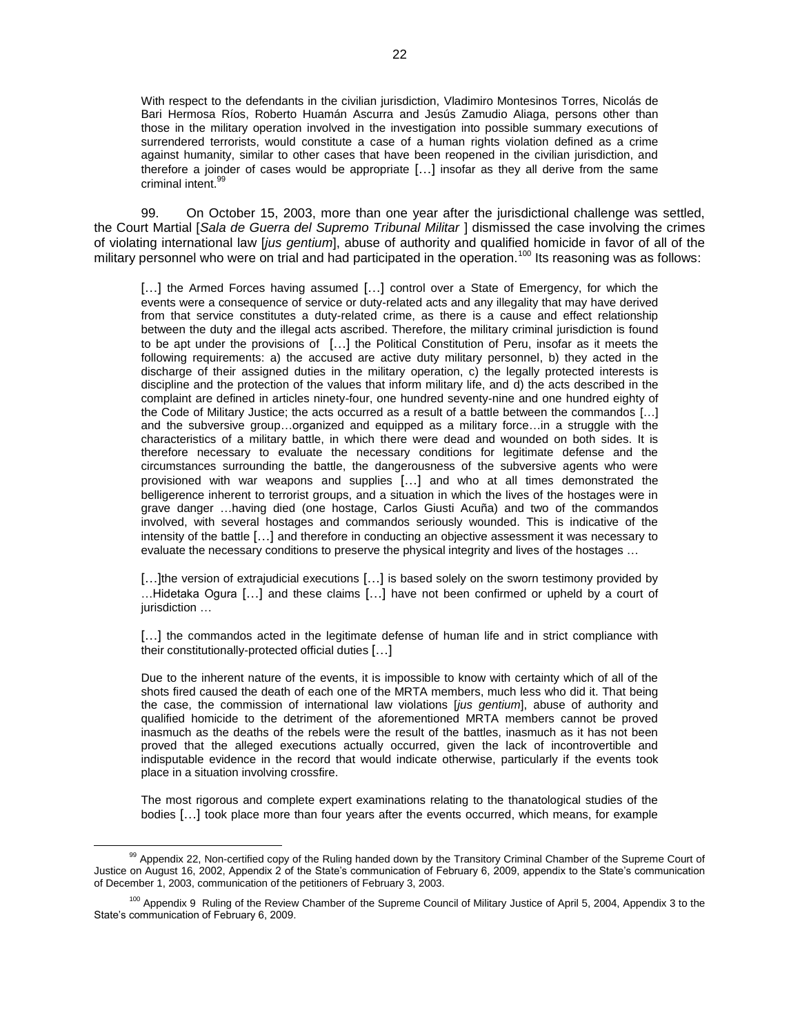With respect to the defendants in the civilian jurisdiction, Vladimiro Montesinos Torres, Nicolás de Bari Hermosa Ríos, Roberto Huamán Ascurra and Jesús Zamudio Aliaga, persons other than those in the military operation involved in the investigation into possible summary executions of surrendered terrorists, would constitute a case of a human rights violation defined as a crime against humanity, similar to other cases that have been reopened in the civilian jurisdiction, and therefore a joinder of cases would be appropriate […] insofar as they all derive from the same criminal intent.<sup>9</sup>

99. On October 15, 2003, more than one year after the jurisdictional challenge was settled, the Court Martial [*Sala de Guerra del Supremo Tribunal Militar* ] dismissed the case involving the crimes of violating international law [*jus gentium*], abuse of authority and qualified homicide in favor of all of the military personnel who were on trial and had participated in the operation.<sup>100</sup> Its reasoning was as follows:

[...] the Armed Forces having assumed [...] control over a State of Emergency, for which the events were a consequence of service or duty-related acts and any illegality that may have derived from that service constitutes a duty-related crime, as there is a cause and effect relationship between the duty and the illegal acts ascribed. Therefore, the military criminal jurisdiction is found to be apt under the provisions of […] the Political Constitution of Peru, insofar as it meets the following requirements: a) the accused are active duty military personnel, b) they acted in the discharge of their assigned duties in the military operation, c) the legally protected interests is discipline and the protection of the values that inform military life, and d) the acts described in the complaint are defined in articles ninety-four, one hundred seventy-nine and one hundred eighty of the Code of Military Justice; the acts occurred as a result of a battle between the commandos […] and the subversive group…organized and equipped as a military force…in a struggle with the characteristics of a military battle, in which there were dead and wounded on both sides. It is therefore necessary to evaluate the necessary conditions for legitimate defense and the circumstances surrounding the battle, the dangerousness of the subversive agents who were provisioned with war weapons and supplies […] and who at all times demonstrated the belligerence inherent to terrorist groups, and a situation in which the lives of the hostages were in grave danger …having died (one hostage, Carlos Giusti Acuña) and two of the commandos involved, with several hostages and commandos seriously wounded. This is indicative of the intensity of the battle […] and therefore in conducting an objective assessment it was necessary to evaluate the necessary conditions to preserve the physical integrity and lives of the hostages …

[...]the version of extrajudicial executions [...] is based solely on the sworn testimony provided by …Hidetaka Ogura […] and these claims […] have not been confirmed or upheld by a court of jurisdiction ...

[...] the commandos acted in the legitimate defense of human life and in strict compliance with their constitutionally-protected official duties […]

Due to the inherent nature of the events, it is impossible to know with certainty which of all of the shots fired caused the death of each one of the MRTA members, much less who did it. That being the case, the commission of international law violations [*jus gentium*], abuse of authority and qualified homicide to the detriment of the aforementioned MRTA members cannot be proved inasmuch as the deaths of the rebels were the result of the battles, inasmuch as it has not been proved that the alleged executions actually occurred, given the lack of incontrovertible and indisputable evidence in the record that would indicate otherwise, particularly if the events took place in a situation involving crossfire.

The most rigorous and complete expert examinations relating to the thanatological studies of the bodies […] took place more than four years after the events occurred, which means, for example

<sup>99</sup> Appendix 22, Non-certified copy of the Ruling handed down by the Transitory Criminal Chamber of the Supreme Court of Justice on August 16, 2002, Appendix 2 of the State's communication of February 6, 2009, appendix to the State's communication of December 1, 2003, communication of the petitioners of February 3, 2003.

<sup>&</sup>lt;sup>100</sup> Appendix 9 Ruling of the Review Chamber of the Supreme Council of Military Justice of April 5, 2004, Appendix 3 to the State's communication of February 6, 2009.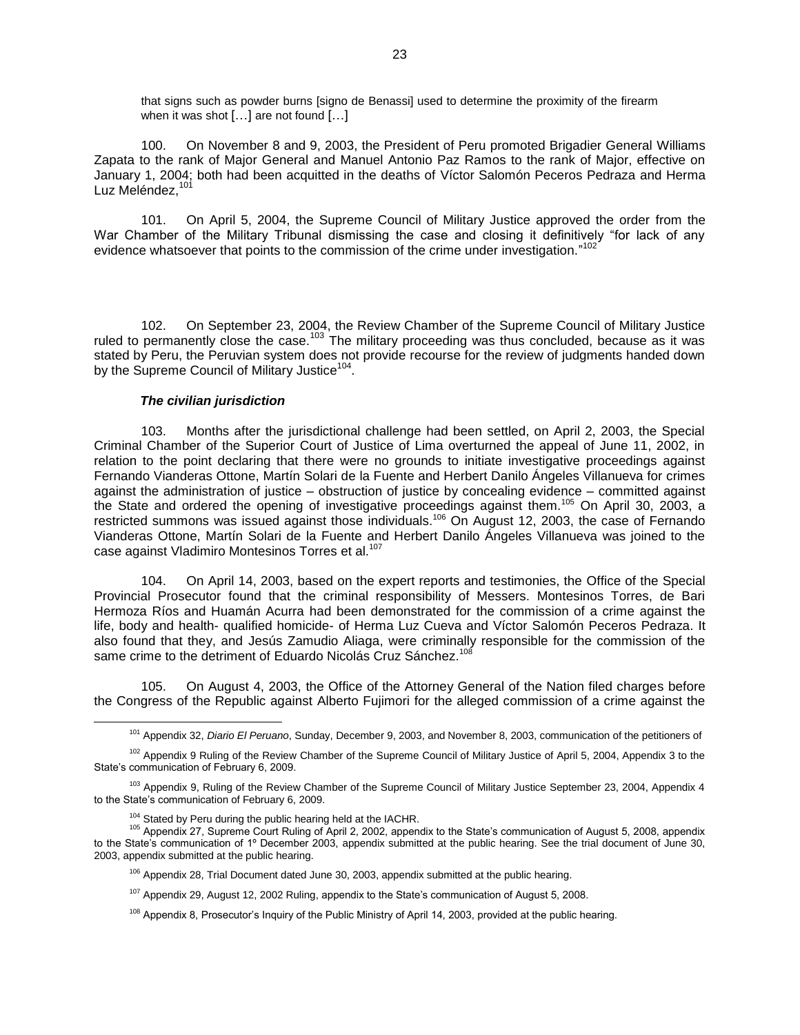that signs such as powder burns [signo de Benassi] used to determine the proximity of the firearm when it was shot […] are not found […]

100. On November 8 and 9, 2003, the President of Peru promoted Brigadier General Williams Zapata to the rank of Major General and Manuel Antonio Paz Ramos to the rank of Major, effective on January 1, 2004; both had been acquitted in the deaths of Víctor Salomón Peceros Pedraza and Herma Luz Meléndez,

101. On April 5, 2004, the Supreme Council of Military Justice approved the order from the War Chamber of the Military Tribunal dismissing the case and closing it definitively "for lack of any evidence whatsoever that points to the commission of the crime under investigation."<sup>102</sup>

102. On September 23, 2004, the Review Chamber of the Supreme Council of Military Justice ruled to permanently close the case.<sup>103</sup> The military proceeding was thus concluded, because as it was stated by Peru, the Peruvian system does not provide recourse for the review of judgments handed down by the Supreme Council of Military Justice<sup>104</sup>.

#### *The civilian jurisdiction*

 $\overline{a}$ 

103. Months after the jurisdictional challenge had been settled, on April 2, 2003, the Special Criminal Chamber of the Superior Court of Justice of Lima overturned the appeal of June 11, 2002, in relation to the point declaring that there were no grounds to initiate investigative proceedings against Fernando Vianderas Ottone, Martín Solari de la Fuente and Herbert Danilo Ángeles Villanueva for crimes against the administration of justice – obstruction of justice by concealing evidence – committed against the State and ordered the opening of investigative proceedings against them.<sup>105</sup> On April 30, 2003, a restricted summons was issued against those individuals.<sup>106</sup> On August 12, 2003, the case of Fernando Vianderas Ottone, Martín Solari de la Fuente and Herbert Danilo Ángeles Villanueva was joined to the case against Vladimiro Montesinos Torres et al.<sup>107</sup>

104. On April 14, 2003, based on the expert reports and testimonies, the Office of the Special Provincial Prosecutor found that the criminal responsibility of Messers. Montesinos Torres, de Bari Hermoza Ríos and Huamán Acurra had been demonstrated for the commission of a crime against the life, body and health- qualified homicide- of Herma Luz Cueva and Víctor Salomón Peceros Pedraza. It also found that they, and Jesús Zamudio Aliaga, were criminally responsible for the commission of the same crime to the detriment of Eduardo Nicolás Cruz Sánchez.<sup>108</sup>

105. On August 4, 2003, the Office of the Attorney General of the Nation filed charges before the Congress of the Republic against Alberto Fujimori for the alleged commission of a crime against the

<sup>101</sup> Appendix 32, *Diario El Peruano*, Sunday, December 9, 2003, and November 8, 2003, communication of the petitioners of

<sup>&</sup>lt;sup>102</sup> Appendix 9 Ruling of the Review Chamber of the Supreme Council of Military Justice of April 5, 2004, Appendix 3 to the State's communication of February 6, 2009.

<sup>&</sup>lt;sup>103</sup> Appendix 9, Ruling of the Review Chamber of the Supreme Council of Military Justice September 23, 2004, Appendix 4 to the State's communication of February 6, 2009.

<sup>&</sup>lt;sup>104</sup> Stated by Peru during the public hearing held at the IACHR.

<sup>105</sup> Appendix 27, Supreme Court Ruling of April 2, 2002, appendix to the State's communication of August 5, 2008, appendix to the State's communication of 1º December 2003, appendix submitted at the public hearing. See the trial document of June 30, 2003, appendix submitted at the public hearing.

<sup>&</sup>lt;sup>106</sup> Appendix 28, Trial Document dated June 30, 2003, appendix submitted at the public hearing.

<sup>&</sup>lt;sup>107</sup> Appendix 29, August 12, 2002 Ruling, appendix to the State's communication of August 5, 2008.

<sup>&</sup>lt;sup>108</sup> Appendix 8, Prosecutor's Inquiry of the Public Ministry of April 14, 2003, provided at the public hearing.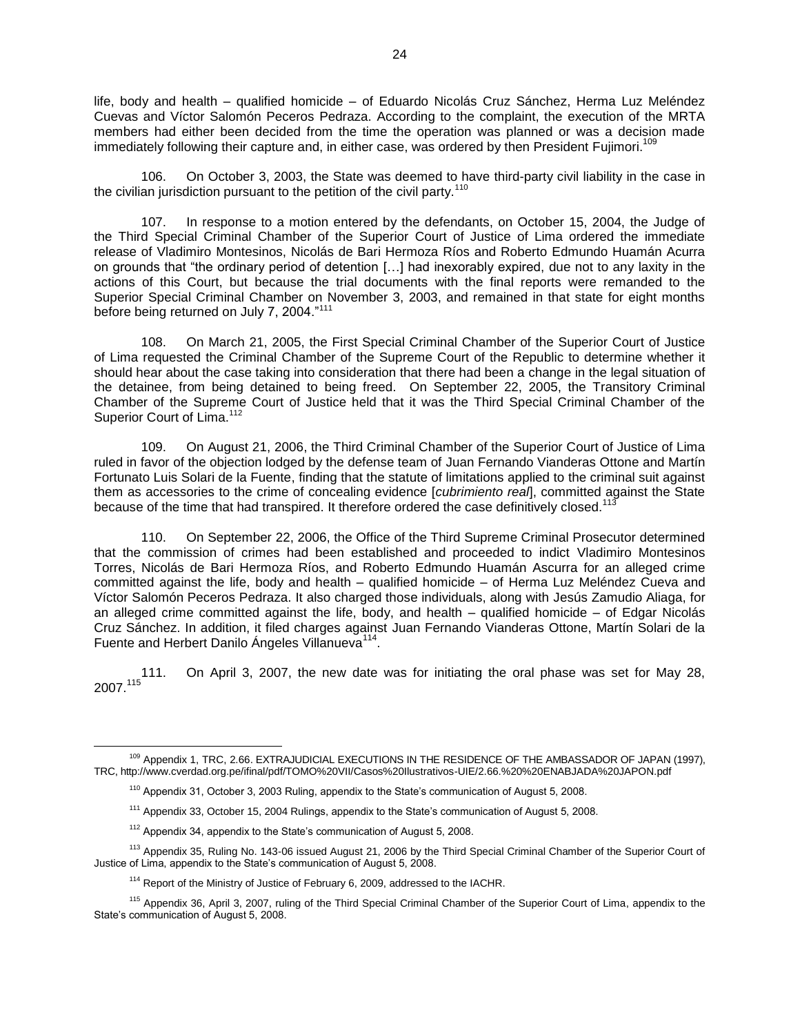life, body and health – qualified homicide – of Eduardo Nicolás Cruz Sánchez, Herma Luz Meléndez Cuevas and Víctor Salomón Peceros Pedraza. According to the complaint, the execution of the MRTA members had either been decided from the time the operation was planned or was a decision made immediately following their capture and, in either case, was ordered by then President Fujimori.<sup>109</sup>

106. On October 3, 2003, the State was deemed to have third-party civil liability in the case in the civilian jurisdiction pursuant to the petition of the civil party.<sup>110</sup>

107. In response to a motion entered by the defendants, on October 15, 2004, the Judge of the Third Special Criminal Chamber of the Superior Court of Justice of Lima ordered the immediate release of Vladimiro Montesinos, Nicolás de Bari Hermoza Ríos and Roberto Edmundo Huamán Acurra on grounds that "the ordinary period of detention […] had inexorably expired, due not to any laxity in the actions of this Court, but because the trial documents with the final reports were remanded to the Superior Special Criminal Chamber on November 3, 2003, and remained in that state for eight months before being returned on July 7, 2004."<sup>111</sup>

108. On March 21, 2005, the First Special Criminal Chamber of the Superior Court of Justice of Lima requested the Criminal Chamber of the Supreme Court of the Republic to determine whether it should hear about the case taking into consideration that there had been a change in the legal situation of the detainee, from being detained to being freed. On September 22, 2005, the Transitory Criminal Chamber of the Supreme Court of Justice held that it was the Third Special Criminal Chamber of the Superior Court of Lima.<sup>112</sup>

109. On August 21, 2006, the Third Criminal Chamber of the Superior Court of Justice of Lima ruled in favor of the objection lodged by the defense team of Juan Fernando Vianderas Ottone and Martín Fortunato Luis Solari de la Fuente, finding that the statute of limitations applied to the criminal suit against them as accessories to the crime of concealing evidence [*cubrimiento real*], committed against the State because of the time that had transpired. It therefore ordered the case definitively closed.<sup>11</sup>

110. On September 22, 2006, the Office of the Third Supreme Criminal Prosecutor determined that the commission of crimes had been established and proceeded to indict Vladimiro Montesinos Torres, Nicolás de Bari Hermoza Ríos, and Roberto Edmundo Huamán Ascurra for an alleged crime committed against the life, body and health – qualified homicide – of Herma Luz Meléndez Cueva and Víctor Salomón Peceros Pedraza. It also charged those individuals, along with Jesús Zamudio Aliaga, for an alleged crime committed against the life, body, and health – qualified homicide – of Edgar Nicolás Cruz Sánchez. In addition, it filed charges against Juan Fernando Vianderas Ottone, Martín Solari de la Fuente and Herbert Danilo Ángeles Villanueva<sup>114</sup>.

On April 3, 2007, the new date was for initiating the oral phase was set for May 28, 2007.<sup>115</sup>

<sup>109</sup> Appendix 1, TRC, 2.66. EXTRAJUDICIAL EXECUTIONS IN THE RESIDENCE OF THE AMBASSADOR OF JAPAN (1997), TRC, http://www.cverdad.org.pe/ifinal/pdf/TOMO%20VII/Casos%20Ilustrativos-UIE/2.66.%20%20ENABJADA%20JAPON.pdf

<sup>110</sup> Appendix 31, October 3, 2003 Ruling, appendix to the State's communication of August 5, 2008.

<sup>111</sup> Appendix 33, October 15, 2004 Rulings, appendix to the State's communication of August 5, 2008.

 $112$  Appendix 34, appendix to the State's communication of August 5, 2008.

<sup>&</sup>lt;sup>113</sup> Appendix 35, Ruling No. 143-06 issued August 21, 2006 by the Third Special Criminal Chamber of the Superior Court of Justice of Lima, appendix to the State's communication of August 5, 2008.

<sup>&</sup>lt;sup>114</sup> Report of the Ministry of Justice of February 6, 2009, addressed to the IACHR.

<sup>115</sup> Appendix 36, April 3, 2007, ruling of the Third Special Criminal Chamber of the Superior Court of Lima, appendix to the State's communication of August 5, 2008.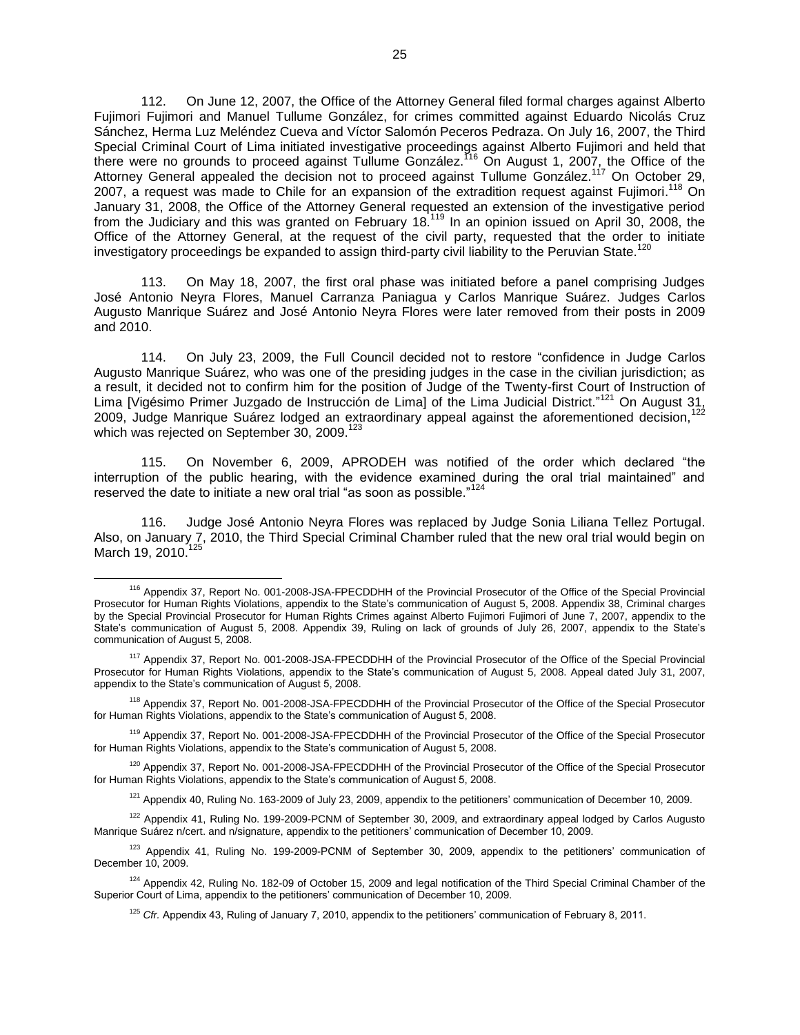112. On June 12, 2007, the Office of the Attorney General filed formal charges against Alberto Fujimori Fujimori and Manuel Tullume González, for crimes committed against Eduardo Nicolás Cruz Sánchez, Herma Luz Meléndez Cueva and Víctor Salomón Peceros Pedraza. On July 16, 2007, the Third Special Criminal Court of Lima initiated investigative proceedings against Alberto Fujimori and held that there were no grounds to proceed against Tullume González.<sup>116</sup> On August 1, 2007, the Office of the Attorney General appealed the decision not to proceed against Tullume González.<sup>117</sup> On October 29, 2007, a request was made to Chile for an expansion of the extradition request against Fujimori.<sup>118</sup> On January 31, 2008, the Office of the Attorney General requested an extension of the investigative period from the Judiciary and this was granted on February 18.<sup>119</sup> In an opinion issued on April 30, 2008, the Office of the Attorney General, at the request of the civil party, requested that the order to initiate investigatory proceedings be expanded to assign third-party civil liability to the Peruvian State.<sup>120</sup>

113. On May 18, 2007, the first oral phase was initiated before a panel comprising Judges José Antonio Neyra Flores, Manuel Carranza Paniagua y Carlos Manrique Suárez. Judges Carlos Augusto Manrique Suárez and José Antonio Neyra Flores were later removed from their posts in 2009 and 2010.

114. On July 23, 2009, the Full Council decided not to restore "confidence in Judge Carlos Augusto Manrique Suárez, who was one of the presiding judges in the case in the civilian jurisdiction; as a result, it decided not to confirm him for the position of Judge of the Twenty-first Court of Instruction of Lima [Vigésimo Primer Juzgado de Instrucción de Lima] of the Lima Judicial District."<sup>121</sup> On August 31, 2009, Judge Manrique Suárez lodged an extraordinary appeal against the aforementioned decision.<sup>122</sup> which was rejected on September 30, 2009.<sup>123</sup>

115. On November 6, 2009, APRODEH was notified of the order which declared "the interruption of the public hearing, with the evidence examined during the oral trial maintained" and reserved the date to initiate a new oral trial "as soon as possible."<sup>124</sup>

116. Judge José Antonio Neyra Flores was replaced by Judge Sonia Liliana Tellez Portugal. Also, on January 7, 2010, the Third Special Criminal Chamber ruled that the new oral trial would begin on March 19, 2010.<sup>125</sup>

<sup>&</sup>lt;sup>116</sup> Appendix 37, Report No. 001-2008-JSA-FPECDDHH of the Provincial Prosecutor of the Office of the Special Provincial Prosecutor for Human Rights Violations, appendix to the State's communication of August 5, 2008. Appendix 38, Criminal charges by the Special Provincial Prosecutor for Human Rights Crimes against Alberto Fujimori Fujimori of June 7, 2007, appendix to the State's communication of August 5, 2008. Appendix 39, Ruling on lack of grounds of July 26, 2007, appendix to the State's communication of August 5, 2008.

<sup>117</sup> Appendix 37, Report No. 001-2008-JSA-FPECDDHH of the Provincial Prosecutor of the Office of the Special Provincial Prosecutor for Human Rights Violations, appendix to the State's communication of August 5, 2008. Appeal dated July 31, 2007, appendix to the State's communication of August 5, 2008.

<sup>&</sup>lt;sup>118</sup> Appendix 37, Report No. 001-2008-JSA-FPECDDHH of the Provincial Prosecutor of the Office of the Special Prosecutor for Human Rights Violations, appendix to the State's communication of August 5, 2008.

<sup>119</sup> Appendix 37, Report No. 001-2008-JSA-FPECDDHH of the Provincial Prosecutor of the Office of the Special Prosecutor for Human Rights Violations, appendix to the State's communication of August 5, 2008.

<sup>&</sup>lt;sup>120</sup> Appendix 37, Report No. 001-2008-JSA-FPECDDHH of the Provincial Prosecutor of the Office of the Special Prosecutor for Human Rights Violations, appendix to the State's communication of August 5, 2008.

<sup>&</sup>lt;sup>121</sup> Appendix 40, Ruling No. 163-2009 of July 23, 2009, appendix to the petitioners' communication of December 10, 2009.

<sup>&</sup>lt;sup>122</sup> Appendix 41, Ruling No. 199-2009-PCNM of September 30, 2009, and extraordinary appeal lodged by Carlos Augusto Manrique Suárez n/cert. and n/signature, appendix to the petitioners' communication of December 10, 2009.

<sup>&</sup>lt;sup>123</sup> Appendix 41, Ruling No. 199-2009-PCNM of September 30, 2009, appendix to the petitioners' communication of December 10, 2009.

<sup>&</sup>lt;sup>124</sup> Appendix 42, Ruling No. 182-09 of October 15, 2009 and legal notification of the Third Special Criminal Chamber of the Superior Court of Lima, appendix to the petitioners' communication of December 10, 2009.

<sup>125</sup> *Cfr.* Appendix 43, Ruling of January 7, 2010, appendix to the petitioners' communication of February 8, 2011.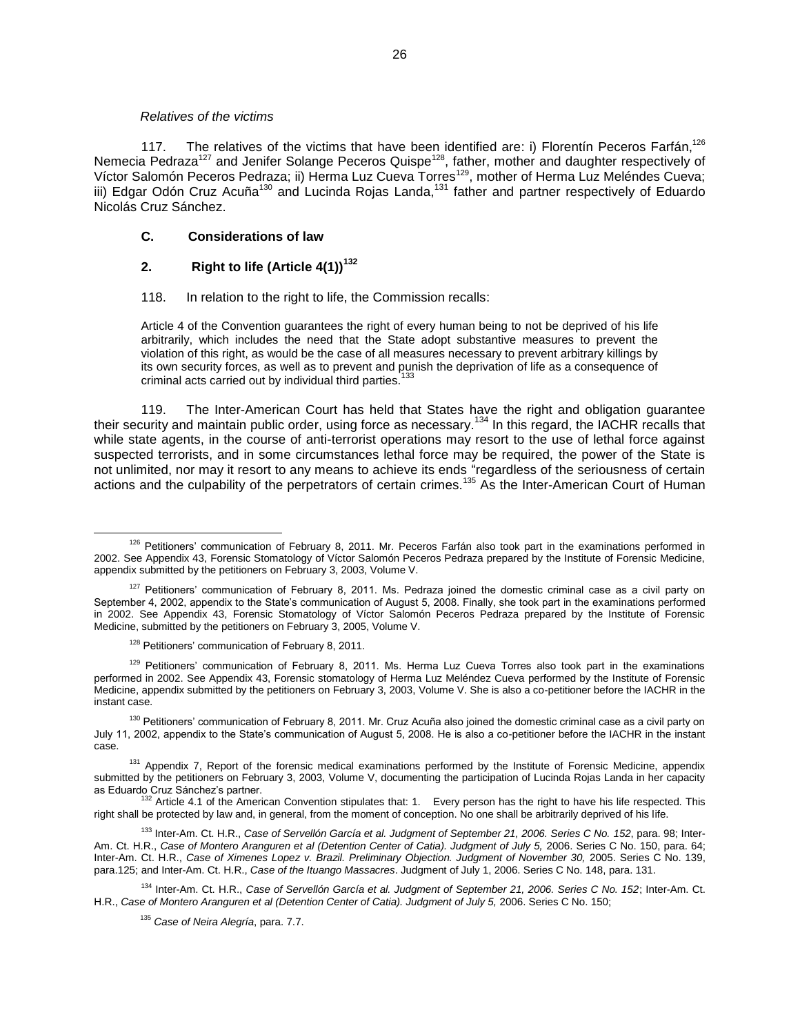#### *Relatives of the victims*

117. The relatives of the victims that have been identified are: i) Florentín Peceros Farfán,  $126$ Nemecia Pedraza<sup>127</sup> and Jenifer Solange Peceros Quispe<sup>128</sup>, father, mother and daughter respectively of Víctor Salomón Peceros Pedraza; ii) Herma Luz Cueva Torres<sup>129</sup>, mother of Herma Luz Meléndes Cueva; iii) Edgar Odón Cruz Acuña<sup>130</sup> and Lucinda Rojas Landa,<sup>131</sup> father and partner respectively of Eduardo Nicolás Cruz Sánchez.

### **C. Considerations of law**

## **2. Right to life (Article 4(1)) 132**

#### 118. In relation to the right to life, the Commission recalls:

Article 4 of the Convention guarantees the right of every human being to not be deprived of his life arbitrarily, which includes the need that the State adopt substantive measures to prevent the violation of this right, as would be the case of all measures necessary to prevent arbitrary killings by its own security forces, as well as to prevent and punish the deprivation of life as a consequence of criminal acts carried out by individual third parties.<sup>1</sup>

119. The Inter-American Court has held that States have the right and obligation guarantee their security and maintain public order, using force as necessary.<sup>134</sup> In this regard, the IACHR recalls that while state agents, in the course of anti-terrorist operations may resort to the use of lethal force against suspected terrorists, and in some circumstances lethal force may be required, the power of the State is not unlimited, nor may it resort to any means to achieve its ends "regardless of the seriousness of certain actions and the culpability of the perpetrators of certain crimes.<sup>135</sup> As the Inter-American Court of Human

 $\overline{a}$ 

<sup>129</sup> Petitioners' communication of February 8, 2011. Ms. Herma Luz Cueva Torres also took part in the examinations performed in 2002. See Appendix 43, Forensic stomatology of Herma Luz Meléndez Cueva performed by the Institute of Forensic Medicine, appendix submitted by the petitioners on February 3, 2003, Volume V. She is also a co-petitioner before the IACHR in the instant case.

<sup>130</sup> Petitioners' communication of February 8, 2011. Mr. Cruz Acuña also joined the domestic criminal case as a civil party on July 11, 2002, appendix to the State's communication of August 5, 2008. He is also a co-petitioner before the IACHR in the instant case.

<sup>131</sup> Appendix 7, Report of the forensic medical examinations performed by the Institute of Forensic Medicine, appendix submitted by the petitioners on February 3, 2003, Volume V, documenting the participation of Lucinda Rojas Landa in her capacity as Eduardo Cruz Sánchez's partner.

 $<sup>2</sup>$  Article 4.1 of the American Convention stipulates that: 1. Every person has the right to have his life respected. This</sup> right shall be protected by law and, in general, from the moment of conception. No one shall be arbitrarily deprived of his life.

<sup>133</sup> Inter-Am. Ct. H.R., *Case of Servellón García et al. Judgment of September 21, 2006. Series C No. 152*, para. 98; Inter-Am. Ct. H.R., *Case of Montero Aranguren et al (Detention Center of Catia). Judgment of July 5,* 2006. Series C No. 150, para. 64; Inter-Am. Ct. H.R., *Case of Ximenes Lopez v. Brazil. Preliminary Objection. Judgment of November 30,* 2005. Series C No. 139, para.125; and Inter-Am. Ct. H.R., *Case of the Ituango Massacres*. Judgment of July 1, 2006. Series C No. 148, para. 131.

<sup>134</sup> Inter-Am. Ct. H.R., *Case of Servellón García et al. Judgment of September 21, 2006. Series C No. 152*; Inter-Am. Ct. H.R., *Case of Montero Aranguren et al (Detention Center of Catia). Judgment of July 5,* 2006. Series C No. 150;

<sup>135</sup> *Case of Neira Alegría*, para. 7.7.

 $126$  Petitioners' communication of February 8, 2011. Mr. Peceros Farfán also took part in the examinations performed in 2002. See Appendix 43, Forensic Stomatology of Víctor Salomón Peceros Pedraza prepared by the Institute of Forensic Medicine, appendix submitted by the petitioners on February 3, 2003, Volume V.

 $127$  Petitioners' communication of February 8, 2011. Ms. Pedraza joined the domestic criminal case as a civil party on September 4, 2002, appendix to the State's communication of August 5, 2008. Finally, she took part in the examinations performed in 2002. See Appendix 43, Forensic Stomatology of Víctor Salomón Peceros Pedraza prepared by the Institute of Forensic Medicine, submitted by the petitioners on February 3, 2005, Volume V.

<sup>&</sup>lt;sup>128</sup> Petitioners' communication of February 8, 2011.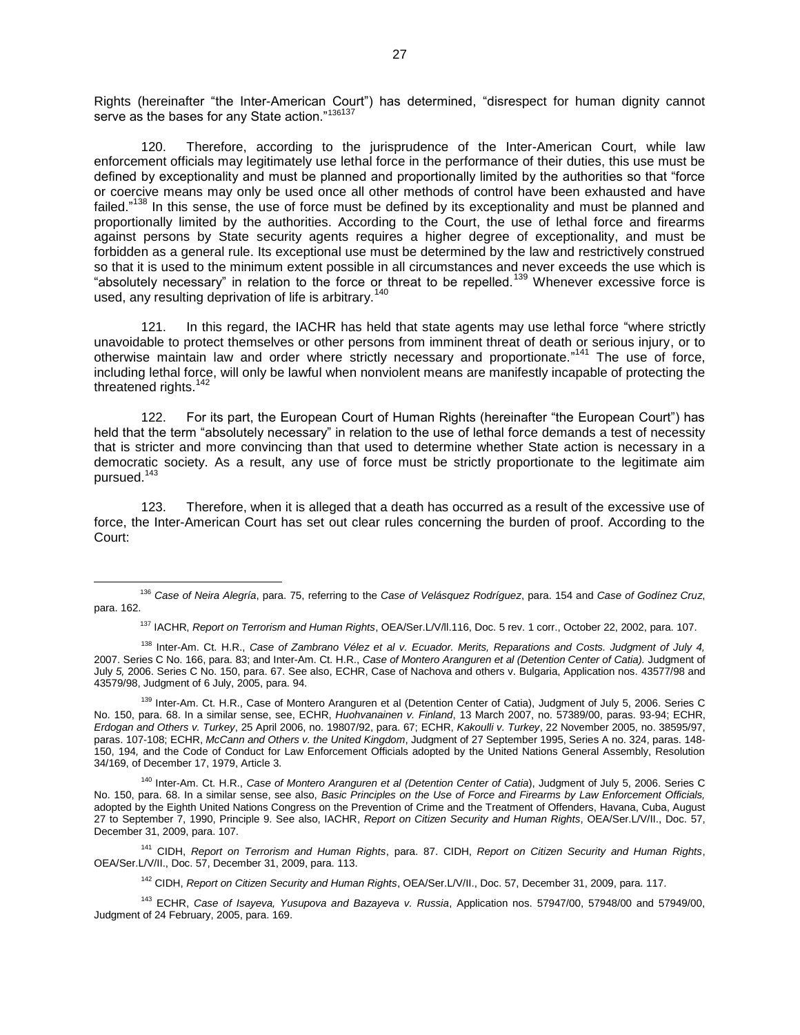Rights (hereinafter "the Inter-American Court") has determined, "disrespect for human dignity cannot serve as the bases for any State action."136137

120. Therefore, according to the jurisprudence of the Inter-American Court, while law enforcement officials may legitimately use lethal force in the performance of their duties, this use must be defined by exceptionality and must be planned and proportionally limited by the authorities so that "force or coercive means may only be used once all other methods of control have been exhausted and have failed."<sup>138</sup> In this sense, the use of force must be defined by its exceptionality and must be planned and proportionally limited by the authorities. According to the Court, the use of lethal force and firearms against persons by State security agents requires a higher degree of exceptionality, and must be forbidden as a general rule. Its exceptional use must be determined by the law and restrictively construed so that it is used to the minimum extent possible in all circumstances and never exceeds the use which is "absolutely necessary" in relation to the force or threat to be repelled.<sup>139</sup> Whenever excessive force is used, any resulting deprivation of life is arbitrary.<sup>140</sup>

121. In this regard, the IACHR has held that state agents may use lethal force "where strictly unavoidable to protect themselves or other persons from imminent threat of death or serious injury, or to otherwise maintain law and order where strictly necessary and proportionate."<sup>141</sup> The use of force, including lethal force, will only be lawful when nonviolent means are manifestly incapable of protecting the threatened rights.<sup>142</sup>

122. For its part, the European Court of Human Rights (hereinafter "the European Court") has held that the term "absolutely necessary" in relation to the use of lethal force demands a test of necessity that is stricter and more convincing than that used to determine whether State action is necessary in a democratic society. As a result, any use of force must be strictly proportionate to the legitimate aim pursued.<sup>143</sup>

123. Therefore, when it is alleged that a death has occurred as a result of the excessive use of force, the Inter-American Court has set out clear rules concerning the burden of proof. According to the Court:

<sup>136</sup> *Case of Neira Alegría*, para. 75, referring to the *Case of Velásquez Rodríguez*, para. 154 and *Case of Godínez Cruz*, para. 162.

<sup>137</sup> IACHR, *Report on Terrorism and Human Rights*, OEA/Ser.L/V/ll.116, Doc. 5 rev. 1 corr., October 22, 2002, para. 107.

<sup>138</sup> Inter-Am. Ct. H.R., *Case of Zambrano Vélez et al v. Ecuador. Merits, Reparations and Costs. Judgment of July 4,* 2007. Series C No. 166, para. 83; and Inter-Am. Ct. H.R., *Case of Montero Aranguren et al (Detention Center of Catia).* Judgment of July *5,* 2006. Series C No. 150, para. 67. See also, ECHR, Case of Nachova and others v. Bulgaria, Application nos. 43577/98 and 43579/98, Judgment of 6 July, 2005, para. 94.

<sup>139</sup> Inter-Am. Ct. H.R., Case of Montero Aranguren et al (Detention Center of Catia), Judgment of July 5, 2006. Series C No. 150, para. 68. In a similar sense, see, ECHR, *Huohvanainen v. Finland*, 13 March 2007, no. 57389/00, paras. 93-94; ECHR, *Erdogan and Others v. Turkey*, 25 April 2006, no. 19807/92, para. 67; ECHR, *Kakoulli v. Turkey*, 22 November 2005, no. 38595/97, paras. 107-108; ECHR, *McCann and Others v. the United Kingdom*, Judgment of 27 September 1995, Series A no. 324, paras. 148- 150, 194*,* and the Code of Conduct for Law Enforcement Officials adopted by the United Nations General Assembly, Resolution 34/169, of December 17, 1979, Article 3.

<sup>140</sup> Inter-Am. Ct. H.R., *Case of Montero Aranguren et al (Detention Center of Catia*), Judgment of July 5, 2006. Series C No. 150, para. 68. In a similar sense, see also, *Basic Principles on the Use of Force and Firearms by Law Enforcement Officials,* adopted by the Eighth United Nations Congress on the Prevention of Crime and the Treatment of Offenders, Havana, Cuba, August 27 to September 7, 1990, Principle 9. See also, IACHR, *Report on Citizen Security and Human Rights*, OEA/Ser.L/V/II., Doc. 57, December 31, 2009, para. 107.

<sup>141</sup> CIDH, *Report on Terrorism and Human Rights*, para. 87. CIDH, *Report on Citizen Security and Human Rights*, OEA/Ser.L/V/II., Doc. 57, December 31, 2009, para. 113.

<sup>142</sup> CIDH, *Report on Citizen Security and Human Rights*, OEA/Ser.L/V/II., Doc. 57, December 31, 2009, para. 117.

<sup>143</sup> ECHR, *Case of Isayeva, Yusupova and Bazayeva v. Russia*, Application nos. 57947/00, 57948/00 and 57949/00, Judgment of 24 February, 2005, para. 169.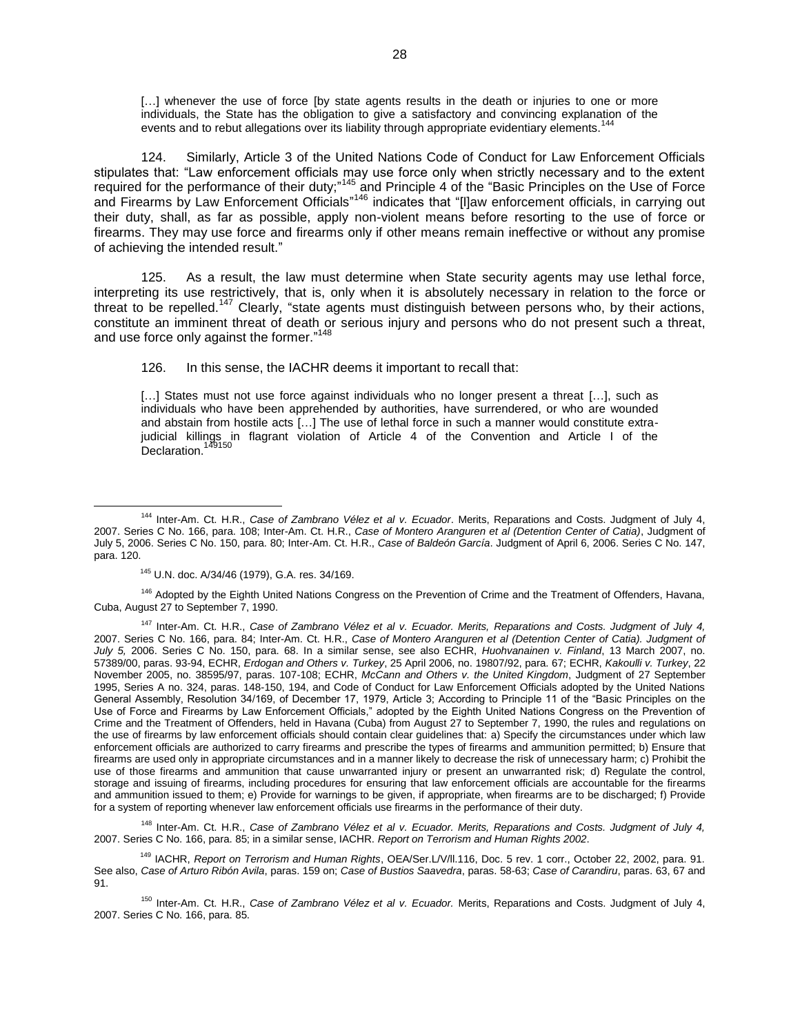[...] whenever the use of force [by state agents results in the death or injuries to one or more individuals, the State has the obligation to give a satisfactory and convincing explanation of the events and to rebut allegations over its liability through appropriate evidentiary elements.<sup>144</sup>

124. Similarly, Article 3 of the United Nations Code of Conduct for Law Enforcement Officials stipulates that: "Law enforcement officials may use force only when strictly necessary and to the extent required for the performance of their duty;"<sup>145</sup> and Principle 4 of the "Basic Principles on the Use of Force and Firearms by Law Enforcement Officials"<sup>146</sup> indicates that "[l]aw enforcement officials, in carrying out their duty, shall, as far as possible, apply non-violent means before resorting to the use of force or firearms. They may use force and firearms only if other means remain ineffective or without any promise of achieving the intended result."

125. As a result, the law must determine when State security agents may use lethal force, interpreting its use restrictively, that is, only when it is absolutely necessary in relation to the force or threat to be repelled.<sup>147</sup> Clearly, "state agents must distinguish between persons who, by their actions, constitute an imminent threat of death or serious injury and persons who do not present such a threat, and use force only against the former."<sup>148</sup>

126. In this sense, the IACHR deems it important to recall that:

[...] States must not use force against individuals who no longer present a threat [...], such as individuals who have been apprehended by authorities, have surrendered, or who are wounded and abstain from hostile acts […] The use of lethal force in such a manner would constitute extrajudicial killings in flagrant violation of Article 4 of the Convention and Article I of the .<br>Declaration.<sup>149150</sup>

 $\overline{a}$ 

<sup>146</sup> Adopted by the Eighth United Nations Congress on the Prevention of Crime and the Treatment of Offenders, Havana, Cuba, August 27 to September 7, 1990.

<sup>147</sup> Inter-Am. Ct. H.R., *Case of Zambrano Vélez et al v. Ecuador. Merits, Reparations and Costs. Judgment of July 4,* 2007. Series C No. 166, para. 84; Inter-Am. Ct. H.R., *Case of Montero Aranguren et al (Detention Center of Catia). Judgment of July 5,* 2006. Series C No. 150, para. 68. In a similar sense, see also ECHR, *Huohvanainen v. Finland*, 13 March 2007, no. 57389/00, paras. 93-94, ECHR, *Erdogan and Others v. Turkey*, 25 April 2006, no. 19807/92, para. 67; ECHR, *Kakoulli v. Turkey*, 22 November 2005, no. 38595/97, paras. 107-108; ECHR, *McCann and Others v. the United Kingdom*, Judgment of 27 September 1995, Series A no. 324, paras. 148-150, 194, and Code of Conduct for Law Enforcement Officials adopted by the United Nations General Assembly, Resolution 34/169, of December 17, 1979, Article 3; According to Principle 11 of the "Basic Principles on the Use of Force and Firearms by Law Enforcement Officials," adopted by the Eighth United Nations Congress on the Prevention of Crime and the Treatment of Offenders, held in Havana (Cuba) from August 27 to September 7, 1990, the rules and regulations on the use of firearms by law enforcement officials should contain clear guidelines that: a) Specify the circumstances under which law enforcement officials are authorized to carry firearms and prescribe the types of firearms and ammunition permitted; b) Ensure that firearms are used only in appropriate circumstances and in a manner likely to decrease the risk of unnecessary harm; c) Prohibit the use of those firearms and ammunition that cause unwarranted injury or present an unwarranted risk; d) Regulate the control, storage and issuing of firearms, including procedures for ensuring that law enforcement officials are accountable for the firearms and ammunition issued to them; e) Provide for warnings to be given, if appropriate, when firearms are to be discharged; f) Provide for a system of reporting whenever law enforcement officials use firearms in the performance of their duty.

<sup>148</sup> Inter-Am. Ct. H.R., *Case of Zambrano Vélez et al v. Ecuador. Merits, Reparations and Costs. Judgment of July 4,* 2007. Series C No. 166, para. 85; in a similar sense, IACHR. *Report on Terrorism and Human Rights 2002*.

<sup>149</sup> IACHR, *Report on Terrorism and Human Rights*, OEA/Ser.L/V/ll.116, Doc. 5 rev. 1 corr., October 22, 2002, para. 91. See also, *Case of Arturo Ribón Avila*, paras. 159 on; *Case of Bustios Saavedra*, paras. 58-63; *Case of Carandiru*, paras. 63, 67 and 91.

<sup>150</sup> Inter-Am. Ct. H.R., *Case of Zambrano Vélez et al v. Ecuador.* Merits, Reparations and Costs. Judgment of July 4, 2007. Series C No. 166, para. 85.

<sup>144</sup> Inter-Am. Ct. H.R., *Case of Zambrano Vélez et al v. Ecuador*. Merits, Reparations and Costs. Judgment of July 4, 2007. Series C No. 166, para. 108; Inter-Am. Ct. H.R., *Case of Montero Aranguren et al (Detention Center of Catia)*, Judgment of July 5, 2006. Series C No. 150, para. 80; Inter-Am. Ct. H.R., *Case of Baldeón García*. Judgment of April 6, 2006. Series C No. 147, para. 120.

<sup>145</sup> U.N. doc. A/34/46 (1979), G.A. res. 34/169.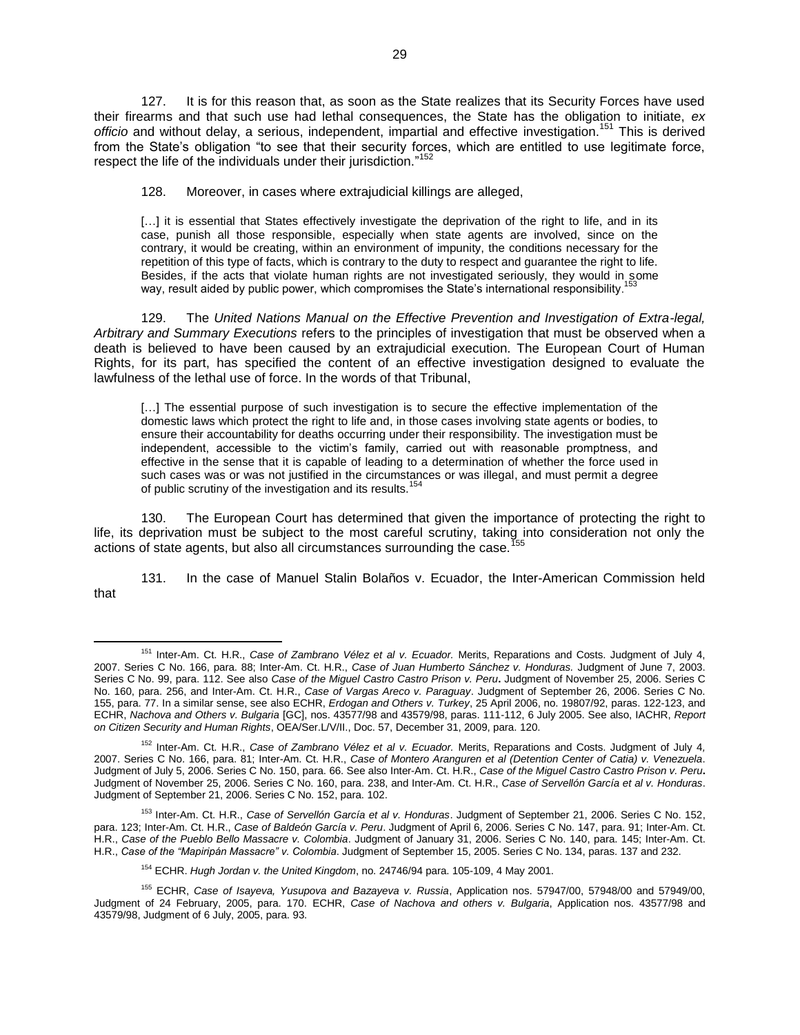127. It is for this reason that, as soon as the State realizes that its Security Forces have used their firearms and that such use had lethal consequences, the State has the obligation to initiate, *ex officio* and without delay, a serious, independent, impartial and effective investigation.<sup>151</sup> This is derived from the State's obligation "to see that their security forces, which are entitled to use legitimate force, respect the life of the individuals under their jurisdiction."<sup>152</sup>

128. Moreover, in cases where extrajudicial killings are alleged,

[...] it is essential that States effectively investigate the deprivation of the right to life, and in its case, punish all those responsible, especially when state agents are involved, since on the contrary, it would be creating, within an environment of impunity, the conditions necessary for the repetition of this type of facts, which is contrary to the duty to respect and guarantee the right to life. Besides, if the acts that violate human rights are not investigated seriously, they would in some way, result aided by public power, which compromises the State's international responsibility.<sup>153</sup>

129. The *United Nations Manual on the Effective Prevention and Investigation of Extra-legal, Arbitrary and Summary Executions* refers to the principles of investigation that must be observed when a death is believed to have been caused by an extrajudicial execution. The European Court of Human Rights, for its part, has specified the content of an effective investigation designed to evaluate the lawfulness of the lethal use of force. In the words of that Tribunal,

[...] The essential purpose of such investigation is to secure the effective implementation of the domestic laws which protect the right to life and, in those cases involving state agents or bodies, to ensure their accountability for deaths occurring under their responsibility. The investigation must be independent, accessible to the victim's family, carried out with reasonable promptness, and effective in the sense that it is capable of leading to a determination of whether the force used in such cases was or was not justified in the circumstances or was illegal, and must permit a degree of public scrutiny of the investigation and its results.<sup>154</sup>

130. The European Court has determined that given the importance of protecting the right to life, its deprivation must be subject to the most careful scrutiny, taking into consideration not only the actions of state agents, but also all circumstances surrounding the case.<sup>1</sup>

131. In the case of Manuel Stalin Bolaños v. Ecuador, the Inter-American Commission held that

<sup>151</sup> Inter-Am. Ct. H.R., *Case of Zambrano Vélez et al v. Ecuador.* Merits, Reparations and Costs. Judgment of July 4, 2007. Series C No. 166, para. 88; Inter-Am. Ct. H.R., *Case of Juan Humberto Sánchez v. Honduras.* Judgment of June 7, 2003. Series C No. 99, para. 112. See also *Case of the Miguel Castro Castro Prison v. Peru***.** Judgment of November 25, 2006. Series C No. 160, para. 256, and Inter-Am. Ct. H.R., *Case of Vargas Areco v. Paraguay*. Judgment of September 26, 2006. Series C No. 155, para. 77. In a similar sense, see also ECHR, *Erdogan and Others v. Turkey*, 25 April 2006, no. 19807/92, paras. 122-123, and ECHR, *Nachova and Others v. Bulgaria* [GC], nos. 43577/98 and 43579/98, paras. 111-112, 6 July 2005. See also, IACHR, *Report on Citizen Security and Human Rights*, OEA/Ser.L/V/II., Doc. 57, December 31, 2009, para. 120.

<sup>152</sup> Inter-Am. Ct. H.R., *Case of Zambrano Vélez et al v. Ecuador.* Merits, Reparations and Costs. Judgment of July 4*,* 2007. Series C No. 166, para. 81; Inter-Am. Ct. H.R., *Case of Montero Aranguren et al (Detention Center of Catia) v. Venezuela*. Judgment of July 5, 2006. Series C No. 150, para. 66. See also Inter-Am. Ct. H.R., *Case of the Miguel Castro Castro Prison v. Peru***.**  Judgment of November 25, 2006. Series C No. 160, para. 238, and Inter-Am. Ct. H.R., *Case of Servellón García et al v. Honduras*. Judgment of September 21, 2006. Series C No. 152, para. 102.

<sup>153</sup> Inter-Am. Ct. H.R., *Case of Servellón García et al v. Honduras*. Judgment of September 21, 2006. Series C No. 152, para. 123; Inter-Am. Ct. H.R., *Case of Baldeón García v. Peru*. Judgment of April 6, 2006. Series C No. 147, para. 91; Inter-Am. Ct. H.R., *Case of the Pueblo Bello Massacre v. Colombia*. Judgment of January 31, 2006. Series C No. 140, para. 145; Inter-Am. Ct. H.R., *Case of the "Mapiripán Massacre" v. Colombia*. Judgment of September 15, 2005. Series C No. 134, paras. 137 and 232.

<sup>154</sup> ECHR. *Hugh Jordan v. the United Kingdom*, no. 24746/94 para. 105-109, 4 May 2001.

<sup>155</sup> ECHR, *Case of Isayeva, Yusupova and Bazayeva v. Russia*, Application nos. 57947/00, 57948/00 and 57949/00, Judgment of 24 February, 2005, para. 170. ECHR, *Case of Nachova and others v. Bulgaria*, Application nos. 43577/98 and 43579/98, Judgment of 6 July, 2005, para. 93.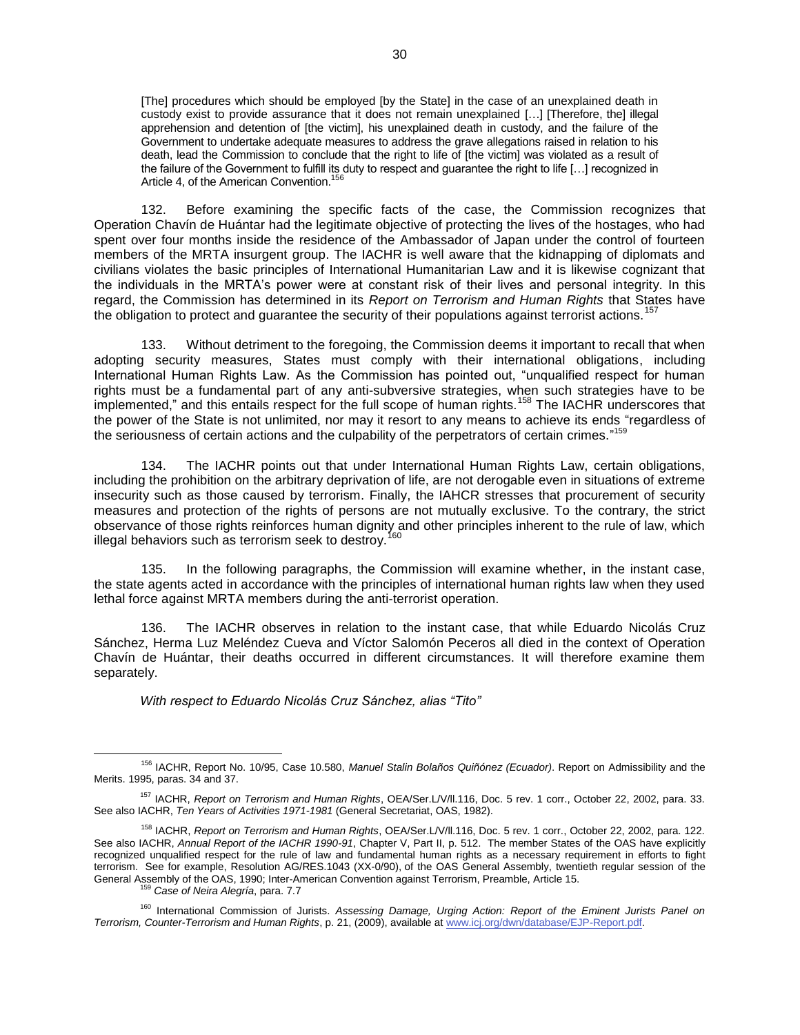[The] procedures which should be employed [by the State] in the case of an unexplained death in custody exist to provide assurance that it does not remain unexplained […] [Therefore, the] illegal apprehension and detention of [the victim], his unexplained death in custody, and the failure of the Government to undertake adequate measures to address the grave allegations raised in relation to his death, lead the Commission to conclude that the right to life of [the victim] was violated as a result of the failure of the Government to fulfill its duty to respect and guarantee the right to life […] recognized in Article 4, of the American Convention.<sup>15</sup>

132. Before examining the specific facts of the case, the Commission recognizes that Operation Chavín de Huántar had the legitimate objective of protecting the lives of the hostages, who had spent over four months inside the residence of the Ambassador of Japan under the control of fourteen members of the MRTA insurgent group. The IACHR is well aware that the kidnapping of diplomats and civilians violates the basic principles of International Humanitarian Law and it is likewise cognizant that the individuals in the MRTA's power were at constant risk of their lives and personal integrity. In this regard, the Commission has determined in its *Report on Terrorism and Human Rights* that States have the obligation to protect and guarantee the security of their populations against terrorist actions.

133. Without detriment to the foregoing, the Commission deems it important to recall that when adopting security measures, States must comply with their international obligations, including International Human Rights Law. As the Commission has pointed out, "unqualified respect for human rights must be a fundamental part of any anti-subversive strategies, when such strategies have to be implemented," and this entails respect for the full scope of human rights.<sup>158</sup> The IACHR underscores that the power of the State is not unlimited, nor may it resort to any means to achieve its ends "regardless of the seriousness of certain actions and the culpability of the perpetrators of certain crimes."<sup>159</sup>

134. The IACHR points out that under International Human Rights Law, certain obligations, including the prohibition on the arbitrary deprivation of life, are not derogable even in situations of extreme insecurity such as those caused by terrorism. Finally, the IAHCR stresses that procurement of security measures and protection of the rights of persons are not mutually exclusive. To the contrary, the strict observance of those rights reinforces human dignity and other principles inherent to the rule of law, which illegal behaviors such as terrorism seek to destroy.<sup>1</sup>

135. In the following paragraphs, the Commission will examine whether, in the instant case, the state agents acted in accordance with the principles of international human rights law when they used lethal force against MRTA members during the anti-terrorist operation.

The IACHR observes in relation to the instant case, that while Eduardo Nicolás Cruz Sánchez, Herma Luz Meléndez Cueva and Víctor Salomón Peceros all died in the context of Operation Chavín de Huántar, their deaths occurred in different circumstances. It will therefore examine them separately.

*With respect to Eduardo Nicolás Cruz Sánchez, alias "Tito"*

<sup>156</sup> IACHR, Report No. 10/95, Case 10.580, *Manuel Stalin Bolaños Quiñónez (Ecuador)*. Report on Admissibility and the Merits. 1995, paras. 34 and 37.

<sup>157</sup> IACHR, *Report on Terrorism and Human Rights*, OEA/Ser.L/V/ll.116, Doc. 5 rev. 1 corr., October 22, 2002, para. 33. See also IACHR, *Ten Years of Activities 1971-1981* (General Secretariat, OAS, 1982).

<sup>158</sup> IACHR, *Report on Terrorism and Human Rights*, OEA/Ser.L/V/ll.116, Doc. 5 rev. 1 corr., October 22, 2002, para. 122. See also IACHR, *Annual Report of the IACHR 1990-91*, Chapter V, Part II, p. 512. The member States of the OAS have explicitly recognized unqualified respect for the rule of law and fundamental human rights as a necessary requirement in efforts to fight terrorism. See for example, Resolution AG/RES.1043 (XX-0/90), of the OAS General Assembly, twentieth regular session of the General Assembly of the OAS, 1990; Inter-American Convention against Terrorism, Preamble, Article 15.

<sup>159</sup> *Case of Neira Alegría*, para. 7.7

<sup>160</sup> International Commission of Jurists. *Assessing Damage, Urging Action: Report of the Eminent Jurists Panel on Terrorism, Counter-Terrorism and Human Rights*, p. 21, (2009), available a[t www.icj.org/dwn/database/EJP-Report.pdf.](http://www.icj.org/dwn/database/EJP-Report.pdf)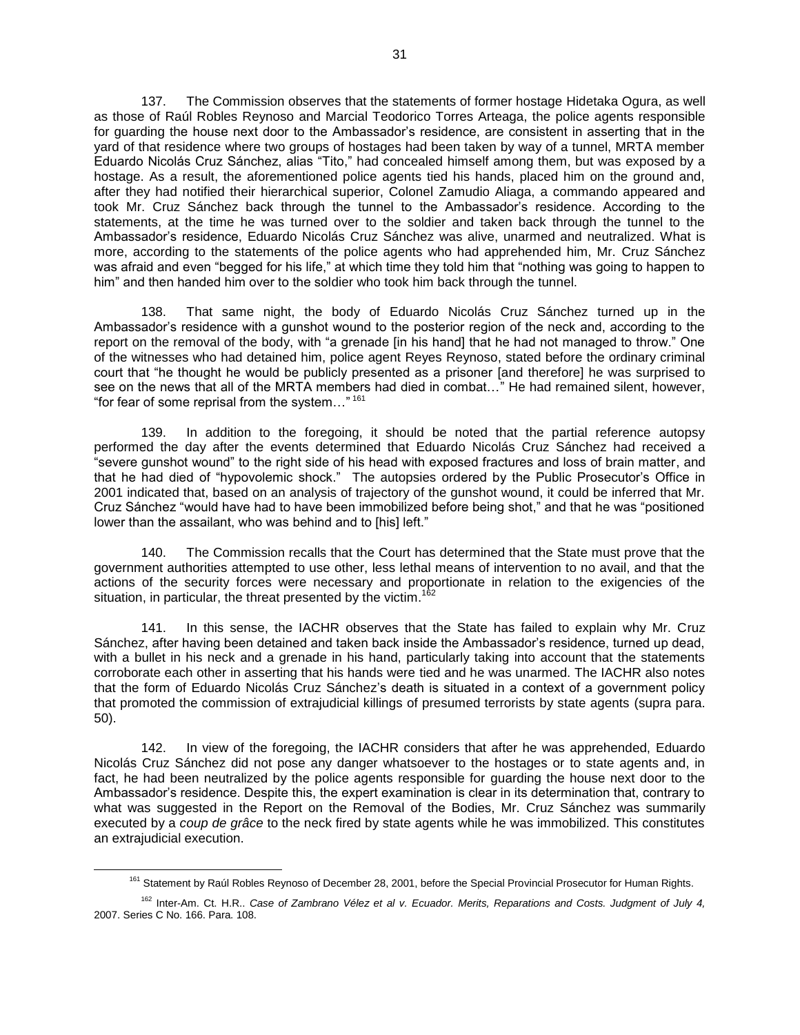137. The Commission observes that the statements of former hostage Hidetaka Ogura, as well as those of Raúl Robles Reynoso and Marcial Teodorico Torres Arteaga, the police agents responsible for guarding the house next door to the Ambassador's residence, are consistent in asserting that in the yard of that residence where two groups of hostages had been taken by way of a tunnel, MRTA member Eduardo Nicolás Cruz Sánchez, alias "Tito," had concealed himself among them, but was exposed by a hostage. As a result, the aforementioned police agents tied his hands, placed him on the ground and, after they had notified their hierarchical superior, Colonel Zamudio Aliaga, a commando appeared and took Mr. Cruz Sánchez back through the tunnel to the Ambassador's residence. According to the statements, at the time he was turned over to the soldier and taken back through the tunnel to the Ambassador's residence, Eduardo Nicolás Cruz Sánchez was alive, unarmed and neutralized. What is more, according to the statements of the police agents who had apprehended him, Mr. Cruz Sánchez was afraid and even "begged for his life," at which time they told him that "nothing was going to happen to him" and then handed him over to the soldier who took him back through the tunnel.

138. That same night, the body of Eduardo Nicolás Cruz Sánchez turned up in the Ambassador's residence with a gunshot wound to the posterior region of the neck and, according to the report on the removal of the body, with "a grenade [in his hand] that he had not managed to throw." One of the witnesses who had detained him, police agent Reyes Reynoso, stated before the ordinary criminal court that "he thought he would be publicly presented as a prisoner [and therefore] he was surprised to see on the news that all of the MRTA members had died in combat…" He had remained silent, however, "for fear of some reprisal from the system…" 161

139. In addition to the foregoing, it should be noted that the partial reference autopsy performed the day after the events determined that Eduardo Nicolás Cruz Sánchez had received a "severe gunshot wound" to the right side of his head with exposed fractures and loss of brain matter, and that he had died of "hypovolemic shock." The autopsies ordered by the Public Prosecutor's Office in 2001 indicated that, based on an analysis of trajectory of the gunshot wound, it could be inferred that Mr. Cruz Sánchez "would have had to have been immobilized before being shot," and that he was "positioned lower than the assailant, who was behind and to [his] left."

140. The Commission recalls that the Court has determined that the State must prove that the government authorities attempted to use other, less lethal means of intervention to no avail, and that the actions of the security forces were necessary and proportionate in relation to the exigencies of the situation, in particular, the threat presented by the victim.<sup>162</sup>

141. In this sense, the IACHR observes that the State has failed to explain why Mr. Cruz Sánchez, after having been detained and taken back inside the Ambassador's residence, turned up dead, with a bullet in his neck and a grenade in his hand, particularly taking into account that the statements corroborate each other in asserting that his hands were tied and he was unarmed. The IACHR also notes that the form of Eduardo Nicolás Cruz Sánchez's death is situated in a context of a government policy that promoted the commission of extrajudicial killings of presumed terrorists by state agents (supra para. 50).

142. In view of the foregoing, the IACHR considers that after he was apprehended, Eduardo Nicolás Cruz Sánchez did not pose any danger whatsoever to the hostages or to state agents and, in fact, he had been neutralized by the police agents responsible for guarding the house next door to the Ambassador's residence. Despite this, the expert examination is clear in its determination that, contrary to what was suggested in the Report on the Removal of the Bodies, Mr. Cruz Sánchez was summarily executed by a *coup de grâce* to the neck fired by state agents while he was immobilized. This constitutes an extrajudicial execution.

<sup>&</sup>lt;sup>161</sup> Statement by Raúl Robles Reynoso of December 28, 2001, before the Special Provincial Prosecutor for Human Rights.

<sup>162</sup> Inter-Am. Ct. H.R.. *Case of Zambrano Vélez et al v. Ecuador. Merits, Reparations and Costs. Judgment of July 4,* 2007. Series C No. 166. Para. 108.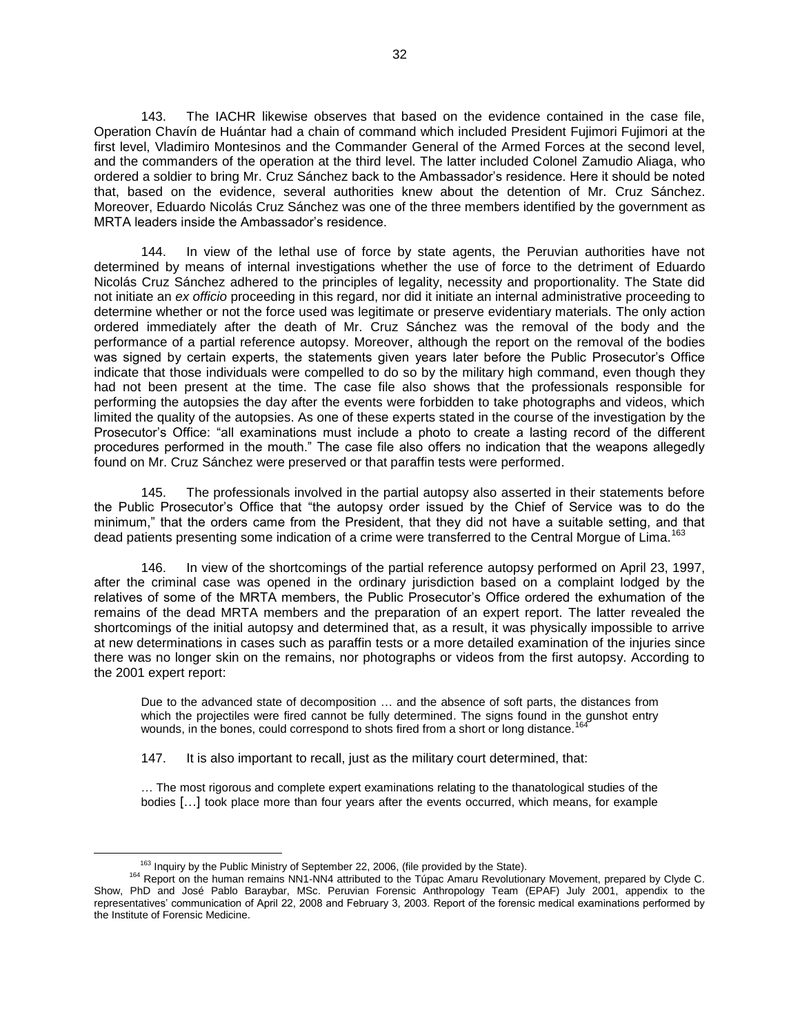143. The IACHR likewise observes that based on the evidence contained in the case file, Operation Chavín de Huántar had a chain of command which included President Fujimori Fujimori at the first level, Vladimiro Montesinos and the Commander General of the Armed Forces at the second level, and the commanders of the operation at the third level. The latter included Colonel Zamudio Aliaga, who ordered a soldier to bring Mr. Cruz Sánchez back to the Ambassador's residence. Here it should be noted that, based on the evidence, several authorities knew about the detention of Mr. Cruz Sánchez. Moreover, Eduardo Nicolás Cruz Sánchez was one of the three members identified by the government as MRTA leaders inside the Ambassador's residence.

144. In view of the lethal use of force by state agents, the Peruvian authorities have not determined by means of internal investigations whether the use of force to the detriment of Eduardo Nicolás Cruz Sánchez adhered to the principles of legality, necessity and proportionality. The State did not initiate an *ex officio* proceeding in this regard, nor did it initiate an internal administrative proceeding to determine whether or not the force used was legitimate or preserve evidentiary materials. The only action ordered immediately after the death of Mr. Cruz Sánchez was the removal of the body and the performance of a partial reference autopsy. Moreover, although the report on the removal of the bodies was signed by certain experts, the statements given years later before the Public Prosecutor's Office indicate that those individuals were compelled to do so by the military high command, even though they had not been present at the time. The case file also shows that the professionals responsible for performing the autopsies the day after the events were forbidden to take photographs and videos, which limited the quality of the autopsies. As one of these experts stated in the course of the investigation by the Prosecutor's Office: "all examinations must include a photo to create a lasting record of the different procedures performed in the mouth." The case file also offers no indication that the weapons allegedly found on Mr. Cruz Sánchez were preserved or that paraffin tests were performed.

145. The professionals involved in the partial autopsy also asserted in their statements before the Public Prosecutor's Office that "the autopsy order issued by the Chief of Service was to do the minimum," that the orders came from the President, that they did not have a suitable setting, and that dead patients presenting some indication of a crime were transferred to the Central Morgue of Lima.<sup>16</sup>

146. In view of the shortcomings of the partial reference autopsy performed on April 23, 1997, after the criminal case was opened in the ordinary jurisdiction based on a complaint lodged by the relatives of some of the MRTA members, the Public Prosecutor's Office ordered the exhumation of the remains of the dead MRTA members and the preparation of an expert report. The latter revealed the shortcomings of the initial autopsy and determined that, as a result, it was physically impossible to arrive at new determinations in cases such as paraffin tests or a more detailed examination of the injuries since there was no longer skin on the remains, nor photographs or videos from the first autopsy. According to the 2001 expert report:

Due to the advanced state of decomposition … and the absence of soft parts, the distances from which the projectiles were fired cannot be fully determined. The signs found in the gunshot entry wounds, in the bones, could correspond to shots fired from a short or long distance.<sup>16</sup>

147. It is also important to recall, just as the military court determined, that:

… The most rigorous and complete expert examinations relating to the thanatological studies of the bodies […] took place more than four years after the events occurred, which means, for example

<sup>&</sup>lt;sup>163</sup> Inquiry by the Public Ministry of September 22, 2006. (file provided by the State).

<sup>164</sup> Report on the human remains NN1-NN4 attributed to the Túpac Amaru Revolutionary Movement, prepared by Clyde C. Show, PhD and José Pablo Baraybar, MSc. Peruvian Forensic Anthropology Team (EPAF) July 2001, appendix to the representatives' communication of April 22, 2008 and February 3, 2003. Report of the forensic medical examinations performed by the Institute of Forensic Medicine.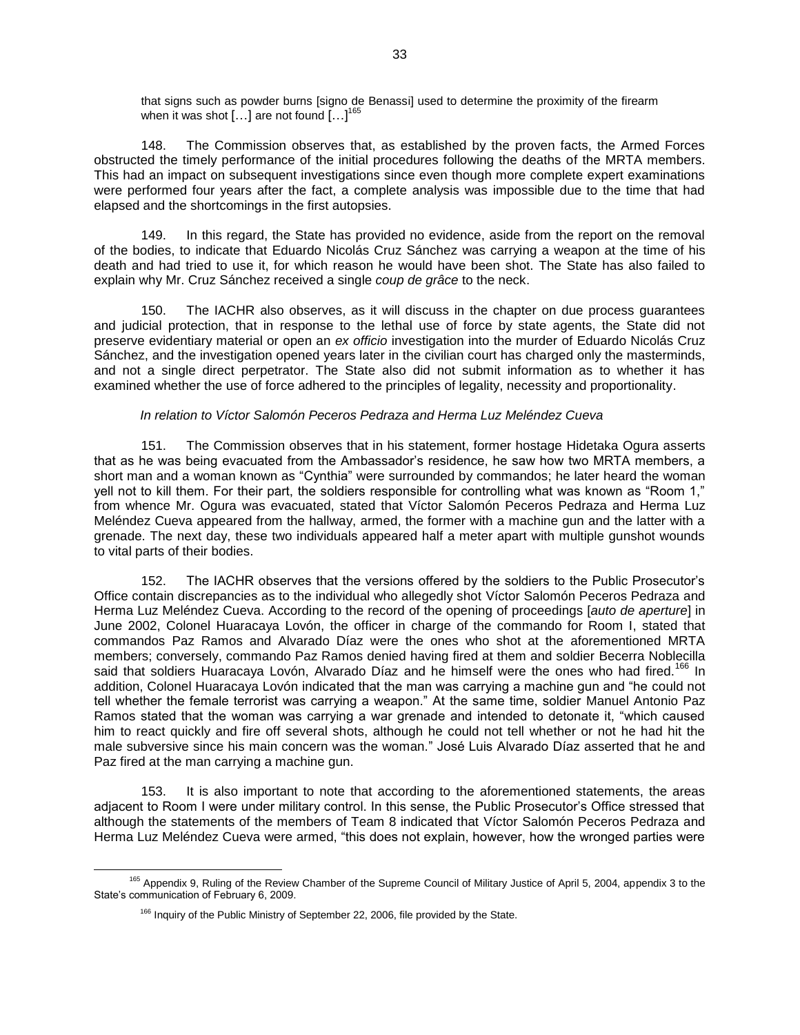that signs such as powder burns [signo de Benassi] used to determine the proximity of the firearm when it was shot  $[...]$  are not found  $[...]^{165}$ 

148. The Commission observes that, as established by the proven facts, the Armed Forces obstructed the timely performance of the initial procedures following the deaths of the MRTA members. This had an impact on subsequent investigations since even though more complete expert examinations were performed four years after the fact, a complete analysis was impossible due to the time that had elapsed and the shortcomings in the first autopsies.

149. In this regard, the State has provided no evidence, aside from the report on the removal of the bodies, to indicate that Eduardo Nicolás Cruz Sánchez was carrying a weapon at the time of his death and had tried to use it, for which reason he would have been shot. The State has also failed to explain why Mr. Cruz Sánchez received a single *coup de grâce* to the neck.

150. The IACHR also observes, as it will discuss in the chapter on due process guarantees and judicial protection, that in response to the lethal use of force by state agents, the State did not preserve evidentiary material or open an *ex officio* investigation into the murder of Eduardo Nicolás Cruz Sánchez, and the investigation opened years later in the civilian court has charged only the masterminds, and not a single direct perpetrator. The State also did not submit information as to whether it has examined whether the use of force adhered to the principles of legality, necessity and proportionality.

### *In relation to Víctor Salomón Peceros Pedraza and Herma Luz Meléndez Cueva*

151. The Commission observes that in his statement, former hostage Hidetaka Ogura asserts that as he was being evacuated from the Ambassador's residence, he saw how two MRTA members, a short man and a woman known as "Cynthia" were surrounded by commandos; he later heard the woman yell not to kill them. For their part, the soldiers responsible for controlling what was known as "Room 1," from whence Mr. Ogura was evacuated, stated that Víctor Salomón Peceros Pedraza and Herma Luz Meléndez Cueva appeared from the hallway, armed, the former with a machine gun and the latter with a grenade. The next day, these two individuals appeared half a meter apart with multiple gunshot wounds to vital parts of their bodies.

152. The IACHR observes that the versions offered by the soldiers to the Public Prosecutor's Office contain discrepancies as to the individual who allegedly shot Víctor Salomón Peceros Pedraza and Herma Luz Meléndez Cueva. According to the record of the opening of proceedings [*auto de aperture*] in June 2002, Colonel Huaracaya Lovón, the officer in charge of the commando for Room I, stated that commandos Paz Ramos and Alvarado Díaz were the ones who shot at the aforementioned MRTA members; conversely, commando Paz Ramos denied having fired at them and soldier Becerra Noblecilla said that soldiers Huaracaya Lovón, Alvarado Díaz and he himself were the ones who had fired.<sup>166</sup> In addition, Colonel Huaracaya Lovón indicated that the man was carrying a machine gun and "he could not tell whether the female terrorist was carrying a weapon." At the same time, soldier Manuel Antonio Paz Ramos stated that the woman was carrying a war grenade and intended to detonate it, "which caused him to react quickly and fire off several shots, although he could not tell whether or not he had hit the male subversive since his main concern was the woman." José Luis Alvarado Díaz asserted that he and Paz fired at the man carrying a machine gun.

153. It is also important to note that according to the aforementioned statements, the areas adjacent to Room I were under military control. In this sense, the Public Prosecutor's Office stressed that although the statements of the members of Team 8 indicated that Víctor Salomón Peceros Pedraza and Herma Luz Meléndez Cueva were armed, "this does not explain, however, how the wronged parties were

 $\overline{a}$ <sup>165</sup> Appendix 9, Ruling of the Review Chamber of the Supreme Council of Military Justice of April 5, 2004, appendix 3 to the State's communication of February 6, 2009.

<sup>&</sup>lt;sup>166</sup> Inquirv of the Public Ministry of September 22, 2006, file provided by the State.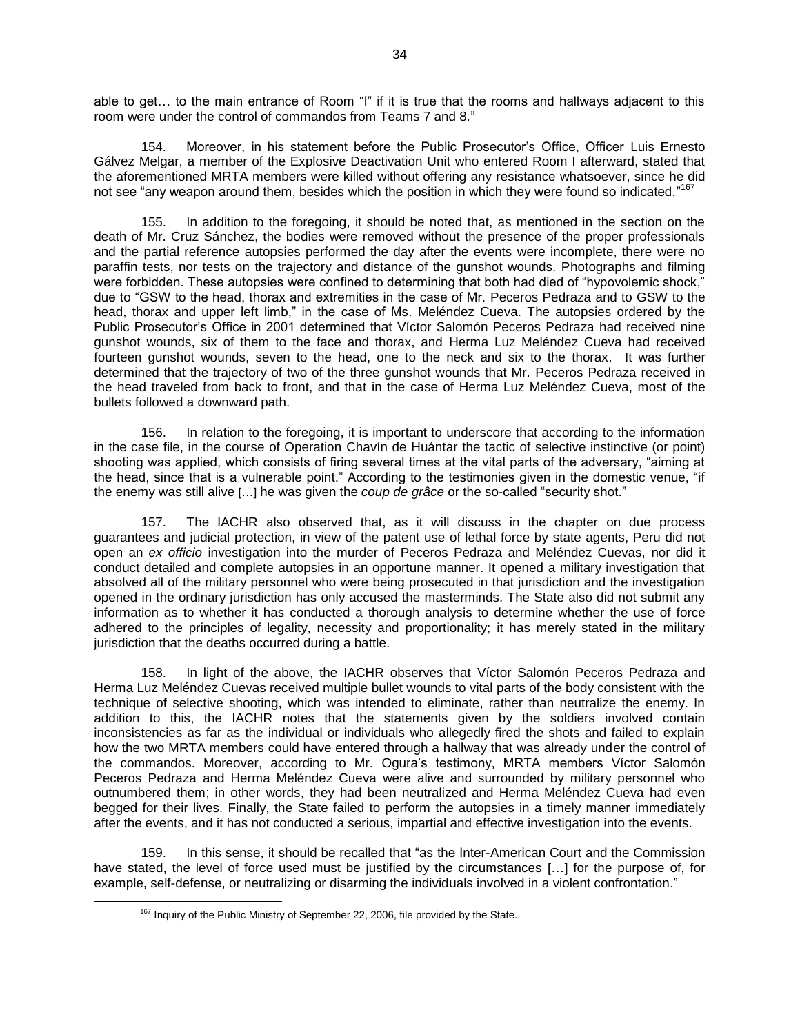able to get... to the main entrance of Room "I" if it is true that the rooms and hallways adjacent to this room were under the control of commandos from Teams 7 and 8."

154. Moreover, in his statement before the Public Prosecutor's Office, Officer Luis Ernesto Gálvez Melgar, a member of the Explosive Deactivation Unit who entered Room I afterward, stated that the aforementioned MRTA members were killed without offering any resistance whatsoever, since he did not see "any weapon around them, besides which the position in which they were found so indicated."<sup>167</sup>

155. In addition to the foregoing, it should be noted that, as mentioned in the section on the death of Mr. Cruz Sánchez, the bodies were removed without the presence of the proper professionals and the partial reference autopsies performed the day after the events were incomplete, there were no paraffin tests, nor tests on the trajectory and distance of the gunshot wounds. Photographs and filming were forbidden. These autopsies were confined to determining that both had died of "hypovolemic shock," due to "GSW to the head, thorax and extremities in the case of Mr. Peceros Pedraza and to GSW to the head, thorax and upper left limb," in the case of Ms. Meléndez Cueva. The autopsies ordered by the Public Prosecutor's Office in 2001 determined that Víctor Salomón Peceros Pedraza had received nine gunshot wounds, six of them to the face and thorax, and Herma Luz Meléndez Cueva had received fourteen gunshot wounds, seven to the head, one to the neck and six to the thorax. It was further determined that the trajectory of two of the three gunshot wounds that Mr. Peceros Pedraza received in the head traveled from back to front, and that in the case of Herma Luz Meléndez Cueva, most of the bullets followed a downward path.

156. In relation to the foregoing, it is important to underscore that according to the information in the case file, in the course of Operation Chavín de Huántar the tactic of selective instinctive (or point) shooting was applied, which consists of firing several times at the vital parts of the adversary, "aiming at the head, since that is a vulnerable point." According to the testimonies given in the domestic venue, "if the enemy was still alive […] he was given the *coup de grâce* or the so-called "security shot."

157. The IACHR also observed that, as it will discuss in the chapter on due process guarantees and judicial protection, in view of the patent use of lethal force by state agents, Peru did not open an *ex officio* investigation into the murder of Peceros Pedraza and Meléndez Cuevas, nor did it conduct detailed and complete autopsies in an opportune manner. It opened a military investigation that absolved all of the military personnel who were being prosecuted in that jurisdiction and the investigation opened in the ordinary jurisdiction has only accused the masterminds. The State also did not submit any information as to whether it has conducted a thorough analysis to determine whether the use of force adhered to the principles of legality, necessity and proportionality; it has merely stated in the military jurisdiction that the deaths occurred during a battle.

158. In light of the above, the IACHR observes that Víctor Salomón Peceros Pedraza and Herma Luz Meléndez Cuevas received multiple bullet wounds to vital parts of the body consistent with the technique of selective shooting, which was intended to eliminate, rather than neutralize the enemy. In addition to this, the IACHR notes that the statements given by the soldiers involved contain inconsistencies as far as the individual or individuals who allegedly fired the shots and failed to explain how the two MRTA members could have entered through a hallway that was already under the control of the commandos. Moreover, according to Mr. Ogura's testimony, MRTA members Víctor Salomón Peceros Pedraza and Herma Meléndez Cueva were alive and surrounded by military personnel who outnumbered them; in other words, they had been neutralized and Herma Meléndez Cueva had even begged for their lives. Finally, the State failed to perform the autopsies in a timely manner immediately after the events, and it has not conducted a serious, impartial and effective investigation into the events.

159. In this sense, it should be recalled that "as the Inter-American Court and the Commission have stated, the level of force used must be justified by the circumstances [...] for the purpose of, for example, self-defense, or neutralizing or disarming the individuals involved in a violent confrontation."

 $167$  Inquiry of the Public Ministry of September 22, 2006, file provided by the State..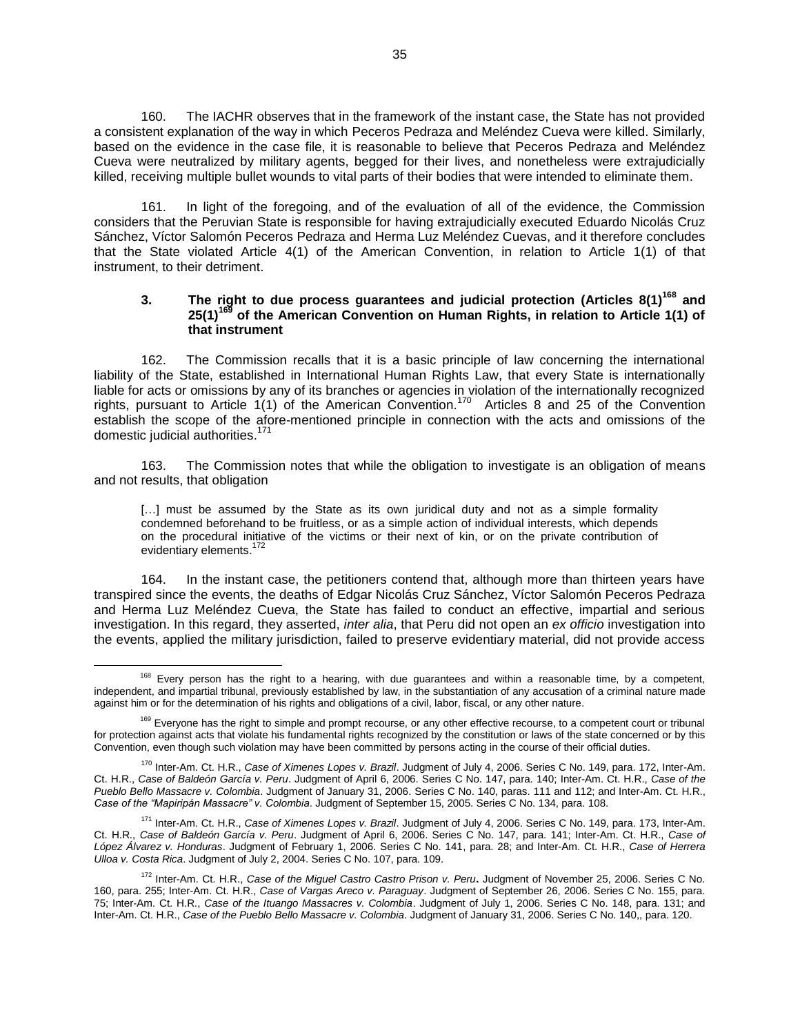160. The IACHR observes that in the framework of the instant case, the State has not provided a consistent explanation of the way in which Peceros Pedraza and Meléndez Cueva were killed. Similarly, based on the evidence in the case file, it is reasonable to believe that Peceros Pedraza and Meléndez Cueva were neutralized by military agents, begged for their lives, and nonetheless were extrajudicially killed, receiving multiple bullet wounds to vital parts of their bodies that were intended to eliminate them.

161. In light of the foregoing, and of the evaluation of all of the evidence, the Commission considers that the Peruvian State is responsible for having extrajudicially executed Eduardo Nicolás Cruz Sánchez, Víctor Salomón Peceros Pedraza and Herma Luz Meléndez Cuevas, and it therefore concludes that the State violated Article 4(1) of the American Convention, in relation to Article 1(1) of that instrument, to their detriment.

## **3. The right to due process guarantees and judicial protection (Articles 8(1)<sup>168</sup> and 25(1) <sup>169</sup> of the American Convention on Human Rights, in relation to Article 1(1) of that instrument**

162. The Commission recalls that it is a basic principle of law concerning the international liability of the State, established in International Human Rights Law, that every State is internationally liable for acts or omissions by any of its branches or agencies in violation of the internationally recognized rights, pursuant to Article  $1(1)$  of the American Convention.<sup>170</sup> Articles 8 and 25 of the Convention establish the scope of the afore-mentioned principle in connection with the acts and omissions of the domestic judicial authorities.<sup>171</sup>

163. The Commission notes that while the obligation to investigate is an obligation of means and not results, that obligation

[...] must be assumed by the State as its own juridical duty and not as a simple formality condemned beforehand to be fruitless, or as a simple action of individual interests, which depends on the procedural initiative of the victims or their next of kin, or on the private contribution of evidentiary elements.<sup>172</sup>

164. In the instant case, the petitioners contend that, although more than thirteen years have transpired since the events, the deaths of Edgar Nicolás Cruz Sánchez, Víctor Salomón Peceros Pedraza and Herma Luz Meléndez Cueva, the State has failed to conduct an effective, impartial and serious investigation. In this regard, they asserted, *inter alia*, that Peru did not open an *ex officio* investigation into the events, applied the military jurisdiction, failed to preserve evidentiary material, did not provide access

<sup>&</sup>lt;sup>168</sup> Every person has the right to a hearing, with due guarantees and within a reasonable time, by a competent, independent, and impartial tribunal, previously established by law, in the substantiation of any accusation of a criminal nature made against him or for the determination of his rights and obligations of a civil, labor, fiscal, or any other nature.

<sup>169</sup> Everyone has the right to simple and prompt recourse, or any other effective recourse, to a competent court or tribunal for protection against acts that violate his fundamental rights recognized by the constitution or laws of the state concerned or by this Convention, even though such violation may have been committed by persons acting in the course of their official duties.

<sup>170</sup> Inter-Am. Ct. H.R., *Case of Ximenes Lopes v. Brazil*. Judgment of July 4, 2006. Series C No. 149, para. 172, Inter-Am. Ct. H.R., *Case of Baldeón García v. Peru*. Judgment of April 6, 2006. Series C No. 147, para. 140; Inter-Am. Ct. H.R., *Case of the Pueblo Bello Massacre v. Colombia*. Judgment of January 31, 2006. Series C No. 140, paras. 111 and 112; and Inter-Am. Ct. H.R., *Case of the "Mapiripán Massacre" v. Colombia*. Judgment of September 15, 2005. Series C No. 134, para. 108.

<sup>171</sup> Inter-Am. Ct. H.R., *Case of Ximenes Lopes v. Brazil*. Judgment of July 4, 2006. Series C No. 149, para. 173, Inter-Am. Ct. H.R., *Case of Baldeón García v. Peru*. Judgment of April 6, 2006. Series C No. 147, para. 141; Inter-Am. Ct. H.R., *Case of López Álvarez v. Honduras*. Judgment of February 1, 2006. Series C No. 141, para. 28; and Inter-Am. Ct. H.R., *Case of Herrera Ulloa v. Costa Rica*. Judgment of July 2, 2004. Series C No. 107, para. 109.

<sup>172</sup> Inter-Am. Ct. H.R., *Case of the Miguel Castro Castro Prison v. Peru***.** Judgment of November 25, 2006. Series C No. 160, para. 255; Inter-Am. Ct. H.R., *Case of Vargas Areco v. Paraguay*. Judgment of September 26, 2006. Series C No. 155, para. 75; Inter-Am. Ct. H.R., *Case of the Ituango Massacres v. Colombia*. Judgment of July 1, 2006. Series C No. 148, para. 131; and Inter-Am. Ct. H.R., *Case of the Pueblo Bello Massacre v. Colombia*. Judgment of January 31, 2006. Series C No. 140,, para. 120.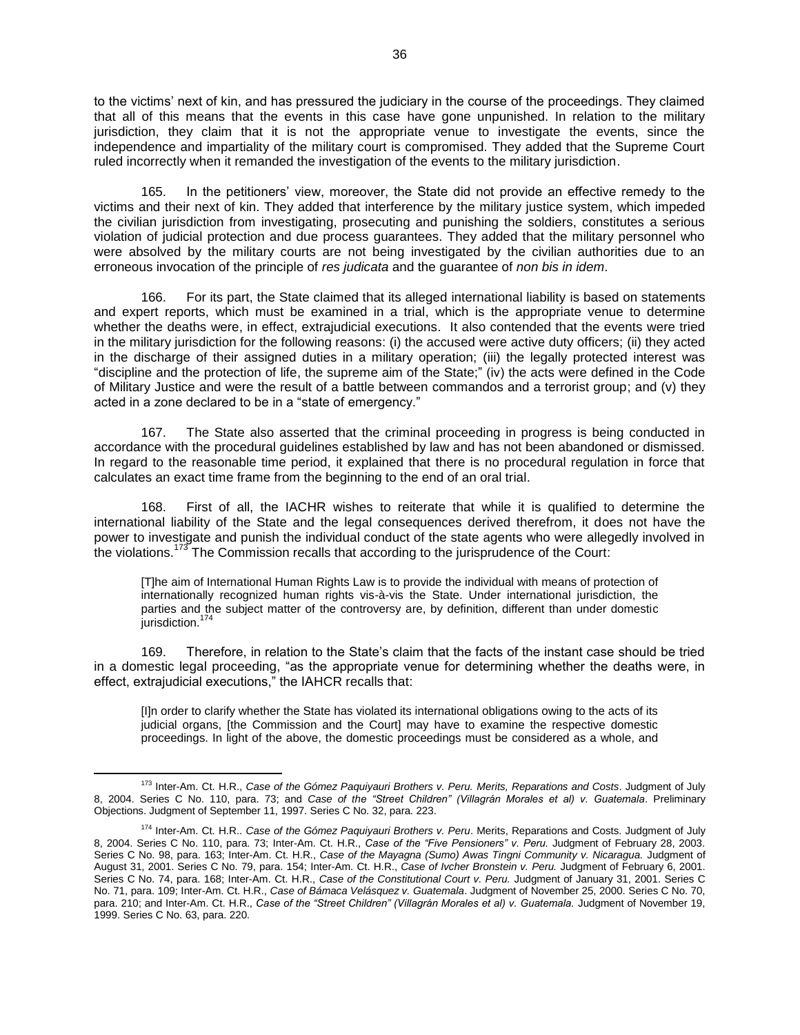to the victims' next of kin, and has pressured the judiciary in the course of the proceedings. They claimed that all of this means that the events in this case have gone unpunished. In relation to the military jurisdiction, they claim that it is not the appropriate venue to investigate the events, since the independence and impartiality of the military court is compromised. They added that the Supreme Court ruled incorrectly when it remanded the investigation of the events to the military jurisdiction.

165. In the petitioners' view, moreover, the State did not provide an effective remedy to the victims and their next of kin. They added that interference by the military justice system, which impeded the civilian jurisdiction from investigating, prosecuting and punishing the soldiers, constitutes a serious violation of judicial protection and due process guarantees. They added that the military personnel who were absolved by the military courts are not being investigated by the civilian authorities due to an erroneous invocation of the principle of *res judicata* and the guarantee of *non bis in idem*.

166. For its part, the State claimed that its alleged international liability is based on statements and expert reports, which must be examined in a trial, which is the appropriate venue to determine whether the deaths were, in effect, extrajudicial executions. It also contended that the events were tried in the military jurisdiction for the following reasons: (i) the accused were active duty officers; (ii) they acted in the discharge of their assigned duties in a military operation; (iii) the legally protected interest was "discipline and the protection of life, the supreme aim of the State;" (iv) the acts were defined in the Code of Military Justice and were the result of a battle between commandos and a terrorist group; and (v) they acted in a zone declared to be in a "state of emergency."

167. The State also asserted that the criminal proceeding in progress is being conducted in accordance with the procedural guidelines established by law and has not been abandoned or dismissed. In regard to the reasonable time period, it explained that there is no procedural regulation in force that calculates an exact time frame from the beginning to the end of an oral trial.

168. First of all, the IACHR wishes to reiterate that while it is qualified to determine the international liability of the State and the legal consequences derived therefrom, it does not have the power to investigate and punish the individual conduct of the state agents who were allegedly involved in the violations.<sup>173</sup> The Commission recalls that according to the jurisprudence of the Court:

[T]he aim of International Human Rights Law is to provide the individual with means of protection of internationally recognized human rights vis-à-vis the State. Under international jurisdiction, the parties and the subject matter of the controversy are, by definition, different than under domestic jurisdiction.<sup>1</sup>

169. Therefore, in relation to the State's claim that the facts of the instant case should be tried in a domestic legal proceeding, "as the appropriate venue for determining whether the deaths were, in effect, extrajudicial executions," the IAHCR recalls that:

[I]n order to clarify whether the State has violated its international obligations owing to the acts of its judicial organs, [the Commission and the Court] may have to examine the respective domestic proceedings. In light of the above, the domestic proceedings must be considered as a whole, and

<sup>173</sup> Inter-Am. Ct. H.R., *Case of the Gómez Paquiyauri Brothers v. Peru. Merits, Reparations and Costs*. Judgment of July 8, 2004. Series C No. 110, para. 73; and *Case of the "Street Children" (Villagrán Morales et al) v. Guatemala*. Preliminary Objections. Judgment of September 11, 1997. Series C No. 32, para. 223.

<sup>174</sup> Inter-Am. Ct. H.R.. *Case of the Gómez Paquiyauri Brothers v. Peru*. Merits, Reparations and Costs. Judgment of July 8, 2004. Series C No. 110, para. 73; Inter-Am. Ct. H.R., *Case of the "Five Pensioners" v. Peru.* Judgment of February 28, 2003. Series C No. 98, para. 163; Inter-Am. Ct. H.R., *Case of the Mayagna (Sumo) Awas Tingni Community v. Nicaragua.* Judgment of August 31, 2001. Series C No. 79, para. 154; Inter-Am. Ct. H.R., *Case of Ivcher Bronstein v. Peru.* Judgment of February 6, 2001. Series C No. 74, para. 168; Inter-Am. Ct. H.R., *Case of the Constitutional Court v. Peru.* Judgment of January 31, 2001. Series C No. 71, para. 109; Inter-Am. Ct. H.R., *Case of Bámaca Velásquez v. Guatemala*. Judgment of November 25, 2000. Series C No. 70, para. 210; and Inter-Am. Ct. H.R., *Case of the "Street Children" (Villagrán Morales et al) v. Guatemala.* Judgment of November 19, 1999. Series C No. 63, para. 220.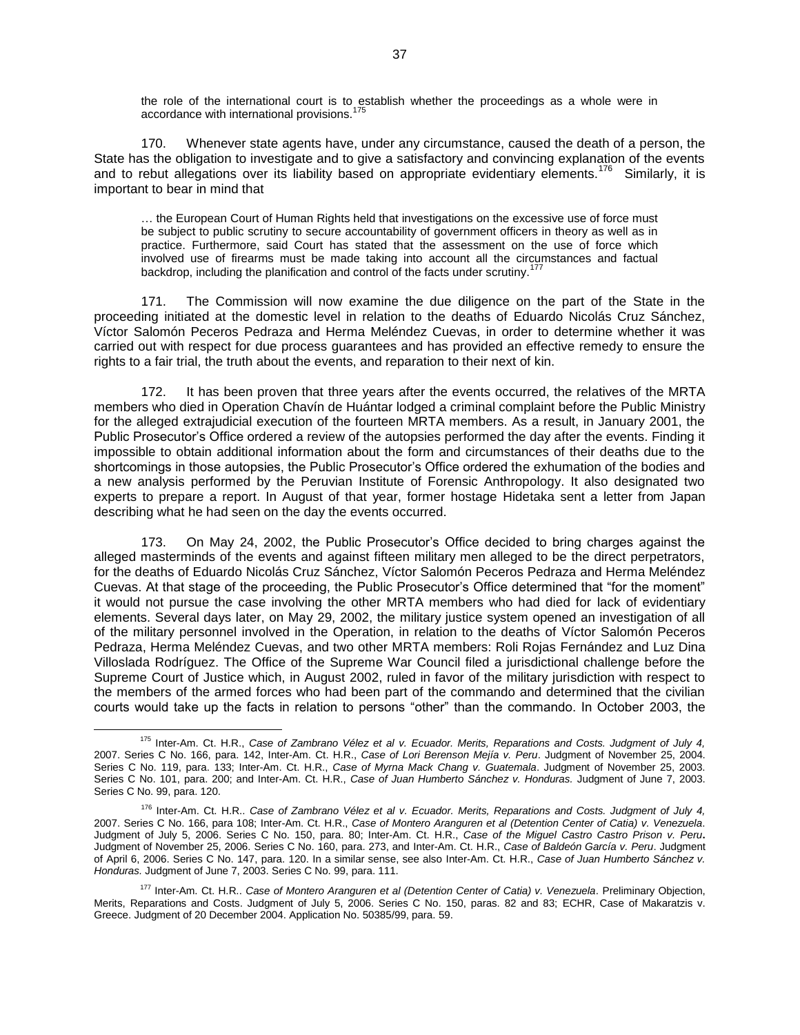the role of the international court is to establish whether the proceedings as a whole were in accordance with international provisions.<sup>175</sup>

170. Whenever state agents have, under any circumstance, caused the death of a person, the State has the obligation to investigate and to give a satisfactory and convincing explanation of the events and to rebut allegations over its liability based on appropriate evidentiary elements.<sup>176</sup> Similarly, it is important to bear in mind that

… the European Court of Human Rights held that investigations on the excessive use of force must be subject to public scrutiny to secure accountability of government officers in theory as well as in practice. Furthermore, said Court has stated that the assessment on the use of force which involved use of firearms must be made taking into account all the circumstances and factual backdrop, including the planification and control of the facts under scrutiny.<sup>17</sup>

171. The Commission will now examine the due diligence on the part of the State in the proceeding initiated at the domestic level in relation to the deaths of Eduardo Nicolás Cruz Sánchez, Víctor Salomón Peceros Pedraza and Herma Meléndez Cuevas, in order to determine whether it was carried out with respect for due process guarantees and has provided an effective remedy to ensure the rights to a fair trial, the truth about the events, and reparation to their next of kin.

172. It has been proven that three years after the events occurred, the relatives of the MRTA members who died in Operation Chavín de Huántar lodged a criminal complaint before the Public Ministry for the alleged extrajudicial execution of the fourteen MRTA members. As a result, in January 2001, the Public Prosecutor's Office ordered a review of the autopsies performed the day after the events. Finding it impossible to obtain additional information about the form and circumstances of their deaths due to the shortcomings in those autopsies, the Public Prosecutor's Office ordered the exhumation of the bodies and a new analysis performed by the Peruvian Institute of Forensic Anthropology. It also designated two experts to prepare a report. In August of that year, former hostage Hidetaka sent a letter from Japan describing what he had seen on the day the events occurred.

173. On May 24, 2002, the Public Prosecutor's Office decided to bring charges against the alleged masterminds of the events and against fifteen military men alleged to be the direct perpetrators, for the deaths of Eduardo Nicolás Cruz Sánchez, Víctor Salomón Peceros Pedraza and Herma Meléndez Cuevas. At that stage of the proceeding, the Public Prosecutor's Office determined that "for the moment" it would not pursue the case involving the other MRTA members who had died for lack of evidentiary elements. Several days later, on May 29, 2002, the military justice system opened an investigation of all of the military personnel involved in the Operation, in relation to the deaths of Víctor Salomón Peceros Pedraza, Herma Meléndez Cuevas, and two other MRTA members: Roli Rojas Fernández and Luz Dina Villoslada Rodríguez. The Office of the Supreme War Council filed a jurisdictional challenge before the Supreme Court of Justice which, in August 2002, ruled in favor of the military jurisdiction with respect to the members of the armed forces who had been part of the commando and determined that the civilian courts would take up the facts in relation to persons "other" than the commando. In October 2003, the

<sup>175</sup> Inter-Am. Ct. H.R., *Case of Zambrano Vélez et al v. Ecuador. Merits, Reparations and Costs. Judgment of July 4,* 2007. Series C No. 166, para. 142, Inter-Am. Ct. H.R., *Case of Lori Berenson Mejía v. Peru*. Judgment of November 25, 2004. Series C No. 119, para. 133; Inter-Am. Ct. H.R., *Case of Myrna Mack Chang v. Guatemala*. Judgment of November 25, 2003. Series C No. 101, para. 200; and Inter-Am. Ct. H.R., *Case of Juan Humberto Sánchez v. Honduras.* Judgment of June 7, 2003. Series C No. 99, para. 120.

<sup>176</sup> Inter-Am. Ct. H.R.. *Case of Zambrano Vélez et al v. Ecuador. Merits, Reparations and Costs. Judgment of July 4,* 2007. Series C No. 166, para 108; Inter-Am. Ct. H.R., *Case of Montero Aranguren et al (Detention Center of Catia) v. Venezuela*. Judgment of July 5, 2006. Series C No. 150, para. 80; Inter-Am. Ct. H.R., *Case of the Miguel Castro Castro Prison v. Peru***.**  Judgment of November 25, 2006. Series C No. 160, para. 273, and Inter-Am. Ct. H.R., *Case of Baldeón García v. Peru*. Judgment of April 6, 2006. Series C No. 147, para. 120. In a similar sense, see also Inter-Am. Ct. H.R., *Case of Juan Humberto Sánchez v. Honduras.* Judgment of June 7, 2003. Series C No. 99, para. 111.

<sup>&</sup>lt;sup>177</sup> Inter-Am. Ct. H.R.. *Case of Montero Aranguren et al (Detention Center of Catia) v. Venezuela*. Preliminary Objection, Merits, Reparations and Costs. Judgment of July 5, 2006. Series C No. 150, paras. 82 and 83; ECHR, Case of Makaratzis v. Greece. Judgment of 20 December 2004. Application No. 50385/99, para. 59.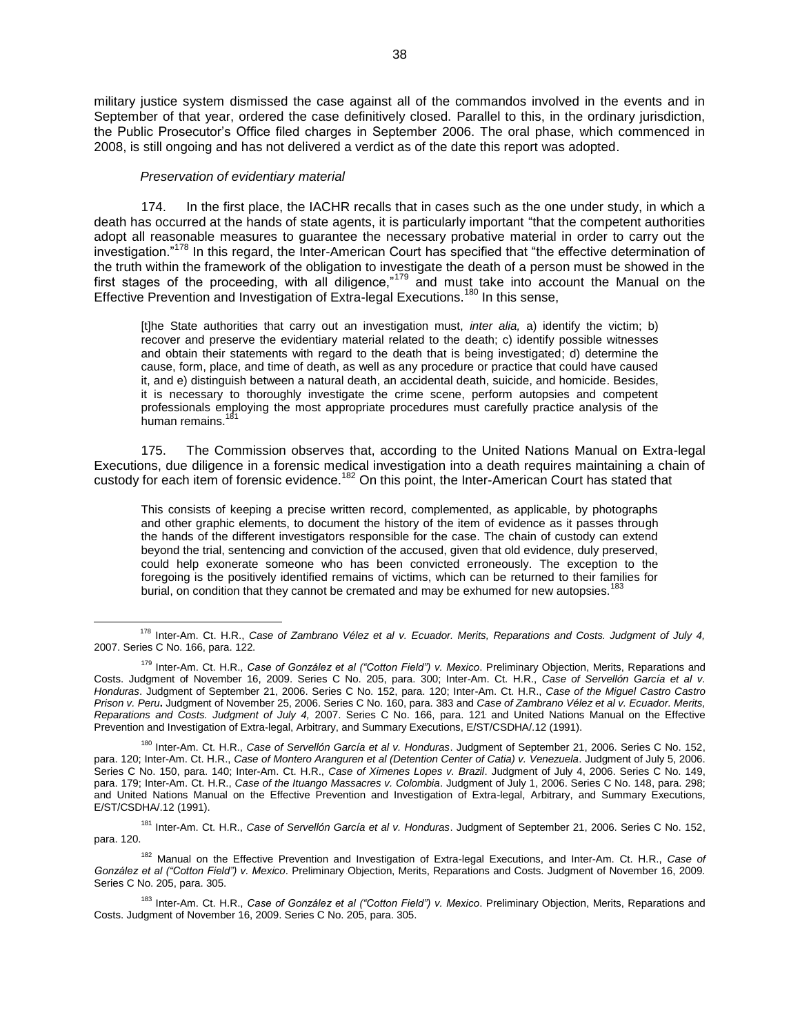military justice system dismissed the case against all of the commandos involved in the events and in September of that year, ordered the case definitively closed. Parallel to this, in the ordinary jurisdiction, the Public Prosecutor's Office filed charges in September 2006. The oral phase, which commenced in 2008, is still ongoing and has not delivered a verdict as of the date this report was adopted.

#### *Preservation of evidentiary material*

 $\overline{a}$ 

174. In the first place, the IACHR recalls that in cases such as the one under study, in which a death has occurred at the hands of state agents, it is particularly important "that the competent authorities adopt all reasonable measures to guarantee the necessary probative material in order to carry out the investigation."<sup>178</sup> In this regard, the Inter-American Court has specified that "the effective determination of the truth within the framework of the obligation to investigate the death of a person must be showed in the first stages of the proceeding, with all diligence,"<sup>179</sup> and must take into account the Manual on the Effective Prevention and Investigation of Extra-legal Executions.<sup>180</sup> In this sense,

[t]he State authorities that carry out an investigation must, *inter alia,* a) identify the victim; b) recover and preserve the evidentiary material related to the death; c) identify possible witnesses and obtain their statements with regard to the death that is being investigated; d) determine the cause, form, place, and time of death, as well as any procedure or practice that could have caused it, and e) distinguish between a natural death, an accidental death, suicide, and homicide. Besides, it is necessary to thoroughly investigate the crime scene, perform autopsies and competent professionals employing the most appropriate procedures must carefully practice analysis of the human remains.<sup>181</sup>

175. The Commission observes that, according to the United Nations Manual on Extra-legal Executions, due diligence in a forensic medical investigation into a death requires maintaining a chain of custody for each item of forensic evidence.<sup>182</sup> On this point, the Inter-American Court has stated that

This consists of keeping a precise written record, complemented, as applicable, by photographs and other graphic elements, to document the history of the item of evidence as it passes through the hands of the different investigators responsible for the case. The chain of custody can extend beyond the trial, sentencing and conviction of the accused, given that old evidence, duly preserved, could help exonerate someone who has been convicted erroneously. The exception to the foregoing is the positively identified remains of victims, which can be returned to their families for burial, on condition that they cannot be cremated and may be exhumed for new autopsies.<sup>183</sup>

<sup>178</sup> Inter-Am. Ct. H.R., *Case of Zambrano Vélez et al v. Ecuador. Merits, Reparations and Costs. Judgment of July 4,* 2007. Series C No. 166, para. 122.

<sup>179</sup> Inter-Am. Ct. H.R., *Case of González et al ("Cotton Field") v. Mexico*. Preliminary Objection, Merits, Reparations and Costs. Judgment of November 16, 2009. Series C No. 205, para. 300; Inter-Am. Ct. H.R., *Case of Servellón García et al v. Honduras*. Judgment of September 21, 2006. Series C No. 152, para. 120; Inter-Am. Ct. H.R., *Case of the Miguel Castro Castro Prison v. Peru***.** Judgment of November 25, 2006. Series C No. 160, para. 383 and *Case of Zambrano Vélez et al v. Ecuador. Merits, Reparations and Costs. Judgment of July 4,* 2007. Series C No. 166, para. 121 and United Nations Manual on the Effective Prevention and Investigation of Extra-legal, Arbitrary, and Summary Executions, E/ST/CSDHA/.12 (1991).

<sup>180</sup> Inter-Am. Ct. H.R., *Case of Servellón García et al v. Honduras*. Judgment of September 21, 2006. Series C No. 152, para. 120; Inter-Am. Ct. H.R., *Case of Montero Aranguren et al (Detention Center of Catia) v. Venezuela*. Judgment of July 5, 2006. Series C No. 150, para. 140; Inter-Am. Ct. H.R., *Case of Ximenes Lopes v. Brazil*. Judgment of July 4, 2006. Series C No. 149, para. 179; Inter-Am. Ct. H.R., *Case of the Ituango Massacres v. Colombia*. Judgment of July 1, 2006. Series C No. 148, para. 298; and United Nations Manual on the Effective Prevention and Investigation of Extra-legal, Arbitrary, and Summary Executions, E/ST/CSDHA/.12 (1991).

<sup>181</sup> Inter-Am. Ct. H.R., *Case of Servellón García et al v. Honduras*. Judgment of September 21, 2006. Series C No. 152, para. 120.

<sup>182</sup> Manual on the Effective Prevention and Investigation of Extra-legal Executions, and Inter-Am. Ct. H.R., *Case of González et al ("Cotton Field") v. Mexico*. Preliminary Objection, Merits, Reparations and Costs. Judgment of November 16, 2009. Series C No. 205, para. 305.

<sup>183</sup> Inter-Am. Ct. H.R., *Case of González et al ("Cotton Field") v. Mexico*. Preliminary Objection, Merits, Reparations and Costs. Judgment of November 16, 2009. Series C No. 205, para. 305.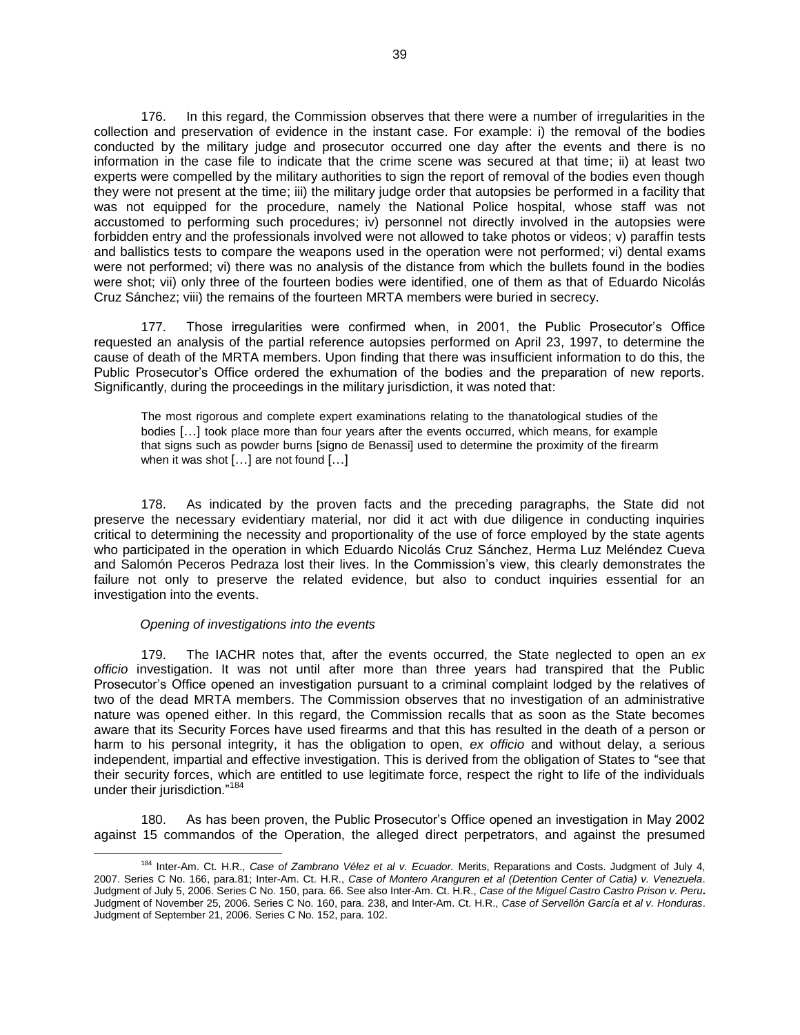176. In this regard, the Commission observes that there were a number of irregularities in the collection and preservation of evidence in the instant case. For example: i) the removal of the bodies conducted by the military judge and prosecutor occurred one day after the events and there is no information in the case file to indicate that the crime scene was secured at that time; ii) at least two experts were compelled by the military authorities to sign the report of removal of the bodies even though they were not present at the time; iii) the military judge order that autopsies be performed in a facility that was not equipped for the procedure, namely the National Police hospital, whose staff was not accustomed to performing such procedures; iv) personnel not directly involved in the autopsies were forbidden entry and the professionals involved were not allowed to take photos or videos; v) paraffin tests and ballistics tests to compare the weapons used in the operation were not performed; vi) dental exams were not performed; vi) there was no analysis of the distance from which the bullets found in the bodies were shot; vii) only three of the fourteen bodies were identified, one of them as that of Eduardo Nicolás Cruz Sánchez; viii) the remains of the fourteen MRTA members were buried in secrecy.

177. Those irregularities were confirmed when, in 2001, the Public Prosecutor's Office requested an analysis of the partial reference autopsies performed on April 23, 1997, to determine the cause of death of the MRTA members. Upon finding that there was insufficient information to do this, the Public Prosecutor's Office ordered the exhumation of the bodies and the preparation of new reports. Significantly, during the proceedings in the military jurisdiction, it was noted that:

The most rigorous and complete expert examinations relating to the thanatological studies of the bodies […] took place more than four years after the events occurred, which means, for example that signs such as powder burns [signo de Benassi] used to determine the proximity of the firearm when it was shot [...] are not found [...]

178. As indicated by the proven facts and the preceding paragraphs, the State did not preserve the necessary evidentiary material, nor did it act with due diligence in conducting inquiries critical to determining the necessity and proportionality of the use of force employed by the state agents who participated in the operation in which Eduardo Nicolás Cruz Sánchez, Herma Luz Meléndez Cueva and Salomón Peceros Pedraza lost their lives. In the Commission's view, this clearly demonstrates the failure not only to preserve the related evidence, but also to conduct inquiries essential for an investigation into the events.

#### *Opening of investigations into the events*

 $\overline{a}$ 

179. The IACHR notes that, after the events occurred, the State neglected to open an *ex officio* investigation. It was not until after more than three years had transpired that the Public Prosecutor's Office opened an investigation pursuant to a criminal complaint lodged by the relatives of two of the dead MRTA members. The Commission observes that no investigation of an administrative nature was opened either. In this regard, the Commission recalls that as soon as the State becomes aware that its Security Forces have used firearms and that this has resulted in the death of a person or harm to his personal integrity, it has the obligation to open, *ex officio* and without delay, a serious independent, impartial and effective investigation. This is derived from the obligation of States to "see that their security forces, which are entitled to use legitimate force, respect the right to life of the individuals under their jurisdiction."<sup>184</sup>

180. As has been proven, the Public Prosecutor's Office opened an investigation in May 2002 against 15 commandos of the Operation, the alleged direct perpetrators, and against the presumed

<sup>184</sup> Inter-Am. Ct. H.R., *Case of Zambrano Vélez et al v. Ecuador.* Merits, Reparations and Costs. Judgment of July 4, 2007. Series C No. 166, para.81; Inter-Am. Ct. H.R., *Case of Montero Aranguren et al (Detention Center of Catia) v. Venezuela*. Judgment of July 5, 2006. Series C No. 150, para. 66. See also Inter-Am. Ct. H.R., *Case of the Miguel Castro Castro Prison v. Peru***.**  Judgment of November 25, 2006. Series C No. 160, para. 238, and Inter-Am. Ct. H.R., *Case of Servellón García et al v. Honduras*. Judgment of September 21, 2006. Series C No. 152, para. 102.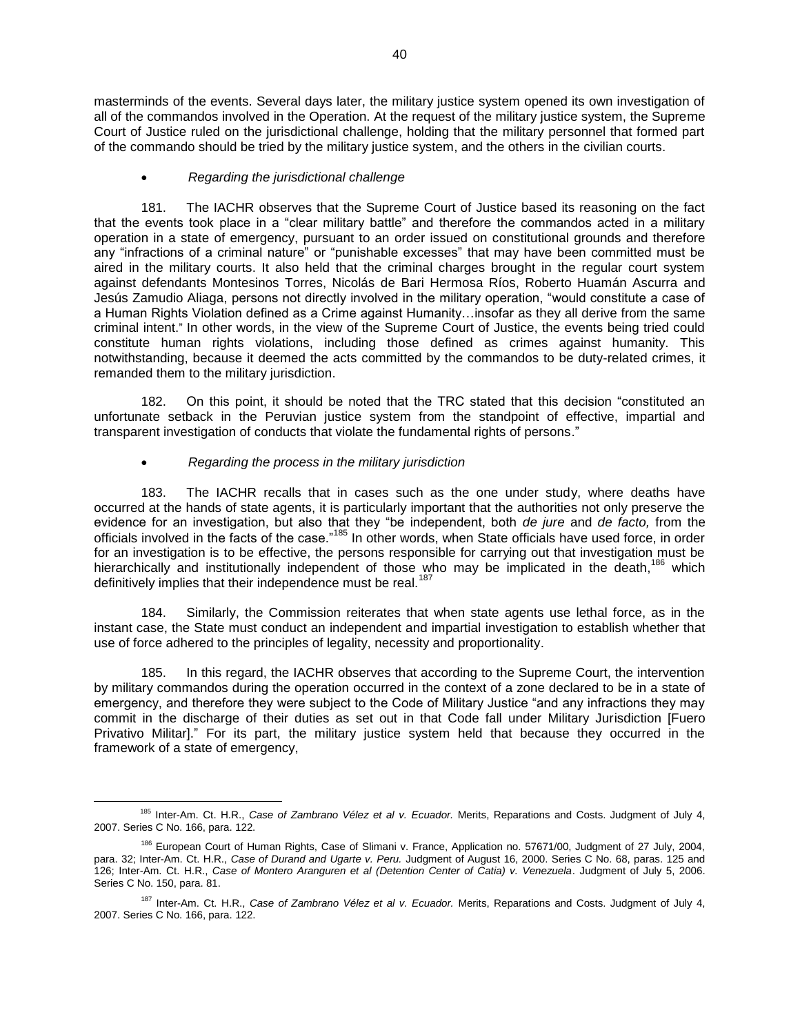masterminds of the events. Several days later, the military justice system opened its own investigation of all of the commandos involved in the Operation. At the request of the military justice system, the Supreme Court of Justice ruled on the jurisdictional challenge, holding that the military personnel that formed part of the commando should be tried by the military justice system, and the others in the civilian courts.

## *Regarding the jurisdictional challenge*

181. The IACHR observes that the Supreme Court of Justice based its reasoning on the fact that the events took place in a "clear military battle" and therefore the commandos acted in a military operation in a state of emergency, pursuant to an order issued on constitutional grounds and therefore any "infractions of a criminal nature" or "punishable excesses" that may have been committed must be aired in the military courts. It also held that the criminal charges brought in the regular court system against defendants Montesinos Torres, Nicolás de Bari Hermosa Ríos, Roberto Huamán Ascurra and Jesús Zamudio Aliaga, persons not directly involved in the military operation, "would constitute a case of a Human Rights Violation defined as a Crime against Humanity…insofar as they all derive from the same criminal intent." In other words, in the view of the Supreme Court of Justice, the events being tried could constitute human rights violations, including those defined as crimes against humanity. This notwithstanding, because it deemed the acts committed by the commandos to be duty-related crimes, it remanded them to the military jurisdiction.

182. On this point, it should be noted that the TRC stated that this decision "constituted an unfortunate setback in the Peruvian justice system from the standpoint of effective, impartial and transparent investigation of conducts that violate the fundamental rights of persons."

## *Regarding the process in the military jurisdiction*

183. The IACHR recalls that in cases such as the one under study, where deaths have occurred at the hands of state agents, it is particularly important that the authorities not only preserve the evidence for an investigation, but also that they "be independent, both *de jure* and *de facto,* from the officials involved in the facts of the case."<sup>185</sup> In other words, when State officials have used force, in order for an investigation is to be effective, the persons responsible for carrying out that investigation must be hierarchically and institutionally independent of those who may be implicated in the death,<sup>186</sup> which definitively implies that their independence must be real.<sup>187</sup>

184. Similarly, the Commission reiterates that when state agents use lethal force, as in the instant case, the State must conduct an independent and impartial investigation to establish whether that use of force adhered to the principles of legality, necessity and proportionality.

185. In this regard, the IACHR observes that according to the Supreme Court, the intervention by military commandos during the operation occurred in the context of a zone declared to be in a state of emergency, and therefore they were subject to the Code of Military Justice "and any infractions they may commit in the discharge of their duties as set out in that Code fall under Military Jurisdiction [Fuero Privativo Militar]." For its part, the military justice system held that because they occurred in the framework of a state of emergency,

 $\overline{a}$ <sup>185</sup> Inter-Am. Ct. H.R., *Case of Zambrano Vélez et al v. Ecuador.* Merits, Reparations and Costs. Judgment of July 4, 2007. Series C No. 166, para. 122.

<sup>186</sup> European Court of Human Rights, Case of Slimani v. France, Application no. 57671/00, Judgment of 27 July, 2004, para. 32; Inter-Am. Ct. H.R., *Case of Durand and Ugarte v. Peru.* Judgment of August 16, 2000. Series C No. 68, paras. 125 and 126; Inter-Am. Ct. H.R., *Case of Montero Aranguren et al (Detention Center of Catia) v. Venezuela*. Judgment of July 5, 2006. Series C No. 150, para. 81.

<sup>187</sup> Inter-Am. Ct. H.R., *Case of Zambrano Vélez et al v. Ecuador.* Merits, Reparations and Costs. Judgment of July 4, 2007. Series C No. 166, para. 122.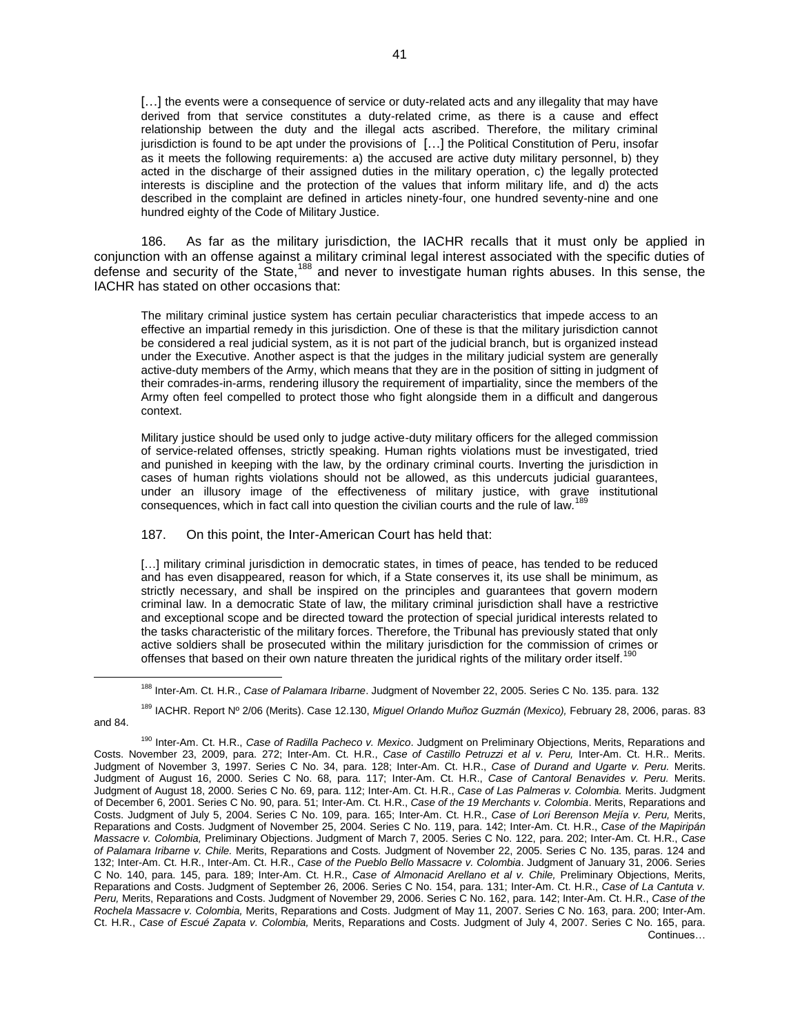[...] the events were a consequence of service or duty-related acts and any illegality that may have derived from that service constitutes a duty-related crime, as there is a cause and effect relationship between the duty and the illegal acts ascribed. Therefore, the military criminal jurisdiction is found to be apt under the provisions of […] the Political Constitution of Peru, insofar as it meets the following requirements: a) the accused are active duty military personnel, b) they acted in the discharge of their assigned duties in the military operation, c) the legally protected interests is discipline and the protection of the values that inform military life, and d) the acts described in the complaint are defined in articles ninety-four, one hundred seventy-nine and one hundred eighty of the Code of Military Justice.

186. As far as the military jurisdiction, the IACHR recalls that it must only be applied in conjunction with an offense against a military criminal legal interest associated with the specific duties of defense and security of the State,<sup>188</sup> and never to investigate human rights abuses. In this sense, the IACHR has stated on other occasions that:

The military criminal justice system has certain peculiar characteristics that impede access to an effective an impartial remedy in this jurisdiction. One of these is that the military jurisdiction cannot be considered a real judicial system, as it is not part of the judicial branch, but is organized instead under the Executive. Another aspect is that the judges in the military judicial system are generally active-duty members of the Army, which means that they are in the position of sitting in judgment of their comrades-in-arms, rendering illusory the requirement of impartiality, since the members of the Army often feel compelled to protect those who fight alongside them in a difficult and dangerous context.

Military justice should be used only to judge active-duty military officers for the alleged commission of service-related offenses, strictly speaking. Human rights violations must be investigated, tried and punished in keeping with the law, by the ordinary criminal courts. Inverting the jurisdiction in cases of human rights violations should not be allowed, as this undercuts judicial guarantees, under an illusory image of the effectiveness of military justice, with grave institutional consequences, which in fact call into question the civilian courts and the rule of law.<sup>18</sup>

#### 187. On this point, the Inter-American Court has held that:

 $\overline{a}$ 

[...] military criminal jurisdiction in democratic states, in times of peace, has tended to be reduced and has even disappeared, reason for which, if a State conserves it, its use shall be minimum, as strictly necessary, and shall be inspired on the principles and guarantees that govern modern criminal law. In a democratic State of law, the military criminal jurisdiction shall have a restrictive and exceptional scope and be directed toward the protection of special juridical interests related to the tasks characteristic of the military forces. Therefore, the Tribunal has previously stated that only active soldiers shall be prosecuted within the military jurisdiction for the commission of crimes or offenses that based on their own nature threaten the juridical rights of the military order itself.<sup>190</sup>

<sup>189</sup> IACHR. Report Nº 2/06 (Merits). Case 12.130, *Miguel Orlando Muñoz Guzmán (Mexico),* February 28, 2006, paras. 83 and 84.

<sup>190</sup> Inter-Am. Ct. H.R., *Case of Radilla Pacheco v. Mexico*. Judgment on Preliminary Objections, Merits, Reparations and Costs. November 23, 2009, para. 272; Inter-Am. Ct. H.R., *Case of Castillo Petruzzi et al v. Peru,* Inter-Am. Ct. H.R.. Merits. Judgment of November 3, 1997. Series C No. 34, para. 128; Inter-Am. Ct. H.R., *Case of Durand and Ugarte v. Peru.* Merits. Judgment of August 16, 2000. Series C No. 68, para. 117; Inter-Am. Ct. H.R., *Case of Cantoral Benavides v. Peru.* Merits. Judgment of August 18, 2000. Series C No. 69, para. 112; Inter-Am. Ct. H.R., *Case of Las Palmeras v. Colombia.* Merits. Judgment of December 6, 2001. Series C No. 90, para. 51; Inter-Am. Ct. H.R., *Case of the 19 Merchants v. Colombia*. Merits, Reparations and Costs. Judgment of July 5, 2004. Series C No. 109, para. 165; Inter-Am. Ct. H.R., *Case of Lori Berenson Mejía v. Peru,* Merits, Reparations and Costs. Judgment of November 25, 2004. Series C No. 119, para. 142; Inter-Am. Ct. H.R., *Case of the Mapiripán Massacre v. Colombia,* Preliminary Objections. Judgment of March 7, 2005. Series C No. 122, para. 202; Inter-Am. Ct. H.R., *Case of Palamara Iribarne v. Chile.* Merits, Reparations and Costs*.* Judgment of November 22, 2005. Series C No. 135, paras. 124 and 132; Inter-Am. Ct. H.R., Inter-Am. Ct. H.R., *Case of the Pueblo Bello Massacre v. Colombia*. Judgment of January 31, 2006. Series C No. 140, para. 145, para. 189; Inter-Am. Ct. H.R., *Case of Almonacid Arellano et al v. Chile,* Preliminary Objections, Merits, Reparations and Costs. Judgment of September 26, 2006. Series C No. 154, para. 131; Inter-Am. Ct. H.R., *Case of La Cantuta v. Peru,* Merits, Reparations and Costs. Judgment of November 29, 2006. Series C No. 162, para. 142; Inter-Am. Ct. H.R., *Case of the Rochela Massacre v. Colombia,* Merits, Reparations and Costs. Judgment of May 11, 2007. Series C No. 163, para. 200; Inter-Am. Ct. H.R., *Case of Escué Zapata v. Colombia,* Merits, Reparations and Costs. Judgment of July 4, 2007. Series C No. 165, para. Continues…

<sup>188</sup> Inter-Am. Ct. H.R., *Case of Palamara Iribarne*. Judgment of November 22, 2005. Series C No. 135. para. 132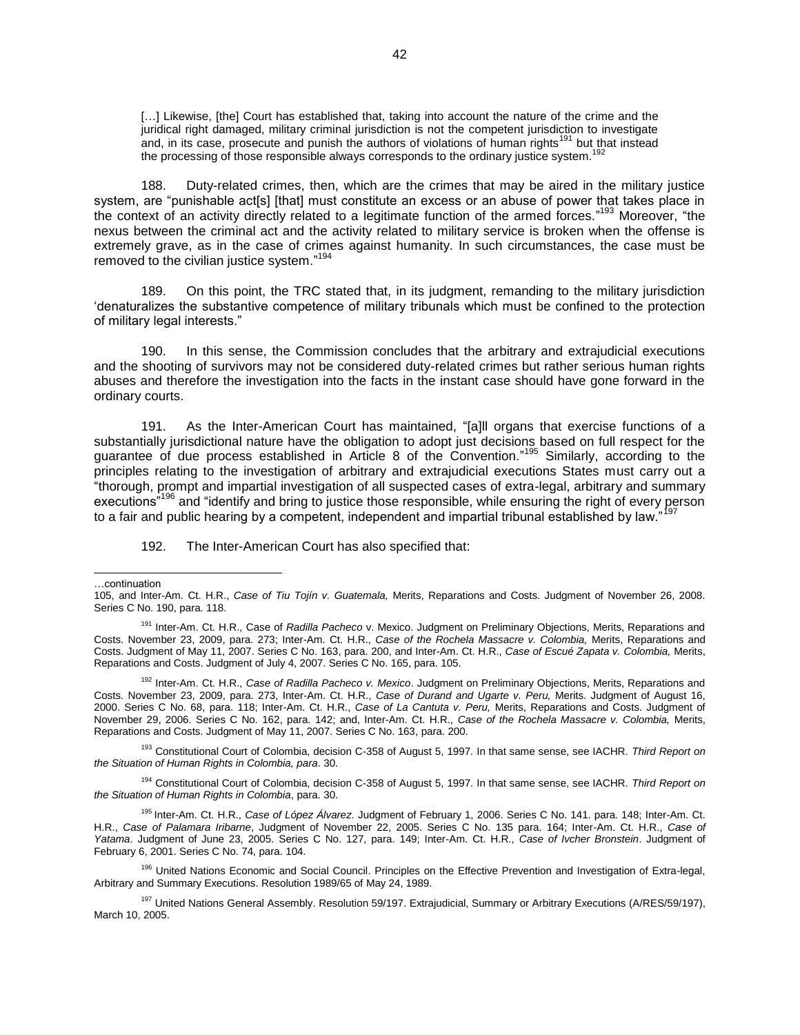[...] Likewise, [the] Court has established that, taking into account the nature of the crime and the juridical right damaged, military criminal jurisdiction is not the competent jurisdiction to investigate and, in its case, prosecute and punish the authors of violations of human rights<sup>191</sup> but that instead the processing of those responsible always corresponds to the ordinary justice system.<sup>192</sup>

188. Duty-related crimes, then, which are the crimes that may be aired in the military justice system, are "punishable act[s] [that] must constitute an excess or an abuse of power that takes place in the context of an activity directly related to a legitimate function of the armed forces."<sup>193</sup> Moreover, "the nexus between the criminal act and the activity related to military service is broken when the offense is extremely grave, as in the case of crimes against humanity. In such circumstances, the case must be removed to the civilian justice system."<sup>194</sup>

189. On this point, the TRC stated that, in its judgment, remanding to the military jurisdiction 'denaturalizes the substantive competence of military tribunals which must be confined to the protection of military legal interests."

190. In this sense, the Commission concludes that the arbitrary and extrajudicial executions and the shooting of survivors may not be considered duty-related crimes but rather serious human rights abuses and therefore the investigation into the facts in the instant case should have gone forward in the ordinary courts.

191. As the Inter-American Court has maintained, "[a]ll organs that exercise functions of a substantially jurisdictional nature have the obligation to adopt just decisions based on full respect for the guarantee of due process established in Article 8 of the Convention."<sup>195</sup> Similarly, according to the principles relating to the investigation of arbitrary and extrajudicial executions States must carry out a "thorough, prompt and impartial investigation of all suspected cases of extra-legal, arbitrary and summary executions<sup>"196</sup> and "identify and bring to justice those responsible, while ensuring the right of every person to a fair and public hearing by a competent, independent and impartial tribunal established by law."<sup>197</sup>

192. The Inter-American Court has also specified that:

…continuation

l

<sup>192</sup> Inter-Am. Ct. H.R., *Case of Radilla Pacheco v. Mexico*. Judgment on Preliminary Objections, Merits, Reparations and Costs. November 23, 2009, para. 273, Inter-Am. Ct. H.R., *Case of Durand and Ugarte v. Peru,* Merits. Judgment of August 16, 2000. Series C No. 68, para. 118; Inter-Am. Ct. H.R., *Case of La Cantuta v. Peru,* Merits, Reparations and Costs. Judgment of November 29, 2006. Series C No. 162, para. 142; and, Inter-Am. Ct. H.R., *Case of the Rochela Massacre v. Colombia,* Merits, Reparations and Costs. Judgment of May 11, 2007. Series C No. 163, para. 200.

<sup>193</sup> Constitutional Court of Colombia, decision C-358 of August 5, 1997. In that same sense, see IACHR. *Third Report on the Situation of Human Rights in Colombia, para*. 30.

<sup>194</sup> Constitutional Court of Colombia, decision C-358 of August 5, 1997. In that same sense, see IACHR. *Third Report on the Situation of Human Rights in Colombia*, para. 30.

<sup>195</sup> Inter-Am. Ct. H.R., *Case of López Álvarez*. Judgment of February 1, 2006. Series C No. 141. para. 148; Inter-Am. Ct. H.R., *Case of Palamara Iribarne*, Judgment of November 22, 2005. Series C No. 135 para. 164; Inter-Am. Ct. H.R., *Case of Yatama*. Judgment of June 23, 2005. Series C No. 127, para. 149; Inter-Am. Ct. H.R., *Case of Ivcher Bronstein*. Judgment of February 6, 2001. Series C No. 74, para. 104.

<sup>196</sup> United Nations Economic and Social Council. Principles on the Effective Prevention and Investigation of Extra-legal, Arbitrary and Summary Executions. Resolution 1989/65 of May 24, 1989.

<sup>105,</sup> and Inter-Am. Ct. H.R., *Case of Tiu Tojín v. Guatemala,* Merits, Reparations and Costs. Judgment of November 26, 2008. Series C No. 190, para. 118.

<sup>191</sup> Inter-Am. Ct. H.R., Case of *Radilla Pacheco* v. Mexico. Judgment on Preliminary Objections, Merits, Reparations and Costs. November 23, 2009, para. 273; Inter-Am. Ct. H.R., *Case of the Rochela Massacre v. Colombia,* Merits, Reparations and Costs. Judgment of May 11, 2007. Series C No. 163, para. 200, and Inter-Am. Ct. H.R., *Case of Escué Zapata v. Colombia,* Merits, Reparations and Costs. Judgment of July 4, 2007. Series C No. 165, para. 105.

<sup>197</sup> United Nations General Assembly. Resolution 59/197. Extrajudicial, Summary or Arbitrary Executions (A/RES/59/197), March 10, 2005.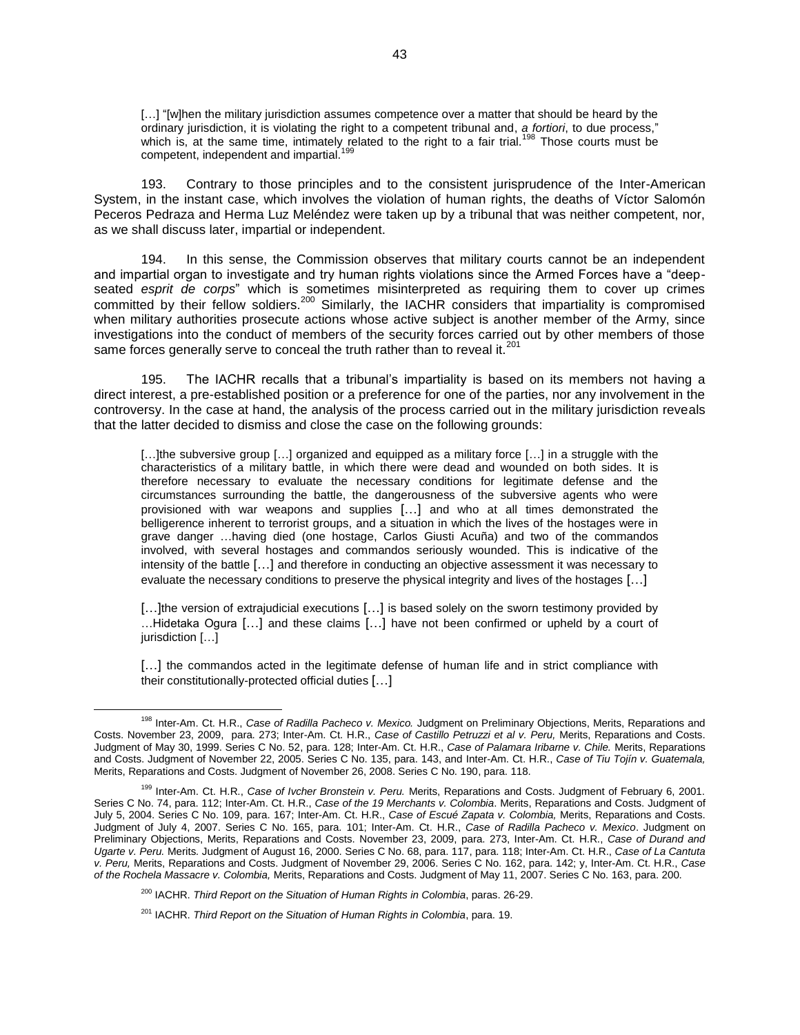[...] "[w]hen the military jurisdiction assumes competence over a matter that should be heard by the ordinary jurisdiction, it is violating the right to a competent tribunal and, *a fortiori*, to due process," which is, at the same time, intimately related to the right to a fair trial.<sup>198</sup> Those courts must be competent, independent and impartial.

193. Contrary to those principles and to the consistent jurisprudence of the Inter-American System, in the instant case, which involves the violation of human rights, the deaths of Víctor Salomón Peceros Pedraza and Herma Luz Meléndez were taken up by a tribunal that was neither competent, nor, as we shall discuss later, impartial or independent.

194. In this sense, the Commission observes that military courts cannot be an independent and impartial organ to investigate and try human rights violations since the Armed Forces have a "deepseated *esprit de corps*" which is sometimes misinterpreted as requiring them to cover up crimes committed by their fellow soldiers.<sup>200</sup> Similarly, the IACHR considers that impartiality is compromised when military authorities prosecute actions whose active subject is another member of the Army, since investigations into the conduct of members of the security forces carried out by other members of those same forces generally serve to conceal the truth rather than to reveal it.<sup>201</sup>

195. The IACHR recalls that a tribunal's impartiality is based on its members not having a direct interest, a pre-established position or a preference for one of the parties, nor any involvement in the controversy. In the case at hand, the analysis of the process carried out in the military jurisdiction reveals that the latter decided to dismiss and close the case on the following grounds:

[...] the subversive group [...] organized and equipped as a military force [...] in a struggle with the characteristics of a military battle, in which there were dead and wounded on both sides. It is therefore necessary to evaluate the necessary conditions for legitimate defense and the circumstances surrounding the battle, the dangerousness of the subversive agents who were provisioned with war weapons and supplies […] and who at all times demonstrated the belligerence inherent to terrorist groups, and a situation in which the lives of the hostages were in grave danger …having died (one hostage, Carlos Giusti Acuña) and two of the commandos involved, with several hostages and commandos seriously wounded. This is indicative of the intensity of the battle […] and therefore in conducting an objective assessment it was necessary to evaluate the necessary conditions to preserve the physical integrity and lives of the hostages […]

[...]the version of extrajudicial executions [...] is based solely on the sworn testimony provided by …Hidetaka Ogura […] and these claims […] have not been confirmed or upheld by a court of jurisdiction […]

[...] the commandos acted in the legitimate defense of human life and in strict compliance with their constitutionally-protected official duties […]

<sup>198</sup> Inter-Am. Ct. H.R., *Case of Radilla Pacheco v. Mexico.* Judgment on Preliminary Objections, Merits, Reparations and Costs. November 23, 2009, para. 273; Inter-Am. Ct. H.R., *Case of Castillo Petruzzi et al v. Peru,* Merits, Reparations and Costs. Judgment of May 30, 1999. Series C No. 52, para. 128; Inter-Am. Ct. H.R., *Case of Palamara Iribarne v. Chile.* Merits, Reparations and Costs. Judgment of November 22, 2005. Series C No. 135, para. 143, and Inter-Am. Ct. H.R., *Case of Tiu Tojín v. Guatemala,*  Merits, Reparations and Costs. Judgment of November 26, 2008. Series C No. 190, para. 118.

<sup>199</sup> Inter-Am. Ct. H.R., *Case of Ivcher Bronstein v. Peru.* Merits, Reparations and Costs. Judgment of February 6, 2001. Series C No. 74, para. 112; Inter-Am. Ct. H.R., *Case of the 19 Merchants v. Colombia*. Merits, Reparations and Costs. Judgment of July 5, 2004. Series C No. 109, para. 167; Inter-Am. Ct. H.R., *Case of Escué Zapata v. Colombia,* Merits, Reparations and Costs. Judgment of July 4, 2007. Series C No. 165, para. 101; Inter-Am. Ct. H.R., *Case of Radilla Pacheco v. Mexico*. Judgment on Preliminary Objections, Merits, Reparations and Costs. November 23, 2009, para. 273, Inter-Am. Ct. H.R., *Case of Durand and Ugarte v. Peru.* Merits*.* Judgment of August 16, 2000. Series C No. 68, para. 117, para. 118; Inter-Am. Ct. H.R., *Case of La Cantuta v. Peru,* Merits, Reparations and Costs. Judgment of November 29, 2006. Series C No. 162, para. 142; y, Inter-Am. Ct. H.R., *Case of the Rochela Massacre v. Colombia,* Merits, Reparations and Costs. Judgment of May 11, 2007. Series C No. 163, para. 200.

<sup>200</sup> IACHR. *Third Report on the Situation of Human Rights in Colombia*, paras. 26-29.

<sup>201</sup> IACHR. *Third Report on the Situation of Human Rights in Colombia*, para. 19.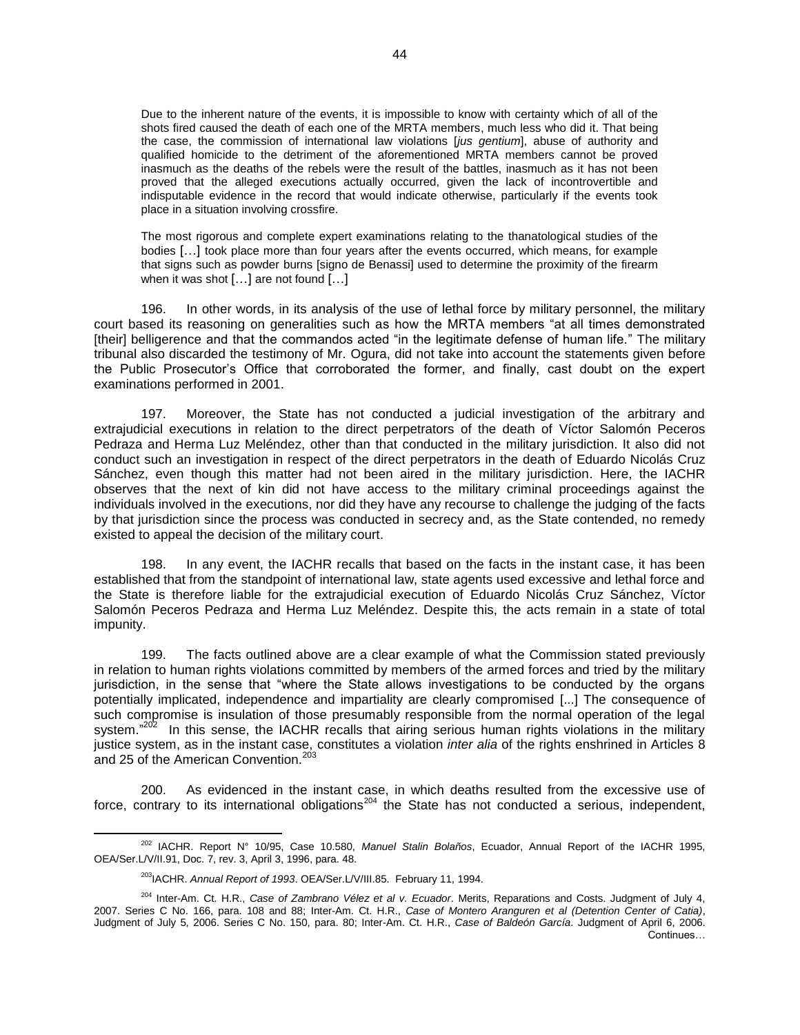Due to the inherent nature of the events, it is impossible to know with certainty which of all of the shots fired caused the death of each one of the MRTA members, much less who did it. That being the case, the commission of international law violations [*jus gentium*], abuse of authority and qualified homicide to the detriment of the aforementioned MRTA members cannot be proved inasmuch as the deaths of the rebels were the result of the battles, inasmuch as it has not been proved that the alleged executions actually occurred, given the lack of incontrovertible and indisputable evidence in the record that would indicate otherwise, particularly if the events took place in a situation involving crossfire.

The most rigorous and complete expert examinations relating to the thanatological studies of the bodies […] took place more than four years after the events occurred, which means, for example that signs such as powder burns [signo de Benassi] used to determine the proximity of the firearm when it was shot [...] are not found [...]

196. In other words, in its analysis of the use of lethal force by military personnel, the military court based its reasoning on generalities such as how the MRTA members "at all times demonstrated [their] belligerence and that the commandos acted "in the legitimate defense of human life." The military tribunal also discarded the testimony of Mr. Ogura, did not take into account the statements given before the Public Prosecutor's Office that corroborated the former, and finally, cast doubt on the expert examinations performed in 2001.

197. Moreover, the State has not conducted a judicial investigation of the arbitrary and extrajudicial executions in relation to the direct perpetrators of the death of Víctor Salomón Peceros Pedraza and Herma Luz Meléndez, other than that conducted in the military jurisdiction. It also did not conduct such an investigation in respect of the direct perpetrators in the death of Eduardo Nicolás Cruz Sánchez, even though this matter had not been aired in the military jurisdiction. Here, the IACHR observes that the next of kin did not have access to the military criminal proceedings against the individuals involved in the executions, nor did they have any recourse to challenge the judging of the facts by that jurisdiction since the process was conducted in secrecy and, as the State contended, no remedy existed to appeal the decision of the military court.

198. In any event, the IACHR recalls that based on the facts in the instant case, it has been established that from the standpoint of international law, state agents used excessive and lethal force and the State is therefore liable for the extrajudicial execution of Eduardo Nicolás Cruz Sánchez, Víctor Salomón Peceros Pedraza and Herma Luz Meléndez. Despite this, the acts remain in a state of total impunity.

199. The facts outlined above are a clear example of what the Commission stated previously in relation to human rights violations committed by members of the armed forces and tried by the military jurisdiction, in the sense that "where the State allows investigations to be conducted by the organs potentially implicated, independence and impartiality are clearly compromised [...] The consequence of such compromise is insulation of those presumably responsible from the normal operation of the legal system."<sup>202</sup> In this sense, the IACHR recalls that airing serious human rights violations in the military justice system, as in the instant case, constitutes a violation *inter alia* of the rights enshrined in Articles 8 and 25 of the American Convention.<sup>203</sup>

200. As evidenced in the instant case, in which deaths resulted from the excessive use of force, contrary to its international obligations<sup>204</sup> the State has not conducted a serious, independent,

<sup>202</sup> IACHR. Report N° 10/95, Case 10.580, *Manuel Stalin Bolaños*, Ecuador, Annual Report of the IACHR 1995, OEA/Ser.L/V/II.91, Doc. 7, rev. 3, April 3, 1996, para. 48.

<sup>203</sup>IACHR. *Annual Report of 1993*. OEA/Ser.L/V/III.85. February 11, 1994.

<sup>204</sup> Inter-Am. Ct. H.R., *Case of Zambrano Vélez et al v. Ecuador*. Merits, Reparations and Costs. Judgment of July 4, 2007. Series C No. 166, para. 108 and 88; Inter-Am. Ct. H.R., *Case of Montero Aranguren et al (Detention Center of Catia)*, Judgment of July 5, 2006. Series C No. 150, para. 80; Inter-Am. Ct. H.R., *Case of Baldeón García*. Judgment of April 6, 2006. Continues…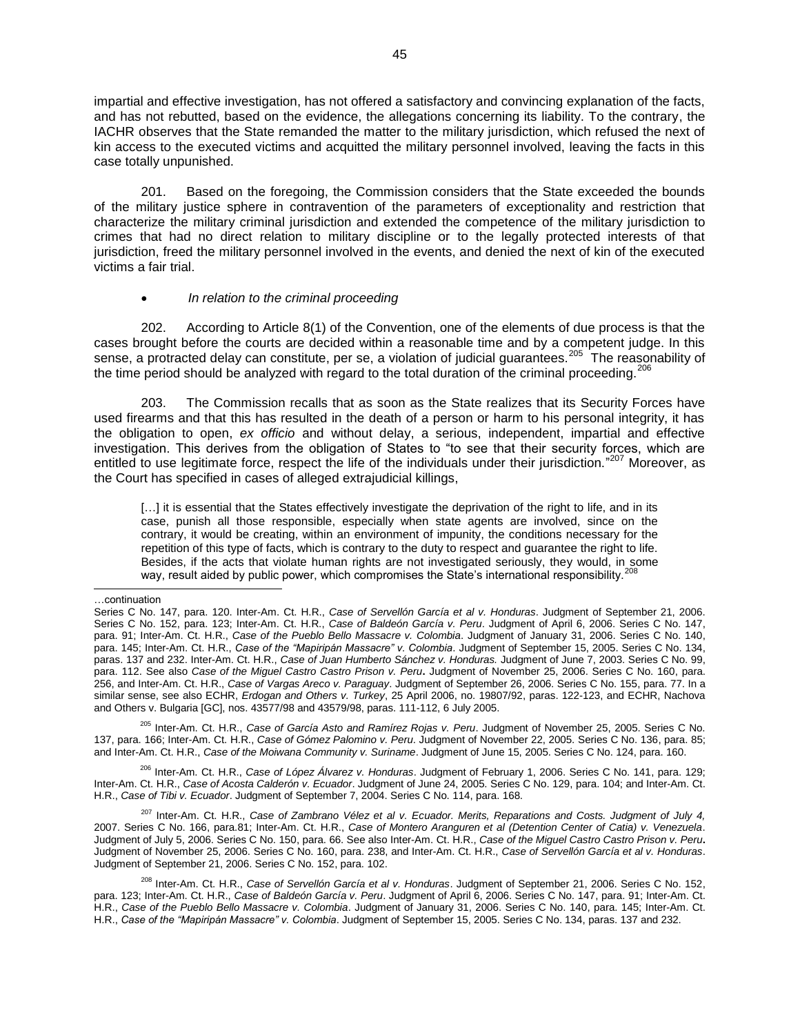impartial and effective investigation, has not offered a satisfactory and convincing explanation of the facts, and has not rebutted, based on the evidence, the allegations concerning its liability. To the contrary, the IACHR observes that the State remanded the matter to the military jurisdiction, which refused the next of kin access to the executed victims and acquitted the military personnel involved, leaving the facts in this case totally unpunished.

201. Based on the foregoing, the Commission considers that the State exceeded the bounds of the military justice sphere in contravention of the parameters of exceptionality and restriction that characterize the military criminal jurisdiction and extended the competence of the military jurisdiction to crimes that had no direct relation to military discipline or to the legally protected interests of that jurisdiction, freed the military personnel involved in the events, and denied the next of kin of the executed victims a fair trial.

### *In relation to the criminal proceeding*

202. According to Article 8(1) of the Convention, one of the elements of due process is that the cases brought before the courts are decided within a reasonable time and by a competent judge. In this sense, a protracted delay can constitute, per se, a violation of judicial guarantees.<sup>205</sup> The reasonability of the time period should be analyzed with regard to the total duration of the criminal proceeding.<sup>206</sup>

203. The Commission recalls that as soon as the State realizes that its Security Forces have used firearms and that this has resulted in the death of a person or harm to his personal integrity, it has the obligation to open, *ex officio* and without delay, a serious, independent, impartial and effective investigation. This derives from the obligation of States to "to see that their security forces, which are entitled to use legitimate force, respect the life of the individuals under their jurisdiction."<sup>207</sup> Moreover, as the Court has specified in cases of alleged extrajudicial killings,

[...] it is essential that the States effectively investigate the deprivation of the right to life, and in its case, punish all those responsible, especially when state agents are involved, since on the contrary, it would be creating, within an environment of impunity, the conditions necessary for the repetition of this type of facts, which is contrary to the duty to respect and guarantee the right to life. Besides, if the acts that violate human rights are not investigated seriously, they would, in some way, result aided by public power, which compromises the State's international responsibility.<sup>208</sup>

l

<sup>205</sup> Inter-Am. Ct. H.R., *Case of García Asto and Ramírez Rojas v. Peru*. Judgment of November 25, 2005. Series C No. 137, para. 166; Inter-Am. Ct. H.R., *Case of Gómez Palomino v. Peru*. Judgment of November 22, 2005. Series C No. 136, para. 85; and Inter-Am. Ct. H.R., *Case of the Moiwana Community v. Suriname*. Judgment of June 15, 2005. Series C No. 124, para. 160.

<sup>206</sup> Inter-Am. Ct. H.R., *Case of López Álvarez v. Honduras*. Judgment of February 1, 2006. Series C No. 141, para. 129; Inter-Am. Ct. H.R., *Case of Acosta Calderón v. Ecuador*. Judgment of June 24, 2005. Series C No. 129, para. 104; and Inter-Am. Ct. H.R., *Case of Tibi v. Ecuador*. Judgment of September 7, 2004. Series C No. 114, para. 168.

<sup>207</sup> Inter-Am. Ct. H.R., *Case of Zambrano Vélez et al v. Ecuador. Merits, Reparations and Costs. Judgment of July 4,* 2007. Series C No. 166, para.81; Inter-Am. Ct. H.R., *Case of Montero Aranguren et al (Detention Center of Catia) v. Venezuela*. Judgment of July 5, 2006. Series C No. 150, para. 66. See also Inter-Am. Ct. H.R., *Case of the Miguel Castro Castro Prison v. Peru***.**  Judgment of November 25, 2006. Series C No. 160, para. 238, and Inter-Am. Ct. H.R., *Case of Servellón García et al v. Honduras*. Judgment of September 21, 2006. Series C No. 152, para. 102.

<sup>208</sup> Inter-Am. Ct. H.R., *Case of Servellón García et al v. Honduras*. Judgment of September 21, 2006. Series C No. 152, para. 123; Inter-Am. Ct. H.R., *Case of Baldeón García v. Peru*. Judgment of April 6, 2006. Series C No. 147, para. 91; Inter-Am. Ct. H.R., *Case of the Pueblo Bello Massacre v. Colombia*. Judgment of January 31, 2006. Series C No. 140, para. 145; Inter-Am. Ct. H.R., *Case of the "Mapiripán Massacre" v. Colombia*. Judgment of September 15, 2005. Series C No. 134, paras. 137 and 232.

<sup>…</sup>continuation

Series C No. 147, para. 120. Inter-Am. Ct. H.R., *Case of Servellón García et al v. Honduras*. Judgment of September 21, 2006. Series C No. 152, para. 123; Inter-Am. Ct. H.R., *Case of Baldeón García v. Peru*. Judgment of April 6, 2006. Series C No. 147, para. 91; Inter-Am. Ct. H.R., *Case of the Pueblo Bello Massacre v. Colombia*. Judgment of January 31, 2006. Series C No. 140, para. 145; Inter-Am. Ct. H.R., *Case of the "Mapiripán Massacre" v. Colombia*. Judgment of September 15, 2005. Series C No. 134, paras. 137 and 232. Inter-Am. Ct. H.R., *Case of Juan Humberto Sánchez v. Honduras.* Judgment of June 7, 2003. Series C No. 99, para. 112. See also *Case of the Miguel Castro Castro Prison v. Peru***.** Judgment of November 25, 2006. Series C No. 160, para. 256, and Inter-Am. Ct. H.R., *Case of Vargas Areco v. Paraguay*. Judgment of September 26, 2006. Series C No. 155, para. 77. In a similar sense, see also ECHR, *Erdogan and Others v. Turkey*, 25 April 2006, no. 19807/92, paras. 122-123, and ECHR, Nachova and Others v. Bulgaria [GC], nos. 43577/98 and 43579/98, paras. 111-112, 6 July 2005.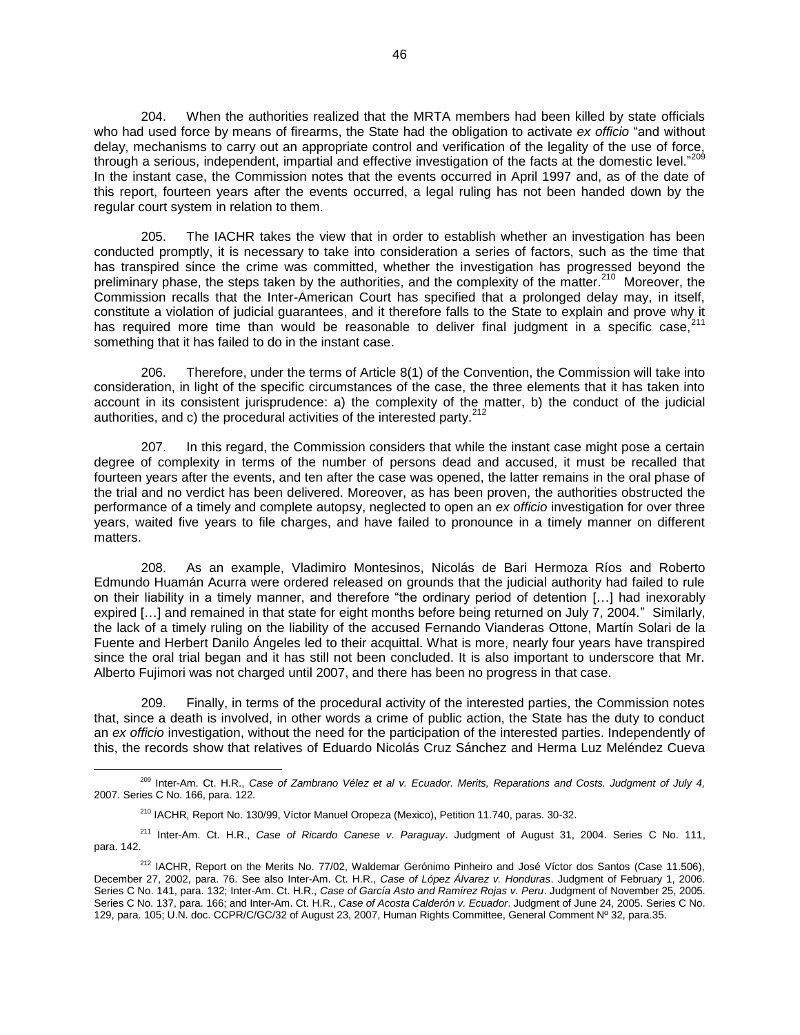204. When the authorities realized that the MRTA members had been killed by state officials who had used force by means of firearms, the State had the obligation to activate *ex officio* "and without delay, mechanisms to carry out an appropriate control and verification of the legality of the use of force, through a serious, independent, impartial and effective investigation of the facts at the domestic level."<sup>209</sup> In the instant case, the Commission notes that the events occurred in April 1997 and, as of the date of this report, fourteen years after the events occurred, a legal ruling has not been handed down by the regular court system in relation to them.

205. The IACHR takes the view that in order to establish whether an investigation has been conducted promptly, it is necessary to take into consideration a series of factors, such as the time that has transpired since the crime was committed, whether the investigation has progressed beyond the preliminary phase, the steps taken by the authorities, and the complexity of the matter.<sup>210</sup> Moreover, the Commission recalls that the Inter-American Court has specified that a prolonged delay may, in itself, constitute a violation of judicial guarantees, and it therefore falls to the State to explain and prove why it has required more time than would be reasonable to deliver final judgment in a specific case,  $211$ something that it has failed to do in the instant case.

206. Therefore, under the terms of Article 8(1) of the Convention, the Commission will take into consideration, in light of the specific circumstances of the case, the three elements that it has taken into account in its consistent jurisprudence: a) the complexity of the matter, b) the conduct of the judicial authorities, and c) the procedural activities of the interested party.<sup>212</sup>

207. In this regard, the Commission considers that while the instant case might pose a certain degree of complexity in terms of the number of persons dead and accused, it must be recalled that fourteen years after the events, and ten after the case was opened, the latter remains in the oral phase of the trial and no verdict has been delivered. Moreover, as has been proven, the authorities obstructed the performance of a timely and complete autopsy, neglected to open an *ex officio* investigation for over three years, waited five years to file charges, and have failed to pronounce in a timely manner on different matters.

208. As an example, Vladimiro Montesinos, Nicolás de Bari Hermoza Ríos and Roberto Edmundo Huamán Acurra were ordered released on grounds that the judicial authority had failed to rule on their liability in a timely manner, and therefore "the ordinary period of detention […] had inexorably expired [...] and remained in that state for eight months before being returned on July 7, 2004." Similarly, the lack of a timely ruling on the liability of the accused Fernando Vianderas Ottone, Martín Solari de la Fuente and Herbert Danilo Ángeles led to their acquittal. What is more, nearly four years have transpired since the oral trial began and it has still not been concluded. It is also important to underscore that Mr. Alberto Fujimori was not charged until 2007, and there has been no progress in that case.

209. Finally, in terms of the procedural activity of the interested parties, the Commission notes that, since a death is involved, in other words a crime of public action, the State has the duty to conduct an *ex officio* investigation, without the need for the participation of the interested parties. Independently of this, the records show that relatives of Eduardo Nicolás Cruz Sánchez and Herma Luz Meléndez Cueva

<sup>209</sup> Inter-Am. Ct. H.R., *Case of Zambrano Vélez et al v. Ecuador. Merits, Reparations and Costs. Judgment of July 4,* 2007. Series C No. 166, para. 122.

<sup>210</sup> IACHR, Report No. 130/99, Víctor Manuel Oropeza (Mexico), Petition 11.740, paras. 30-32.

<sup>211</sup> Inter-Am. Ct. H.R., *Case of Ricardo Canese v. Paraguay*. Judgment of August 31, 2004. Series C No. 111, para. 142.

<sup>&</sup>lt;sup>212</sup> IACHR. Report on the Merits No. 77/02, Waldemar Gerónimo Pinheiro and José Víctor dos Santos (Case 11.506), December 27, 2002, para. 76. See also Inter-Am. Ct. H.R., *Case of López Álvarez v. Honduras*. Judgment of February 1, 2006. Series C No. 141, para. 132; Inter-Am. Ct. H.R., *Case of García Asto and Ramírez Rojas v. Peru*. Judgment of November 25, 2005. Series C No. 137, para. 166; and Inter-Am. Ct. H.R., *Case of Acosta Calderón v. Ecuador*. Judgment of June 24, 2005. Series C No. 129, para. 105; U.N. doc. CCPR/C/GC/32 of August 23, 2007, Human Rights Committee, General Comment Nº 32, para.35.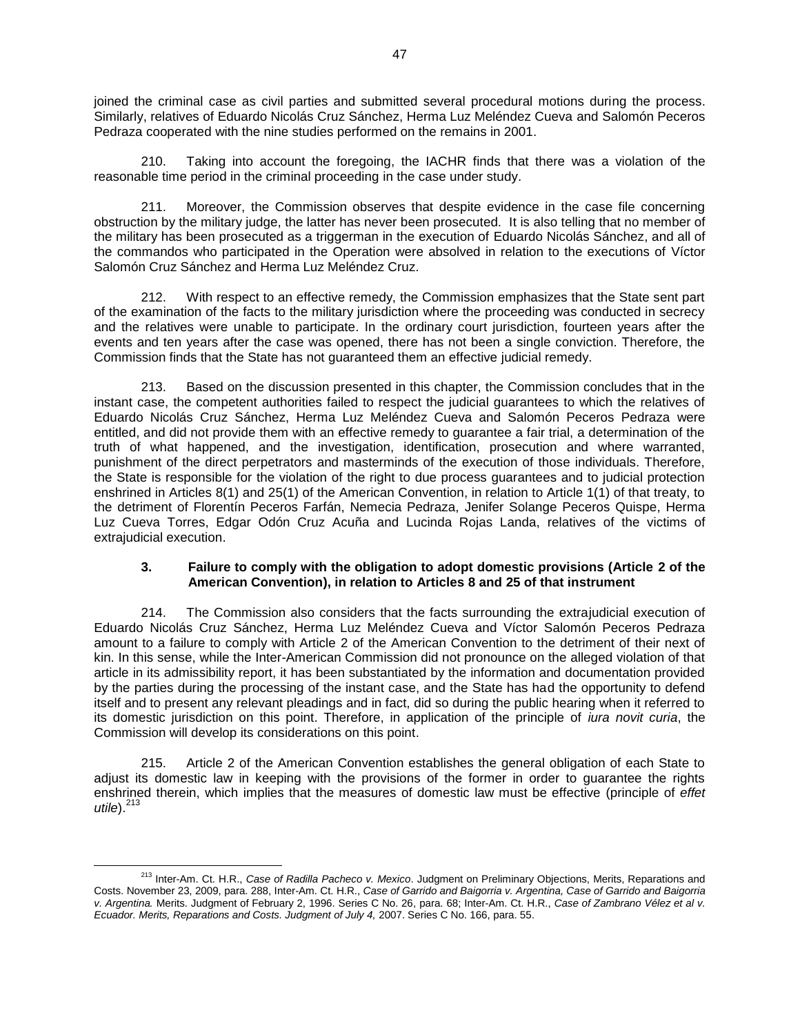joined the criminal case as civil parties and submitted several procedural motions during the process. Similarly, relatives of Eduardo Nicolás Cruz Sánchez, Herma Luz Meléndez Cueva and Salomón Peceros Pedraza cooperated with the nine studies performed on the remains in 2001.

210. Taking into account the foregoing, the IACHR finds that there was a violation of the reasonable time period in the criminal proceeding in the case under study.

211. Moreover, the Commission observes that despite evidence in the case file concerning obstruction by the military judge, the latter has never been prosecuted. It is also telling that no member of the military has been prosecuted as a triggerman in the execution of Eduardo Nicolás Sánchez, and all of the commandos who participated in the Operation were absolved in relation to the executions of Víctor Salomón Cruz Sánchez and Herma Luz Meléndez Cruz.

212. With respect to an effective remedy, the Commission emphasizes that the State sent part of the examination of the facts to the military jurisdiction where the proceeding was conducted in secrecy and the relatives were unable to participate. In the ordinary court jurisdiction, fourteen years after the events and ten years after the case was opened, there has not been a single conviction. Therefore, the Commission finds that the State has not guaranteed them an effective judicial remedy.

213. Based on the discussion presented in this chapter, the Commission concludes that in the instant case, the competent authorities failed to respect the judicial guarantees to which the relatives of Eduardo Nicolás Cruz Sánchez, Herma Luz Meléndez Cueva and Salomón Peceros Pedraza were entitled, and did not provide them with an effective remedy to guarantee a fair trial, a determination of the truth of what happened, and the investigation, identification, prosecution and where warranted, punishment of the direct perpetrators and masterminds of the execution of those individuals. Therefore, the State is responsible for the violation of the right to due process guarantees and to judicial protection enshrined in Articles 8(1) and 25(1) of the American Convention, in relation to Article 1(1) of that treaty, to the detriment of Florentín Peceros Farfán, Nemecia Pedraza, Jenifer Solange Peceros Quispe, Herma Luz Cueva Torres, Edgar Odón Cruz Acuña and Lucinda Rojas Landa, relatives of the victims of extrajudicial execution.

## **3. Failure to comply with the obligation to adopt domestic provisions (Article 2 of the American Convention), in relation to Articles 8 and 25 of that instrument**

214. The Commission also considers that the facts surrounding the extrajudicial execution of Eduardo Nicolás Cruz Sánchez, Herma Luz Meléndez Cueva and Víctor Salomón Peceros Pedraza amount to a failure to comply with Article 2 of the American Convention to the detriment of their next of kin. In this sense, while the Inter-American Commission did not pronounce on the alleged violation of that article in its admissibility report, it has been substantiated by the information and documentation provided by the parties during the processing of the instant case, and the State has had the opportunity to defend itself and to present any relevant pleadings and in fact, did so during the public hearing when it referred to its domestic jurisdiction on this point. Therefore, in application of the principle of *iura novit curia*, the Commission will develop its considerations on this point.

215. Article 2 of the American Convention establishes the general obligation of each State to adjust its domestic law in keeping with the provisions of the former in order to guarantee the rights enshrined therein, which implies that the measures of domestic law must be effective (principle of *effet utile*). 213

<sup>213</sup> Inter-Am. Ct. H.R., *Case of Radilla Pacheco v. Mexico*. Judgment on Preliminary Objections, Merits, Reparations and Costs. November 23, 2009, para. 288, Inter-Am. Ct. H.R., *Case of Garrido and Baigorria v. Argentina, Case of Garrido and Baigorria v. Argentina.* Merits. Judgment of February 2, 1996. Series C No. 26, para. 68; Inter-Am. Ct. H.R., *Case of Zambrano Vélez et al v. Ecuador. Merits, Reparations and Costs. Judgment of July 4,* 2007. Series C No. 166, para. 55.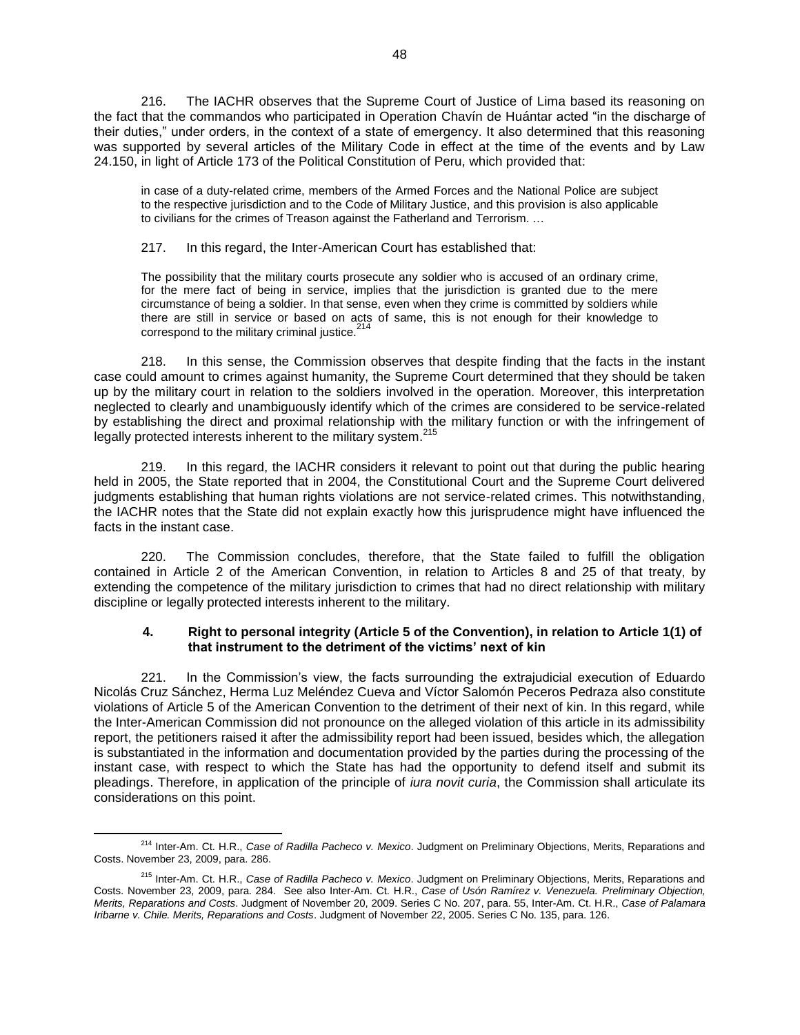216. The IACHR observes that the Supreme Court of Justice of Lima based its reasoning on the fact that the commandos who participated in Operation Chavín de Huántar acted "in the discharge of their duties," under orders, in the context of a state of emergency. It also determined that this reasoning was supported by several articles of the Military Code in effect at the time of the events and by Law 24.150, in light of Article 173 of the Political Constitution of Peru, which provided that:

in case of a duty-related crime, members of the Armed Forces and the National Police are subject to the respective jurisdiction and to the Code of Military Justice, and this provision is also applicable to civilians for the crimes of Treason against the Fatherland and Terrorism. …

217. In this regard, the Inter-American Court has established that:

The possibility that the military courts prosecute any soldier who is accused of an ordinary crime, for the mere fact of being in service, implies that the jurisdiction is granted due to the mere circumstance of being a soldier. In that sense, even when they crime is committed by soldiers while there are still in service or based on acts of same, this is not enough for their knowledge to correspond to the military criminal justice. $^{214}$ 

218. In this sense, the Commission observes that despite finding that the facts in the instant case could amount to crimes against humanity, the Supreme Court determined that they should be taken up by the military court in relation to the soldiers involved in the operation. Moreover, this interpretation neglected to clearly and unambiguously identify which of the crimes are considered to be service-related by establishing the direct and proximal relationship with the military function or with the infringement of legally protected interests inherent to the military system.<sup>215</sup>

219. In this regard, the IACHR considers it relevant to point out that during the public hearing held in 2005, the State reported that in 2004, the Constitutional Court and the Supreme Court delivered judgments establishing that human rights violations are not service-related crimes. This notwithstanding, the IACHR notes that the State did not explain exactly how this jurisprudence might have influenced the facts in the instant case.

220. The Commission concludes, therefore, that the State failed to fulfill the obligation contained in Article 2 of the American Convention, in relation to Articles 8 and 25 of that treaty, by extending the competence of the military jurisdiction to crimes that had no direct relationship with military discipline or legally protected interests inherent to the military.

## **4. Right to personal integrity (Article 5 of the Convention), in relation to Article 1(1) of that instrument to the detriment of the victims' next of kin**

221. In the Commission's view, the facts surrounding the extrajudicial execution of Eduardo Nicolás Cruz Sánchez, Herma Luz Meléndez Cueva and Víctor Salomón Peceros Pedraza also constitute violations of Article 5 of the American Convention to the detriment of their next of kin. In this regard, while the Inter-American Commission did not pronounce on the alleged violation of this article in its admissibility report, the petitioners raised it after the admissibility report had been issued, besides which, the allegation is substantiated in the information and documentation provided by the parties during the processing of the instant case, with respect to which the State has had the opportunity to defend itself and submit its pleadings. Therefore, in application of the principle of *iura novit curia*, the Commission shall articulate its considerations on this point.

 $\overline{a}$ <sup>214</sup> Inter-Am. Ct. H.R., *Case of Radilla Pacheco v. Mexico*. Judgment on Preliminary Objections, Merits, Reparations and Costs. November 23, 2009, para. 286.

<sup>215</sup> Inter-Am. Ct. H.R., *Case of Radilla Pacheco v. Mexico*. Judgment on Preliminary Objections, Merits, Reparations and Costs. November 23, 2009, para. 284. See also Inter-Am. Ct. H.R., *Case of Usón Ramírez v. Venezuela. Preliminary Objection, Merits, Reparations and Costs*. Judgment of November 20, 2009. Series C No. 207, para. 55, Inter-Am. Ct. H.R., *Case of Palamara Iribarne v. Chile. Merits, Reparations and Costs*. Judgment of November 22, 2005. Series C No. 135, para. 126.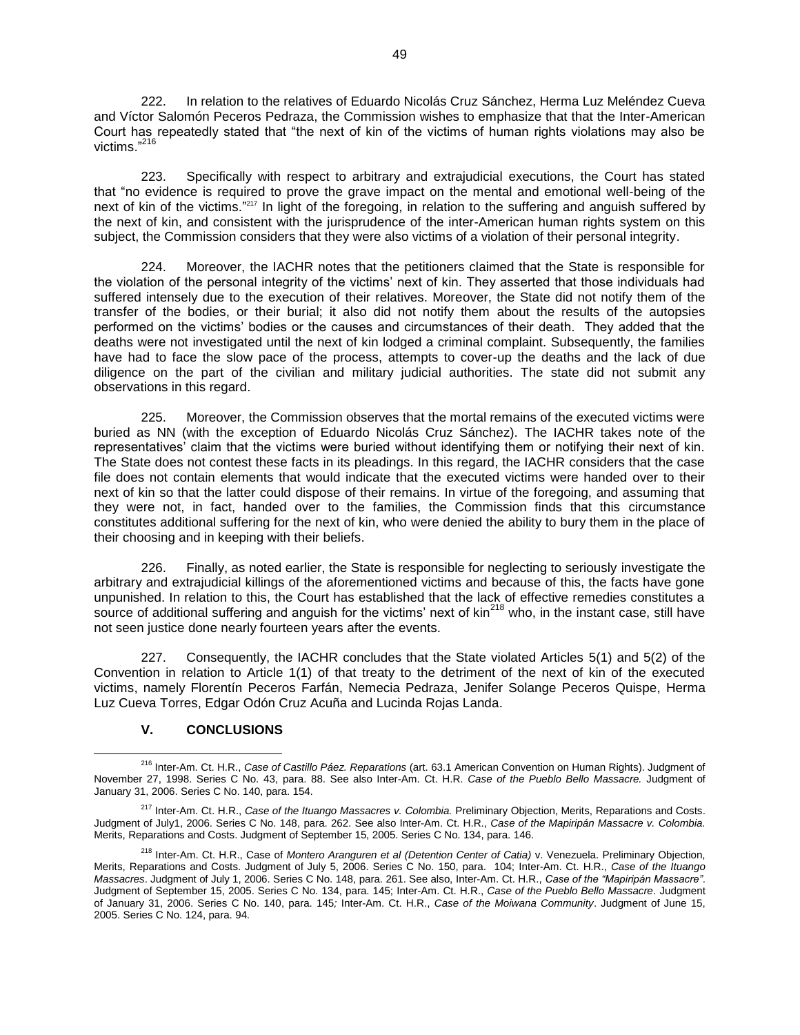222. In relation to the relatives of Eduardo Nicolás Cruz Sánchez, Herma Luz Meléndez Cueva and Víctor Salomón Peceros Pedraza, the Commission wishes to emphasize that that the Inter-American Court has repeatedly stated that "the next of kin of the victims of human rights violations may also be victims." 216

223. Specifically with respect to arbitrary and extrajudicial executions, the Court has stated that "no evidence is required to prove the grave impact on the mental and emotional well-being of the next of kin of the victims." <sup>217</sup> In light of the foregoing, in relation to the suffering and anguish suffered by the next of kin, and consistent with the jurisprudence of the inter-American human rights system on this subject, the Commission considers that they were also victims of a violation of their personal integrity.

224. Moreover, the IACHR notes that the petitioners claimed that the State is responsible for the violation of the personal integrity of the victims' next of kin. They asserted that those individuals had suffered intensely due to the execution of their relatives. Moreover, the State did not notify them of the transfer of the bodies, or their burial; it also did not notify them about the results of the autopsies performed on the victims' bodies or the causes and circumstances of their death. They added that the deaths were not investigated until the next of kin lodged a criminal complaint. Subsequently, the families have had to face the slow pace of the process, attempts to cover-up the deaths and the lack of due diligence on the part of the civilian and military judicial authorities. The state did not submit any observations in this regard.

225. Moreover, the Commission observes that the mortal remains of the executed victims were buried as NN (with the exception of Eduardo Nicolás Cruz Sánchez). The IACHR takes note of the representatives' claim that the victims were buried without identifying them or notifying their next of kin. The State does not contest these facts in its pleadings. In this regard, the IACHR considers that the case file does not contain elements that would indicate that the executed victims were handed over to their next of kin so that the latter could dispose of their remains. In virtue of the foregoing, and assuming that they were not, in fact, handed over to the families, the Commission finds that this circumstance constitutes additional suffering for the next of kin, who were denied the ability to bury them in the place of their choosing and in keeping with their beliefs.

226. Finally, as noted earlier, the State is responsible for neglecting to seriously investigate the arbitrary and extrajudicial killings of the aforementioned victims and because of this, the facts have gone unpunished. In relation to this, the Court has established that the lack of effective remedies constitutes a source of additional suffering and anguish for the victims' next of kin<sup>218</sup> who, in the instant case, still have not seen justice done nearly fourteen years after the events.

227. Consequently, the IACHR concludes that the State violated Articles 5(1) and 5(2) of the Convention in relation to Article 1(1) of that treaty to the detriment of the next of kin of the executed victims, namely Florentín Peceros Farfán, Nemecia Pedraza, Jenifer Solange Peceros Quispe, Herma Luz Cueva Torres, Edgar Odón Cruz Acuña and Lucinda Rojas Landa.

# **V. CONCLUSIONS**

 $\overline{a}$ <sup>216</sup> Inter-Am. Ct. H.R., *Case of Castillo Páez. Reparations* (art. 63.1 American Convention on Human Rights). Judgment of November 27, 1998. Series C No. 43, para. 88. See also Inter-Am. Ct. H.R. *Case of the Pueblo Bello Massacre.* Judgment of January 31, 2006. Series C No. 140, para. 154.

<sup>217</sup> Inter-Am. Ct. H.R., *Case of the Ituango Massacres v. Colombia.* Preliminary Objection, Merits, Reparations and Costs. Judgment of July1, 2006. Series C No. 148, para. 262. See also Inter-Am. Ct. H.R., *Case of the Mapiripán Massacre v. Colombia.*  Merits, Reparations and Costs. Judgment of September 15, 2005. Series C No. 134, para. 146.

<sup>218</sup> Inter-Am. Ct. H.R., Case of *Montero Aranguren et al (Detention Center of Catia)* v. Venezuela. Preliminary Objection, Merits, Reparations and Costs. Judgment of July 5, 2006. Series C No. 150, para. 104; Inter-Am. Ct. H.R., *Case of the Ituango Massacres*. Judgment of July 1, 2006. Series C No. 148, para. 261. See also, Inter-Am. Ct. H.R., *Case of the "Mapiripán Massacre"*. Judgment of September 15, 2005. Series C No. 134, para. 145; Inter-Am. Ct. H.R., *Case of the Pueblo Bello Massacre*. Judgment of January 31, 2006. Series C No. 140, para. 145*;* Inter-Am. Ct. H.R., *Case of the Moiwana Community*. Judgment of June 15, 2005. Series C No. 124, para. 94.